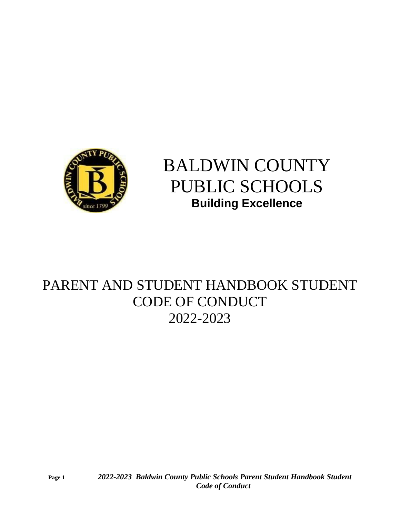

# BALDWIN COUNTY PUBLIC SCHOOLS **Building Excellence**

## PARENT AND STUDENT HANDBOOK STUDENT CODE OF CONDUCT 2022-2023

**Page 1** *2022-2023 Baldwin County Public Schools Parent Student Handbook Student Code of Conduct*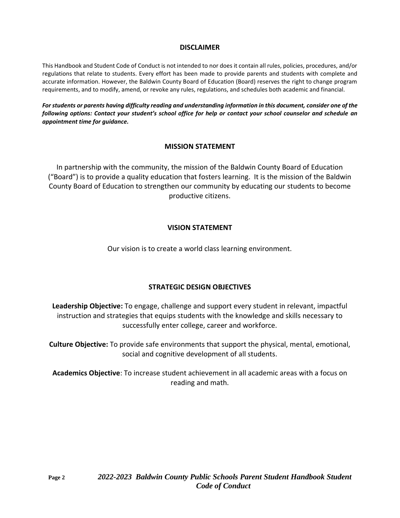### **DISCLAIMER**

This Handbook and Student Code of Conduct is not intended to nor does it contain all rules, policies, procedures, and/or regulations that relate to students. Every effort has been made to provide parents and students with complete and accurate information. However, the Baldwin County Board of Education (Board) reserves the right to change program requirements, and to modify, amend, or revoke any rules, regulations, and schedules both academic and financial.

*For students or parents having difficulty reading and understanding information in this document, consider one of the following options: Contact your student's school office for help or contact your school counselor and schedule an appointment time for guidance.*

### **MISSION STATEMENT**

In partnership with the community, the mission of the Baldwin County Board of Education ("Board") is to provide a quality education that fosters learning. It is the mission of the Baldwin County Board of Education to strengthen our community by educating our students to become productive citizens.

### **VISION STATEMENT**

Our vision is to create a world class learning environment.

### **STRATEGIC DESIGN OBJECTIVES**

**Leadership Objective:** To engage, challenge and support every student in relevant, impactful instruction and strategies that equips students with the knowledge and skills necessary to successfully enter college, career and workforce.

**Culture Objective:** To provide safe environments that support the physical, mental, emotional, social and cognitive development of all students.

**Academics Objective**: To increase student achievement in all academic areas with a focus on reading and math.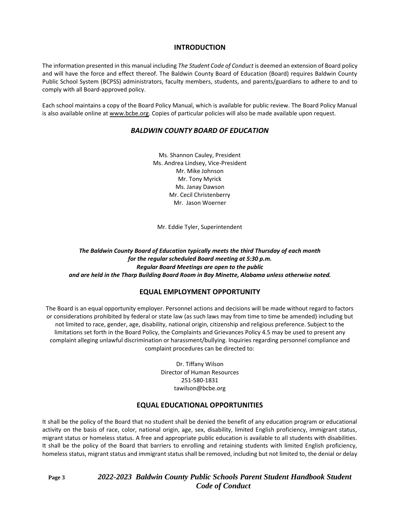### **INTRODUCTION**

The information presented in this manual including *The Student Code of Conduct* is deemed an extension of Board policy and will have the force and effect thereof. The Baldwin County Board of Education (Board) requires Baldwin County Public School System (BCPSS) administrators, faculty members, students, and parents/guardians to adhere to and to comply with all Board-approved policy.

Each school maintains a copy of the Board Policy Manual, which is available for public review. The Board Policy Manual is also available online at [www.bcbe.org.](http://www.bcbe.org/) Copies of particular policies will also be made available upon request.

### *BALDWIN COUNTY BOARD OF EDUCATION*

Ms. Shannon Cauley, President Ms. Andrea Lindsey, Vice-President Mr. Mike Johnson Mr. Tony Myrick Ms. Janay Dawson Mr. Cecil Christenberry Mr. Jason Woerner

Mr. Eddie Tyler, Superintendent

*The Baldwin County Board of Education typically meets the third Thursday of each month for the regular scheduled Board meeting at 5:30 p.m. Regular Board Meetings are open to the public and are held in the Tharp Building Board Room in Bay Minette, Alabama unless otherwise noted.*

### **EQUAL EMPLOYMENT OPPORTUNITY**

The Board is an equal opportunity employer. Personnel actions and decisions will be made without regard to factors or considerations prohibited by federal or state law (as such laws may from time to time be amended) including but not limited to race, gender, age, disability, national origin, citizenship and religious preference. Subject to the limitations set forth in the Board Policy, the Complaints and Grievances Policy 4.5 may be used to present any complaint alleging unlawful discrimination or harassment/bullying. Inquiries regarding personnel compliance and complaint procedures can be directed to:

> Dr. Tiffany Wilson Director of Human Resources 251-580-1831 tawilson@bcbe.org

### **EQUAL EDUCATIONAL OPPORTUNITIES**

It shall be the policy of the Board that no student shall be denied the benefit of any education program or educational activity on the basis of race, color, national origin, age, sex, disability, limited English proficiency, immigrant status, migrant status or homeless status. A free and appropriate public education is available to all students with disabilities. It shall be the policy of the Board that barriers to enrolling and retaining students with limited English proficiency, homeless status, migrant status and immigrant status shall be removed, including but not limited to, the denial or delay

**Page 3** *2022-2023 Baldwin County Public Schools Parent Student Handbook Student Code of Conduct*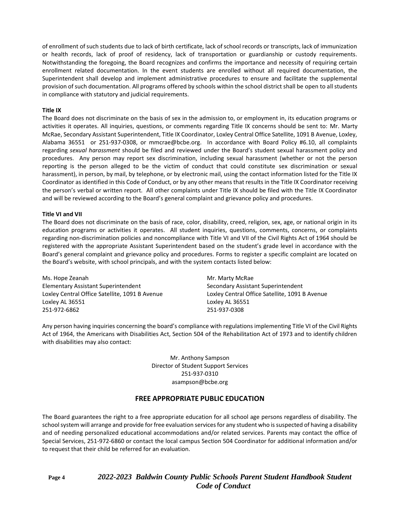of enrollment of such students due to lack of birth certificate, lack of school records or transcripts, lack of immunization or health records, lack of proof of residency, lack of transportation or guardianship or custody requirements. Notwithstanding the foregoing, the Board recognizes and confirms the importance and necessity of requiring certain enrollment related documentation. In the event students are enrolled without all required documentation, the Superintendent shall develop and implement administrative procedures to ensure and facilitate the supplemental provision of such documentation. All programs offered by schools within the school district shall be open to all students in compliance with statutory and judicial requirements.

#### **Title IX**

The Board does not discriminate on the basis of sex in the admission to, or employment in, its education programs or activities it operates. All inquiries, questions, or comments regarding Title IX concerns should be sent to: Mr. Marty McRae, Secondary Assistant Superintendent, Title IX Coordinator, Loxley Central Office Satellite, 1091 B Avenue, Loxley, Alabama 36551 or 251-937-0308, or mmcrae@bcbe.org. In accordance with Board Policy #6.10, all complaints regarding *sexual harassment* should be filed and reviewed under the Board's student sexual harassment policy and procedures. Any person may report sex discrimination, including sexual harassment (whether or not the person reporting is the person alleged to be the victim of conduct that could constitute sex discrimination or sexual harassment), in person, by mail, by telephone, or by electronic mail, using the contact information listed for the Title IX Coordinator as identified in this Code of Conduct, or by any other means that results in the Title IX Coordinator receiving the person's verbal or written report. All other complaints under Title IX should be filed with the Title IX Coordinator and will be reviewed according to the Board's general complaint and grievance policy and procedures.

#### **Title VI and VII**

The Board does not discriminate on the basis of race, color, disability, creed, religion, sex, age, or national origin in its education programs or activities it operates. All student inquiries, questions, comments, concerns, or complaints regarding non-discrimination policies and noncompliance with Title VI and VII of the Civil Rights Act of 1964 should be registered with the appropriate Assistant Superintendent based on the student's grade level in accordance with the Board's general complaint and grievance policy and procedures. Forms to register a specific complaint are located on the Board's website, with school principals, and with the system contacts listed below:

Ms. Hope Zeanah Mr. Marty McRae Elementary Assistant Superintendent Secondary Assistant Superintendent Loxley Central Office Satellite, 1091 B Avenue Loxley Central Office Satellite, 1091 B Avenue Loxley AL 36551 Loxley AL 36551 251-972-6862 251-937-0308

Any person having inquiries concerning the board's compliance with regulations implementing Title VI of the Civil Rights Act of 1964, the Americans with Disabilities Act, Section 504 of the Rehabilitation Act of 1973 and to identify children with disabilities may also contact:

> Mr. Anthony Sampson Director of Student Support Services 251-937-0310 asampson@bcbe.org

### **FREE APPROPRIATE PUBLIC EDUCATION**

The Board guarantees the right to a free appropriate education for all school age persons regardless of disability. The school system will arrange and provide for free evaluation services for any student who is suspected of having a disability and of needing personalized educational accommodations and/or related services. Parents may contact the office of Special Services, 251-972-6860 or contact the local campus Section 504 Coordinator for additional information and/or to request that their child be referred for an evaluation.

**Page 4** *2022-2023 Baldwin County Public Schools Parent Student Handbook Student Code of Conduct*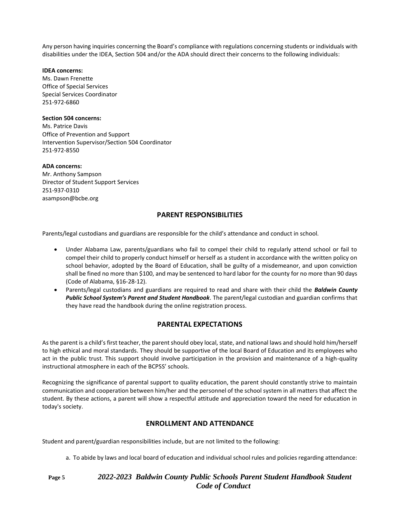Any person having inquiries concerning the Board's compliance with regulations concerning students or individuals with disabilities under the IDEA, Section 504 and/or the ADA should direct their concerns to the following individuals:

#### **IDEA concerns:**

Ms. Dawn Frenette Office of Special Services Special Services Coordinator 251-972-6860

#### **Section 504 concerns:**

Ms. Patrice Davis Office of Prevention and Support Intervention Supervisor/Section 504 Coordinator 251-972-8550

#### **ADA concerns:**

Mr. Anthony Sampson Director of Student Support Services 251-937-0310 asampson@bcbe.org

### **PARENT RESPONSIBILITIES**

Parents/legal custodians and guardians are responsible for the child's attendance and conduct in school.

- Under Alabama Law, parents/guardians who fail to compel their child to regularly attend school or fail to compel their child to properly conduct himself or herself as a student in accordance with the written policy on school behavior, adopted by the Board of Education, shall be guilty of a misdemeanor, and upon conviction shall be fined no more than \$100, and may be sentenced to hard labor for the county for no more than 90 days (Code of Alabama, §16-28-12).
- Parents/legal custodians and guardians are required to read and share with their child the *Baldwin County Public School System's Parent and Student Handbook*. The parent/legal custodian and guardian confirms that they have read the handbook during the online registration process.

### **PARENTAL EXPECTATIONS**

As the parent is a child's first teacher, the parent should obey local, state, and national laws and should hold him/herself to high ethical and moral standards. They should be supportive of the local Board of Education and its employees who act in the public trust. This support should involve participation in the provision and maintenance of a high-quality instructional atmosphere in each of the BCPSS' schools.

Recognizing the significance of parental support to quality education, the parent should constantly strive to maintain communication and cooperation between him/her and the personnel of the school system in all matters that affect the student. By these actions, a parent will show a respectful attitude and appreciation toward the need for education in today's society.

### **ENROLLMENT AND ATTENDANCE**

Student and parent/guardian responsibilities include, but are not limited to the following:

a. To abide by laws and local board of education and individual school rules and policies regarding attendance:

**Page 5** *2022-2023 Baldwin County Public Schools Parent Student Handbook Student Code of Conduct*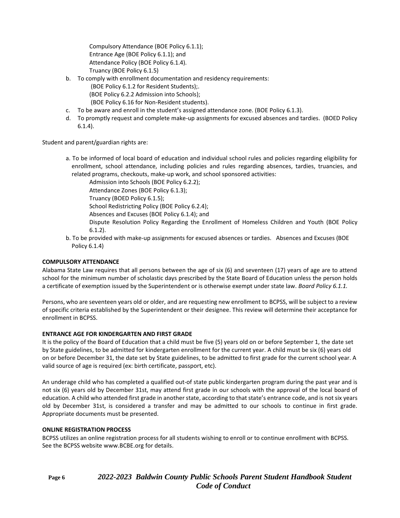Compulsory Attendance (BOE Policy 6.1.1); Entrance Age (BOE Policy 6.1.1); and Attendance Policy (BOE Policy 6.1.4). Truancy (BOE Policy 6.1.5)

- b. To comply with enrollment documentation and residency requirements:
	- (BOE Policy 6.1.2 for Resident Students);.
	- (BOE Policy 6.2.2 Admission into Schools);
	- (BOE Policy 6.16 for Non-Resident students).
- c. To be aware and enroll in the student's assigned attendance zone. (BOE Policy 6.1.3).
- d. To promptly request and complete make-up assignments for excused absences and tardies. (BOED Policy 6.1.4).

Student and parent/guardian rights are:

a. To be informed of local board of education and individual school rules and policies regarding eligibility for enrollment, school attendance, including policies and rules regarding absences, tardies, truancies, and related programs, checkouts, make-up work, and school sponsored activities:

Admission into Schools (BOE Policy 6.2.2);

Attendance Zones (BOE Policy 6.1.3);

Truancy (BOED Policy 6.1.5);

School Redistricting Policy (BOE Policy 6.2.4);

- Absences and Excuses (BOE Policy 6.1.4); and
- Dispute Resolution Policy Regarding the Enrollment of Homeless Children and Youth (BOE Policy 6.1.2).
- b. To be provided with make-up assignments for excused absences or tardies. Absences and Excuses (BOE Policy 6.1.4)

#### **COMPULSORY ATTENDANCE**

Alabama State Law requires that all persons between the age of six (6) and seventeen (17) years of age are to attend school for the minimum number of scholastic days prescribed by the State Board of Education unless the person holds a certificate of exemption issued by the Superintendent or is otherwise exempt under state law. *Board Policy 6.1.1.*

Persons, who are seventeen years old or older, and are requesting new enrollment to BCPSS, will be subject to a review of specific criteria established by the Superintendent or their designee. This review will determine their acceptance for enrollment in BCPSS.

#### **ENTRANCE AGE FOR KINDERGARTEN AND FIRST GRADE**

It is the policy of the Board of Education that a child must be five (5) years old on or before September 1, the date set by State guidelines, to be admitted for kindergarten enrollment for the current year. A child must be six (6) years old on or before December 31, the date set by State guidelines, to be admitted to first grade for the current school year. A valid source of age is required (ex: birth certificate, passport, etc).

An underage child who has completed a qualified out-of state public kindergarten program during the past year and is not six (6) years old by December 31st, may attend first grade in our schools with the approval of the local board of education. A child who attended first grade in another state, according to that state's entrance code, and is not six years old by December 31st, is considered a transfer and may be admitted to our schools to continue in first grade. Appropriate documents must be presented.

#### **ONLINE REGISTRATION PROCESS**

BCPSS utilizes an online registration process for all students wishing to enroll or to continue enrollment with BCPSS. See the BCPSS website www.BCBE.org for details.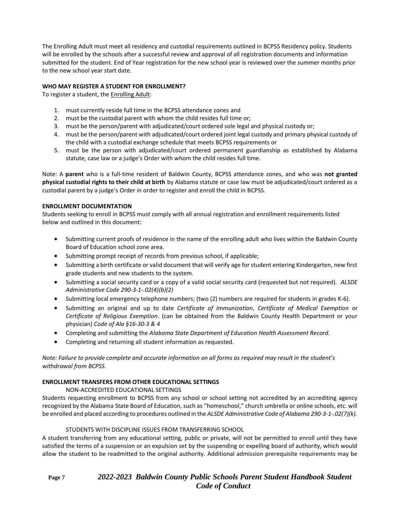The Enrolling Adult must meet all residency and custodial requirements outlined in BCPSS Residency policy. Students will be enrolled by the schools after a successful review and approval of all registration documents and information submitted for the student. End of Year registration for the new school year is reviewed over the summer months prior to the new school year start date.

#### **WHO MAY REGISTER A STUDENT FOR ENROLLMENT?**

To register a student, the Enrolling Adult:

- 1. must currently reside full time in the BCPSS attendance zones and
- 2. must be the custodial parent with whom the child resides full time or;
- 3. must be the person/parent with adjudicated/court ordered sole legal and physical custody or;
- 4. must be the person/parent with adjudicated/court ordered joint legal custody and primary physical custody of the child with a custodial exchange schedule that meets BCPSS requirements or
- 5. must be the person with adjudicated/court ordered permanent guardianship as established by Alabama statute, case law or a judge's Order with whom the child resides full time.

Note: A **parent** who is a full-time resident of Baldwin County, BCPSS attendance zones, and who was **not granted physical custodial rights to their child at birth** by Alabama statute or case law must be adjudicated/court ordered as a custodial parent by a judge's Order in order to register and enroll the child in BCPSS.

#### **ENROLLMENT DOCUMENTATION**

Students seeking to enroll in BCPSS must comply with all annual registration and enrollment requirements listed below and outlined in this document:

- Submitting current proofs of residence in the name of the enrolling adult who lives within the Baldwin County Board of Education school zone area.
- Submitting prompt receipt of records from previous school, if applicable;
- Submitting a birth certificate or valid document that will verify age for student entering Kindergarten, new first grade students and new students to the system.
- Submitting a social security card or a copy of a valid social security card (requested but not required). *ALSDE Administrative Code 290-3-1-.02(4)(b)(2)*
- Submitting local emergency telephone numbers; (two (2) numbers are required for students in grades K-6).
- Submitting an original and up to date *Certificate of Immunization*, *Certificate of Medical Exemption* or *Certificate of Religious Exemption*. (can be obtained from the Baldwin County Health Department or your physician) *Code of Ala §16-30-3 & 4*
- Completing and submitting the *Alabama State Department of Education Health Assessment Record.*
- Completing and returning all student information as requested.

*Note: Failure to provide complete and accurate information on all forms as required may result in the student's withdrawal from BCPSS.*

#### **ENROLLMENT TRANSFERS FROM OTHER EDUCATIONAL SETTINGS**

### NON-ACCREDITED EDUCATIONAL SETTINGS

Students requesting enrollment to BCPSS from any school or school setting not accredited by an accrediting agency recognized by the Alabama State Board of Education, such as "homeschool," church umbrella or online schools, etc. will be enrolled and placed according to procedures outlined in the *ALSDE Administrative Code of Alabama 290-3-1-.02(7)(k).*

#### STUDENTS WITH DISCIPLINE ISSUES FROM TRANSFERRING SCHOOL

A student transferring from any educational setting, public or private, will not be permitted to enroll until they have satisfied the terms of a suspension or an expulsion set by the suspending or expelling board of authority, which would allow the student to be readmitted to the original authority. Additional admission prerequisite requirements may be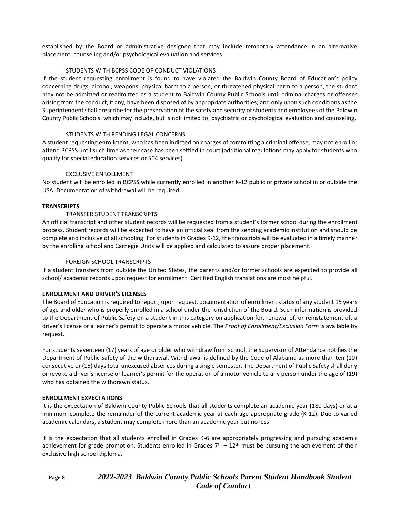established by the Board or administrative designee that may include temporary attendance in an alternative placement, counseling and/or psychological evaluation and services.

#### STUDENTS WITH BCPSS CODE OF CONDUCT VIOLATIONS

If the student requesting enrollment is found to have violated the Baldwin County Board of Education's policy concerning drugs, alcohol, weapons, physical harm to a person, or threatened physical harm to a person, the student may not be admitted or readmitted as a student to Baldwin County Public Schools until criminal charges or offenses arising from the conduct, if any, have been disposed of by appropriate authorities; and only upon such conditions as the Superintendent shall prescribe for the preservation of the safety and security of students and employees of the Baldwin County Public Schools, which may include, but is not limited to, psychiatric or psychological evaluation and counseling.

#### STUDENTS WITH PENDING LEGAL CONCERNS

A student requesting enrollment, who has been indicted on charges of committing a criminal offense, may not enroll or attend BCPSS until such time as their case has been settled in court (additional regulations may apply for students who qualify for special education services or 504 services).

#### EXCLUSIVE ENROLLMENT

No student will be enrolled in BCPSS while currently enrolled in another K-12 public or private school in or outside the USA. Documentation of withdrawal will be required.

#### **TRANSCRIPTS**

#### TRANSFER STUDENT TRANSCRIPTS

An official transcript and other student records will be requested from a student's former school during the enrollment process. Student records will be expected to have an official seal from the sending academic institution and should be complete and inclusive of all schooling. For students in Grades 9-12, the transcripts will be evaluated in a timely manner by the enrolling school and Carnegie Units will be applied and calculated to assure proper placement.

#### FOREIGN SCHOOL TRANSCRIPTS

If a student transfers from outside the United States, the parents and/or former schools are expected to provide all school/ academic records upon request for enrollment. Certified English translations are most helpful.

#### **ENROLLMENT AND DRIVER'S LICENSES**

The Board of Education is required to report, upon request, documentation of enrollment status of any student 15 years of age and older who is properly enrolled in a school under the jurisdiction of the Board. Such information is provided to the Department of Public Safety on a student in this category on application for, renewal of, or reinstatement of, a driver's license or a learner's permit to operate a motor vehicle. The *Proof of Enrollment/Exclusion Form* is available by request.

For students seventeen (17) years of age or older who withdraw from school, the Supervisor of Attendance notifies the Department of Public Safety of the withdrawal. Withdrawal is defined by the Code of Alabama as more than ten (10) consecutive or (15) days total unexcused absences during a single semester. The Department of Public Safety shall deny or revoke a driver's license or learner's permit for the operation of a motor vehicle to any person under the age of (19) who has obtained the withdrawn status.

#### **ENROLLMENT EXPECTATIONS**

It is the expectation of Baldwin County Public Schools that all students complete an academic year (180 days) or at a minimum complete the remainder of the current academic year at each age-appropriate grade (K-12). Due to varied academic calendars, a student may complete more than an academic year but no less.

It is the expectation that all students enrolled in Grades K-6 are appropriately progressing and pursuing academic achievement for grade promotion. Students enrolled in Grades  $7<sup>th</sup> - 12<sup>th</sup>$  must be pursuing the achievement of their exclusive high school diploma.

### **Page 8** *2022-2023 Baldwin County Public Schools Parent Student Handbook Student Code of Conduct*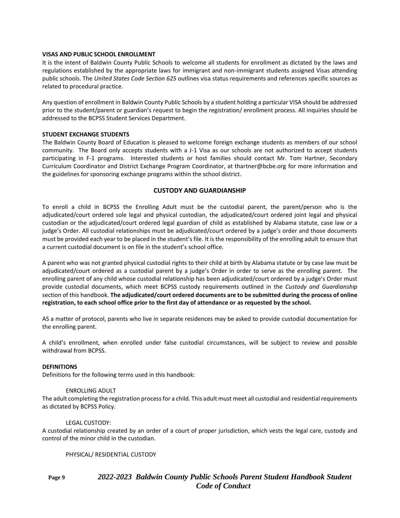#### **VISAS AND PUBLIC SCHOOL ENROLLMENT**

It is the intent of Baldwin County Public Schools to welcome all students for enrollment as dictated by the laws and regulations established by the appropriate laws for immigrant and non-immigrant students assigned Visas attending public schools. The *United States Code Section 625* outlines visa status requirements and references specific sources as related to procedural practice.

Any question of enrollment in Baldwin County Public Schools by a student holding a particular VISA should be addressed prior to the student/parent or guardian's request to begin the registration/ enrollment process. All inquiries should be addressed to the BCPSS Student Services Department.

#### **STUDENT EXCHANGE STUDENTS**

The Baldwin County Board of Education is pleased to welcome foreign exchange students as members of our school community. The Board only accepts students with a J-1 Visa as our schools are not authorized to accept students participating in F-1 programs. Interested students or host families should contact Mr. Tom Hartner, Secondary Curriculum Coordinator and District Exchange Program Coordinator, at thartner@bcbe.org for more information and the guidelines for sponsoring exchange programs within the school district.

#### **CUSTODY AND GUARDIANSHIP**

To enroll a child in BCPSS the Enrolling Adult must be the custodial parent, the parent/person who is the adjudicated/court ordered sole legal and physical custodian, the adjudicated/court ordered joint legal and physical custodian or the adjudicated/court ordered legal guardian of child as established by Alabama statute, case law or a judge's Order. All custodial relationships must be adjudicated/court ordered by a judge's order and those documents must be provided each year to be placed in the student's file. It is the responsibility of the enrolling adult to ensure that a current custodial document is on file in the student's school office.

A parent who was not granted physical custodial rights to their child at birth by Alabama statute or by case law must be adjudicated/court ordered as a custodial parent by a judge's Order in order to serve as the enrolling parent. The enrolling parent of any child whose custodial relationship has been adjudicated/court ordered by a judge's Order must provide custodial documents, which meet BCPSS custody requirements outlined in the *Custody and Guardianship*  section of this handbook. **The adjudicated/court ordered documents are to be submitted during the process of online registration, to each school office prior to the first day of attendance or as requested by the school.**

AS a matter of protocol, parents who live in separate residences may be asked to provide custodial documentation for the enrolling parent.

A child's enrollment, when enrolled under false custodial circumstances, will be subject to review and possible withdrawal from BCPSS.

#### **DEFINITIONS**

Definitions for the following terms used in this handbook:

#### ENROLLING ADULT

The adult completing the registration process for a child. This adult must meet all custodial and residential requirements as dictated by BCPSS Policy.

#### LEGAL CUSTODY:

A custodial relationship created by an order of a court of proper jurisdiction, which vests the legal care, custody and control of the minor child in the custodian.

PHYSICAL/ RESIDENTIAL CUSTODY

### **Page 9** *2022-2023 Baldwin County Public Schools Parent Student Handbook Student Code of Conduct*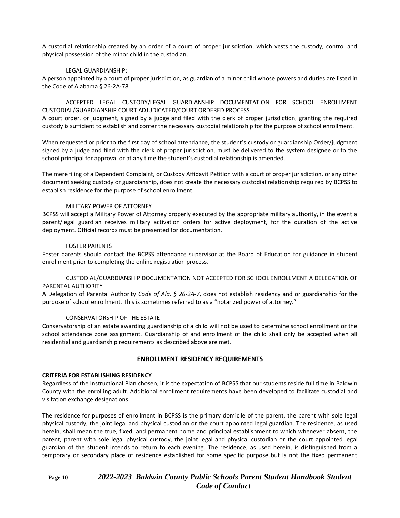A custodial relationship created by an order of a court of proper jurisdiction, which vests the custody, control and physical possession of the minor child in the custodian.

#### LEGAL GUARDIANSHIP:

A person appointed by a court of proper jurisdiction, as guardian of a minor child whose powers and duties are listed in the Code of Alabama § 26-2A-78.

ACCEPTED LEGAL CUSTODY/LEGAL GUARDIANSHIP DOCUMENTATION FOR SCHOOL ENROLLMENT CUSTODIAL/GUARDIANSHIP COURT ADJUDICATED/COURT ORDERED PROCESS

A court order, or judgment, signed by a judge and filed with the clerk of proper jurisdiction, granting the required custody is sufficient to establish and confer the necessary custodial relationship for the purpose of school enrollment.

When requested or prior to the first day of school attendance, the student's custody or guardianship Order/judgment signed by a judge and filed with the clerk of proper jurisdiction, must be delivered to the system designee or to the school principal for approval or at any time the student's custodial relationship is amended.

The mere filing of a Dependent Complaint, or Custody Affidavit Petition with a court of proper jurisdiction, or any other document seeking custody or guardianship, does not create the necessary custodial relationship required by BCPSS to establish residence for the purpose of school enrollment.

#### MILITARY POWER OF ATTORNEY

BCPSS will accept a Military Power of Attorney properly executed by the appropriate military authority, in the event a parent/legal guardian receives military activation orders for active deployment, for the duration of the active deployment. Official records must be presented for documentation.

#### FOSTER PARENTS

Foster parents should contact the BCPSS attendance supervisor at the Board of Education for guidance in student enrollment prior to completing the online registration process.

#### CUSTODIAL/GUARDIANSHIP DOCUMENTATION NOT ACCEPTED FOR SCHOOL ENROLLMENT A DELEGATION OF PARENTAL AUTHORITY

A Delegation of Parental Authority *Code of Ala. § 26-2A-7*, does not establish residency and or guardianship for the purpose of school enrollment. This is sometimes referred to as a "notarized power of attorney."

#### CONSERVATORSHIP OF THE ESTATE

Conservatorship of an estate awarding guardianship of a child will not be used to determine school enrollment or the school attendance zone assignment. Guardianship of and enrollment of the child shall only be accepted when all residential and guardianship requirements as described above are met.

#### **ENROLLMENT RESIDENCY REQUIREMENTS**

#### **CRITERIA FOR ESTABLISHING RESIDENCY**

Regardless of the Instructional Plan chosen, it is the expectation of BCPSS that our students reside full time in Baldwin County with the enrolling adult. Additional enrollment requirements have been developed to facilitate custodial and visitation exchange designations.

The residence for purposes of enrollment in BCPSS is the primary domicile of the parent, the parent with sole legal physical custody, the joint legal and physical custodian or the court appointed legal guardian. The residence, as used herein, shall mean the true, fixed, and permanent home and principal establishment to which whenever absent, the parent, parent with sole legal physical custody, the joint legal and physical custodian or the court appointed legal guardian of the student intends to return to each evening. The residence, as used herein, is distinguished from a temporary or secondary place of residence established for some specific purpose but is not the fixed permanent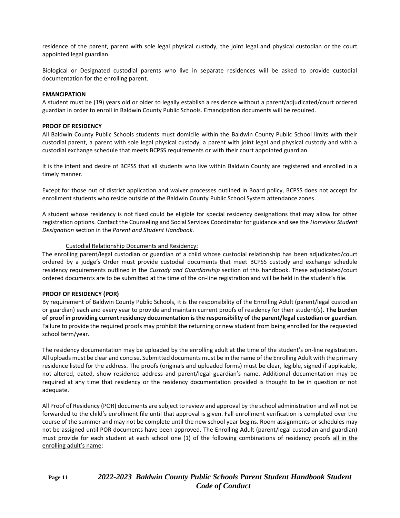residence of the parent, parent with sole legal physical custody, the joint legal and physical custodian or the court appointed legal guardian.

Biological or Designated custodial parents who live in separate residences will be asked to provide custodial documentation for the enrolling parent.

#### **EMANCIPATION**

A student must be (19) years old or older to legally establish a residence without a parent/adjudicated/court ordered guardian in order to enroll in Baldwin County Public Schools. Emancipation documents will be required.

#### **PROOF OF RESIDENCY**

All Baldwin County Public Schools students must domicile within the Baldwin County Public School limits with their custodial parent, a parent with sole legal physical custody, a parent with joint legal and physical custody and with a custodial exchange schedule that meets BCPSS requirements or with their court appointed guardian.

It is the intent and desire of BCPSS that all students who live within Baldwin County are registered and enrolled in a timely manner.

Except for those out of district application and waiver processes outlined in Board policy, BCPSS does not accept for enrollment students who reside outside of the Baldwin County Public School System attendance zones.

A student whose residency is not fixed could be eligible for special residency designations that may allow for other registration options. Contact the Counseling and Social Services Coordinator for guidance and see the *Homeless Student Designation* section in the *Parent and Student Handbook.*

#### Custodial Relationship Documents and Residency:

The enrolling parent/legal custodian or guardian of a child whose custodial relationship has been adjudicated/court ordered by a judge's Order must provide custodial documents that meet BCPSS custody and exchange schedule residency requirements outlined in the *Custody and Guardianship* section of this handbook. These adjudicated/court ordered documents are to be submitted at the time of the on-line registration and will be held in the student's file.

#### **PROOF OF RESIDENCY (POR)**

By requirement of Baldwin County Public Schools, it is the responsibility of the Enrolling Adult (parent/legal custodian or guardian) each and every year to provide and maintain current proofs of residency for their student(s). **The burden of proof in providing current residency documentation is the responsibility of the parent/legal custodian or guardian**. Failure to provide the required proofs may prohibit the returning or new student from being enrolled for the requested school term/year.

The residency documentation may be uploaded by the enrolling adult at the time of the student's on-line registration. All uploads must be clear and concise. Submitted documents must be in the name of the Enrolling Adult with the primary residence listed for the address. The proofs (originals and uploaded forms) must be clear, legible, signed if applicable, not altered, dated, show residence address and parent/legal guardian's name. Additional documentation may be required at any time that residency or the residency documentation provided is thought to be in question or not adequate.

All Proof of Residency (POR) documents are subject to review and approval by the school administration and will not be forwarded to the child's enrollment file until that approval is given. Fall enrollment verification is completed over the course of the summer and may not be complete until the new school year begins. Room assignments or schedules may not be assigned until POR documents have been approved. The Enrolling Adult (parent/legal custodian and guardian) must provide for each student at each school one (1) of the following combinations of residency proofs all in the enrolling adult's name:

### **Page 11** *2022-2023 Baldwin County Public Schools Parent Student Handbook Student Code of Conduct*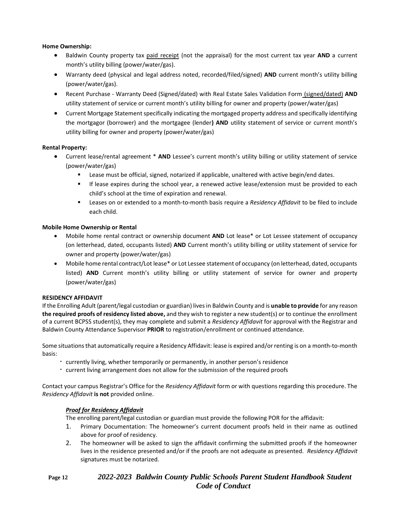#### **Home Ownership:**

- Baldwin County property tax paid receipt (not the appraisal) for the most current tax year **AND** a current month's utility billing (power/water/gas).
- Warranty deed (physical and legal address noted, recorded/filed/signed) **AND** current month's utility billing (power/water/gas).
- Recent Purchase Warranty Deed (Signed/dated) with Real Estate Sales Validation Form (signed/dated) **AND**  utility statement of service or current month's utility billing for owner and property (power/water/gas)
- Current Mortgage Statement specifically indicating the mortgaged property address and specifically identifying the mortgagor (borrower) and the mortgagee (lender**) AND** utility statement of service or current month's utility billing for owner and property (power/water/gas)

#### **Rental Property:**

- Current lease/rental agreement \* **AND** Lessee's current month's utility billing or utility statement of service (power/water/gas)
	- Lease must be official, signed, notarized if applicable, unaltered with active begin/end dates.
	- **■** If lease expires during the school year, a renewed active lease/extension must be provided to each child's school at the time of expiration and renewal.
	- Leases on or extended to a month-to-month basis require a *Residency Affidavit* to be filed to include each child.

#### **Mobile Home Ownership or Rental**

- Mobile home rental contract or ownership document **AND** Lot lease\* or Lot Lessee statement of occupancy (on letterhead, dated, occupants listed) **AND** Current month's utility billing or utility statement of service for owner and property (power/water/gas)
- Mobile home rental contract/Lot lease\* or Lot Lessee statement of occupancy (on letterhead, dated, occupants listed) **AND** Current month's utility billing or utility statement of service for owner and property (power/water/gas)

#### **RESIDENCY AFFIDAVIT**

If the Enrolling Adult (parent/legal custodian or guardian) lives in Baldwin County and is **unable to provide** for any reason **the required proofs of residency listed above,** and they wish to register a new student(s) or to continue the enrollment of a current BCPSS student(s), they may complete and submit a *Residency Affidavit* for approval with the Registrar and Baldwin County Attendance Supervisor **PRIOR** to registration/enrollment or continued attendance.

Some situations that automatically require a Residency Affidavit: lease is expired and/or renting is on a month-to-month basis:

- currently living, whether temporarily or permanently, in another person's residence
- current living arrangement does not allow for the submission of the required proofs

Contact your campus Registrar's Office for the *Residency Affidavit* form or with questions regarding this procedure. The *Residency Affidavit* **is not** provided online.

### *Proof for Residency Affidavit*

The enrolling parent/legal custodian or guardian must provide the following POR for the affidavit:

- 1. Primary Documentation: The homeowner's current document proofs held in their name as outlined above for proof of residency.
- 2. The homeowner will be asked to sign the affidavit confirming the submitted proofs if the homeowner lives in the residence presented and/or if the proofs are not adequate as presented. *Residency Affidavit*  signatures must be notarized.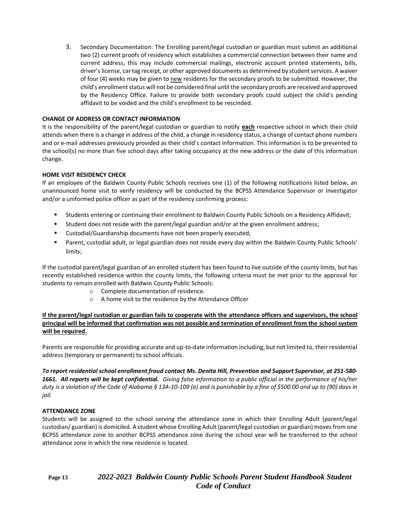3. Secondary Documentation: The Enrolling parent/legal custodian or guardian must submit an additional two (2) current proofs of residency which establishes a commercial connection between their name and current address, this may include commercial mailings, electronic account printed statements, bills, driver's license, car tag receipt, or other approved documents as determined by student services. A waiver of four (4) weeks may be given to new residents for the secondary proofs to be submitted. However, the child's enrollment status will not be considered final until the secondary proofs are received and approved by the Residency Office. Failure to provide both secondary proofs could subject the child's pending affidavit to be voided and the child's enrollment to be rescinded.

### **CHANGE OF ADDRESS OR CONTACT INFORMATION**

It is the responsibility of the parent/legal custodian or guardian to notify **each** respective school in which their child attends when there is a change in address of the child, a change in residency status, a change of contact phone numbers and or e-mail addresses previously provided as their child's contact information. This information is to be presented to the school(s) no more than five school days after taking occupancy at the new address or the date of this information change.

### **HOME VISIT RESIDENCY CHECK**

If an employee of the Baldwin County Public Schools receives one (1) of the following notifications listed below, an unannounced home visit to verify residency will be conducted by the BCPSS Attendance Supervisor or Investigator and/or a uniformed police officer as part of the residency confirming process:

- Students entering or continuing their enrollment to Baldwin County Public Schools on a Residency Affidavit;
- Student does not reside with the parent/legal guardian and/or at the given enrollment address;
- Custodial/Guardianship documents have not been properly executed;
- Parent, custodial adult, or legal guardian does not reside every day within the Baldwin County Public Schools' limits;

If the custodial parent/legal guardian of an enrolled student has been found to live outside of the county limits, but has recently established residence within the county limits, the following criteria must be met prior to the approval for students to remain enrolled with Baldwin County Public Schools:

- o Complete documentation of residence.
- o A home visit to the residence by the Attendance Officer

### **If the parent/legal custodian or guardian fails to cooperate with the attendance officers and supervisors, the school principal will be informed that confirmation was not possible and termination of enrollment from the school system will be required.**

Parents are responsible for providing accurate and up-to-date information including, but not limited to, their residential address (temporary or permanent) to school officials.

*To report residential school enrollment fraud contact Ms. Denita Hill, Prevention and Support Supervisor, at 251-580- 1661. All reports will be kept confidential. Giving false information to a public official in the performance of his/her duty is a violation of the Code of Alabama § 13A-10-109 (a) and is punishable by a fine of \$500.00 and up to (90) days in jail.*

### **ATTENDANCE ZONE**

Students will be assigned to the school serving the attendance zone in which their Enrolling Adult (parent/legal custodian/ guardian) is domiciled. A student whose Enrolling Adult (parent/legal custodian or guardian) moves from one BCPSS attendance zone to another BCPSS attendance zone during the school year will be transferred to the school attendance zone in which the new residence is located.

## **Page 13** *2022-2023 Baldwin County Public Schools Parent Student Handbook Student Code of Conduct*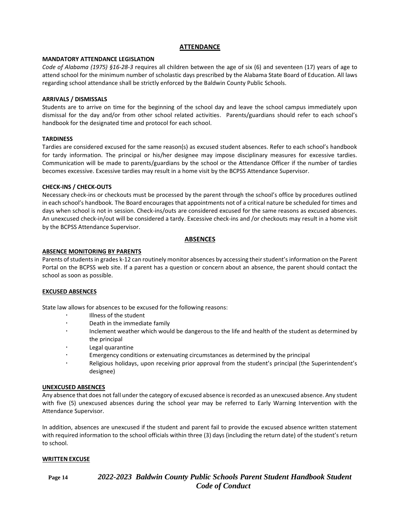#### **ATTENDANCE**

#### **MANDATORY ATTENDANCE LEGISLATION**

*Code of Alabama (1975) §16-28-3* requires all children between the age of six (6) and seventeen (17) years of age to attend school for the minimum number of scholastic days prescribed by the Alabama State Board of Education. All laws regarding school attendance shall be strictly enforced by the Baldwin County Public Schools.

#### **ARRIVALS / DISMISSALS**

Students are to arrive on time for the beginning of the school day and leave the school campus immediately upon dismissal for the day and/or from other school related activities. Parents/guardians should refer to each school's handbook for the designated time and protocol for each school.

#### **TARDINESS**

Tardies are considered excused for the same reason(s) as excused student absences. Refer to each school's handbook for tardy information. The principal or his/her designee may impose disciplinary measures for excessive tardies. Communication will be made to parents/guardians by the school or the Attendance Officer if the number of tardies becomes excessive. Excessive tardies may result in a home visit by the BCPSS Attendance Supervisor.

#### **CHECK-INS / CHECK-OUTS**

Necessary check-ins or checkouts must be processed by the parent through the school's office by procedures outlined in each school's handbook. The Board encourages that appointments not of a critical nature be scheduled for times and days when school is not in session. Check-ins/outs are considered excused for the same reasons as excused absences. An unexcused check-in/out will be considered a tardy. Excessive check-ins and /or checkouts may result in a home visit by the BCPSS Attendance Supervisor.

#### **ABSENCES**

#### **ABSENCE MONITORING BY PARENTS**

Parents of students in grades k-12 can routinely monitor absences by accessing their student's information on the Parent Portal on the BCPSS web site. If a parent has a question or concern about an absence, the parent should contact the school as soon as possible.

#### **EXCUSED ABSENCES**

State law allows for absences to be excused for the following reasons:

- Illness of the student
- Death in the immediate family
- Inclement weather which would be dangerous to the life and health of the student as determined by the principal
- Legal quarantine
- Emergency conditions or extenuating circumstances as determined by the principal
- Religious holidays, upon receiving prior approval from the student's principal (the Superintendent's designee)

#### **UNEXCUSED ABSENCES**

Any absence that does not fall under the category of excused absence is recorded as an unexcused absence. Any student with five (5) unexcused absences during the school year may be referred to Early Warning Intervention with the Attendance Supervisor.

In addition, absences are unexcused if the student and parent fail to provide the excused absence written statement with required information to the school officials within three (3) days (including the return date) of the student's return to school.

#### **WRITTEN EXCUSE**

**Page 14** *2022-2023 Baldwin County Public Schools Parent Student Handbook Student Code of Conduct*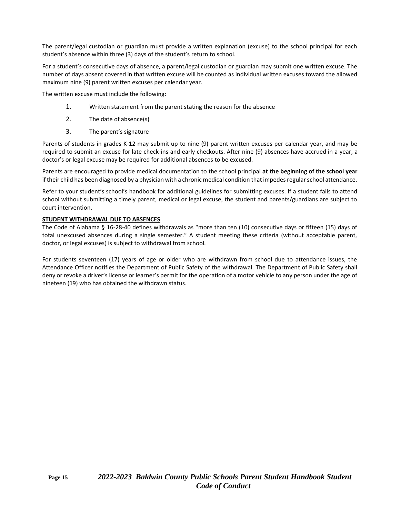The parent/legal custodian or guardian must provide a written explanation (excuse) to the school principal for each student's absence within three (3) days of the student's return to school.

For a student's consecutive days of absence, a parent/legal custodian or guardian may submit one written excuse. The number of days absent covered in that written excuse will be counted as individual written excuses toward the allowed maximum nine (9) parent written excuses per calendar year.

The written excuse must include the following:

- 1. Written statement from the parent stating the reason for the absence
- 2. The date of absence(s)
- 3. The parent's signature

Parents of students in grades K-12 may submit up to nine (9) parent written excuses per calendar year, and may be required to submit an excuse for late check-ins and early checkouts. After nine (9) absences have accrued in a year, a doctor's or legal excuse may be required for additional absences to be excused.

Parents are encouraged to provide medical documentation to the school principal **at the beginning of the school year**  if their child has been diagnosed by a physician with a chronic medical condition that impedes regular school attendance.

Refer to your student's school's handbook for additional guidelines for submitting excuses. If a student fails to attend school without submitting a timely parent, medical or legal excuse, the student and parents/guardians are subject to court intervention.

#### **STUDENT WITHDRAWAL DUE TO ABSENCES**

The Code of Alabama § 16-28-40 defines withdrawals as "more than ten (10) consecutive days or fifteen (15) days of total unexcused absences during a single semester." A student meeting these criteria (without acceptable parent, doctor, or legal excuses) is subject to withdrawal from school.

For students seventeen (17) years of age or older who are withdrawn from school due to attendance issues, the Attendance Officer notifies the Department of Public Safety of the withdrawal. The Department of Public Safety shall deny or revoke a driver's license or learner's permit for the operation of a motor vehicle to any person under the age of nineteen (19) who has obtained the withdrawn status.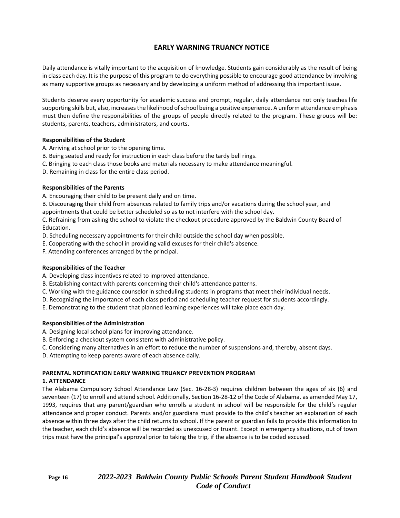### **EARLY WARNING TRUANCY NOTICE**

Daily attendance is vitally important to the acquisition of knowledge. Students gain considerably as the result of being in class each day. It is the purpose of this program to do everything possible to encourage good attendance by involving as many supportive groups as necessary and by developing a uniform method of addressing this important issue.

Students deserve every opportunity for academic success and prompt, regular, daily attendance not only teaches life supporting skills but, also, increases the likelihood of school being a positive experience. A uniform attendance emphasis must then define the responsibilities of the groups of people directly related to the program. These groups will be: students, parents, teachers, administrators, and courts.

#### **Responsibilities of the Student**

A. Arriving at school prior to the opening time.

- B. Being seated and ready for instruction in each class before the tardy bell rings.
- C. Bringing to each class those books and materials necessary to make attendance meaningful.
- D. Remaining in class for the entire class period.

#### **Responsibilities of the Parents**

A. Encouraging their child to be present daily and on time.

B. Discouraging their child from absences related to family trips and/or vacations during the school year, and appointments that could be better scheduled so as to not interfere with the school day.

C. Refraining from asking the school to violate the checkout procedure approved by the Baldwin County Board of Education.

D. Scheduling necessary appointments for their child outside the school day when possible.

E. Cooperating with the school in providing valid excuses for their child's absence.

F. Attending conferences arranged by the principal.

#### **Responsibilities of the Teacher**

A. Developing class incentives related to improved attendance.

- B. Establishing contact with parents concerning their child's attendance patterns.
- C. Working with the guidance counselor in scheduling students in programs that meet their individual needs.
- D. Recognizing the importance of each class period and scheduling teacher request for students accordingly.
- E. Demonstrating to the student that planned learning experiences will take place each day.

#### **Responsibilities of the Administration**

- A. Designing local school plans for improving attendance.
- B. Enforcing a checkout system consistent with administrative policy.
- C. Considering many alternatives in an effort to reduce the number of suspensions and, thereby, absent days.
- D. Attempting to keep parents aware of each absence daily.

## **PARENTAL NOTIFICATION EARLY WARNING TRUANCY PREVENTION PROGRAM**

#### **1. ATTENDANCE**

The Alabama Compulsory School Attendance Law (Sec. 16-28-3) requires children between the ages of six (6) and seventeen (17) to enroll and attend school. Additionally, Section 16-28-12 of the Code of Alabama, as amended May 17, 1993, requires that any parent/guardian who enrolls a student in school will be responsible for the child's regular attendance and proper conduct. Parents and/or guardians must provide to the child's teacher an explanation of each absence within three days after the child returns to school. If the parent or guardian fails to provide this information to the teacher, each child's absence will be recorded as unexcused or truant. Except in emergency situations, out of town trips must have the principal's approval prior to taking the trip, if the absence is to be coded excused.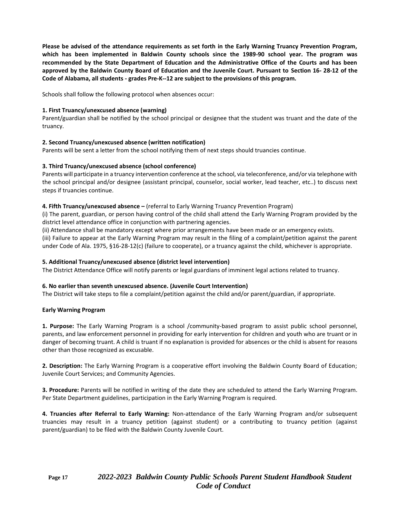**Please be advised of the attendance requirements as set forth in the Early Warning Truancy Prevention Program, which has been implemented in Baldwin County schools since the 1989-90 school year. The program was recommended by the State Department of Education and the Administrative Office of the Courts and has been approved by the Baldwin County Board of Education and the Juvenile Court. Pursuant to Section 16- 28-12 of the Code of Alabama, all students - grades Pre-K--12 are subject to the provisions of this program.**

Schools shall follow the following protocol when absences occur:

#### **1. First Truancy/unexcused absence (warning)**

Parent/guardian shall be notified by the school principal or designee that the student was truant and the date of the truancy.

#### **2. Second Truancy/unexcused absence (written notification)**

Parents will be sent a letter from the school notifying them of next steps should truancies continue.

#### **3. Third Truancy/unexcused absence (school conference)**

Parents will participate in a truancy intervention conference at the school, via teleconference, and/or via telephone with the school principal and/or designee (assistant principal, counselor, social worker, lead teacher, etc..) to discuss next steps if truancies continue.

#### **4. Fifth Truancy/unexcused absence –** (referral to Early Warning Truancy Prevention Program)

(i) The parent, guardian, or person having control of the child shall attend the Early Warning Program provided by the district level attendance office in conjunction with partnering agencies.

(ii) Attendance shall be mandatory except where prior arrangements have been made or an emergency exists. (iii) Failure to appear at the Early Warning Program may result in the filing of a complaint/petition against the parent under Code of Ala. 1975, §16-28-12(c) (failure to cooperate), or a truancy against the child, whichever is appropriate.

#### **5. Additional Truancy/unexcused absence (district level intervention)**

The District Attendance Office will notify parents or legal guardians of imminent legal actions related to truancy.

#### **6. No earlier than seventh unexcused absence. (Juvenile Court Intervention)**

The District will take steps to file a complaint/petition against the child and/or parent/guardian, if appropriate.

#### **Early Warning Program**

**1. Purpose:** The Early Warning Program is a school /community-based program to assist public school personnel, parents, and law enforcement personnel in providing for early intervention for children and youth who are truant or in danger of becoming truant. A child is truant if no explanation is provided for absences or the child is absent for reasons other than those recognized as excusable.

**2. Description:** The Early Warning Program is a cooperative effort involving the Baldwin County Board of Education; Juvenile Court Services; and Community Agencies.

**3. Procedure:** Parents will be notified in writing of the date they are scheduled to attend the Early Warning Program. Per State Department guidelines, participation in the Early Warning Program is required.

**4. Truancies after Referral to Early Warning:** Non-attendance of the Early Warning Program and/or subsequent truancies may result in a truancy petition (against student) or a contributing to truancy petition (against parent/guardian) to be filed with the Baldwin County Juvenile Court.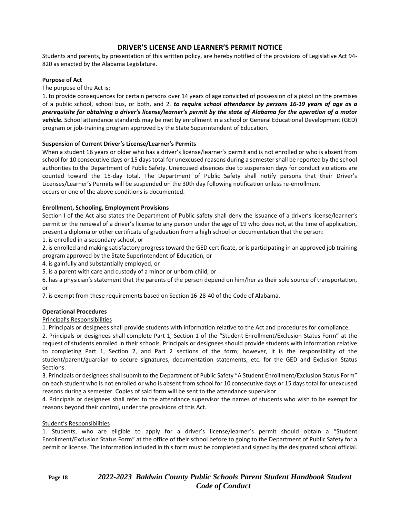### **DRIVER'S LICENSE AND LEARNER'S PERMIT NOTICE**

Students and parents, by presentation of this written policy, are hereby notified of the provisions of Legislative Act 94- 820 as enacted by the Alabama Legislature.

#### **Purpose of Act**

The purpose of the Act is:

1. to provide consequences for certain persons over 14 years of age convicted of possession of a pistol on the premises of a public school, school bus, or both, and 2. *to require school attendance by persons 16-19 years of age as a prerequisite for obtaining a driver's license/learner's permit by the state of Alabama for the operation of a motor vehicle.* School attendance standards may be met by enrollment in a school or General Educational Development (GED) program or job-training program approved by the State Superintendent of Education.

#### **Suspension of Current Driver's License/Learner's Permits**

When a student 16 years or older who has a driver's license/learner's permit and is not enrolled or who is absent from school for 10 consecutive days or 15 days total for unexcused reasons during a semester shall be reported by the school authorities to the Department of Public Safety. Unexcused absences due to suspension days for conduct violations are counted toward the 15-day total. The Department of Public Safety shall notify persons that their Driver's Licenses/Learner's Permits will be suspended on the 30th day following notification unless re-enrollment occurs or one of the above conditions is documented.

#### **Enrollment, Schooling, Employment Provisions**

Section I of the Act also states the Department of Public safety shall deny the issuance of a driver's license/learner's permit or the renewal of a driver's license to any person under the age of 19 who does not, at the time of application, present a diploma or other certificate of graduation from a high school or documentation that the person:

1. is enrolled in a secondary school, or

2. is enrolled and making satisfactory progress toward the GED certificate, or is participating in an approved job training program approved by the State Superintendent of Education, or

4. is gainfully and substantially employed, or

5. is a parent with care and custody of a minor or unborn child, or

6. has a physician's statement that the parents of the person depend on him/her as their sole source of transportation, or

7. is exempt from these requirements based on Section 16-28-40 of the Code of Alabama.

#### **Operational Procedures**

#### Principal's Responsibilities

1. Principals or designees shall provide students with information relative to the Act and procedures for compliance.

2. Principals or designees shall complete Part 1, Section 1 of the "Student Enrollment/Exclusion Status Form" at the request of students enrolled in their schools. Principals or designees should provide students with information relative to completing Part 1, Section 2, and Part 2 sections of the form; however, it is the responsibility of the student/parent/guardian to secure signatures, documentation statements, etc. for the GED and Exclusion Status Sections.

3. Principals or designees shall submit to the Department of Public Safety "A Student Enrollment/Exclusion Status Form" on each student who is not enrolled or who is absent from school for 10 consecutive days or 15 days total for unexcused reasons during a semester. Copies of said form will be sent to the attendance supervisor.

4. Principals or designees shall refer to the attendance supervisor the names of students who wish to be exempt for reasons beyond their control, under the provisions of this Act.

#### Student's Responsibilities

1. Students, who are eligible to apply for a driver's license/learner's permit should obtain a "Student Enrollment/Exclusion Status Form" at the office of their school before to going to the Department of Public Safety for a permit or license. The information included in this form must be completed and signed by the designated school official.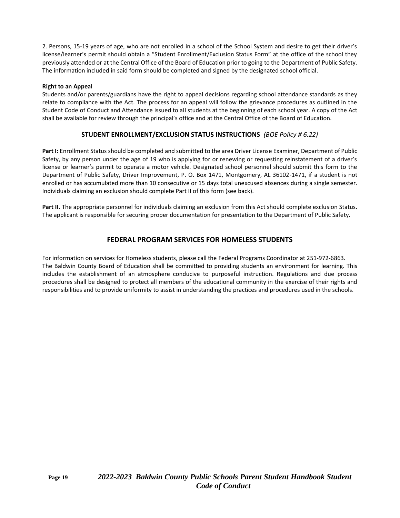2. Persons, 15-19 years of age, who are not enrolled in a school of the School System and desire to get their driver's license/learner's permit should obtain a "Student Enrollment/Exclusion Status Form" at the office of the school they previously attended or at the Central Office of the Board of Education prior to going to the Department of Public Safety. The information included in said form should be completed and signed by the designated school official.

#### **Right to an Appeal**

Students and/or parents/guardians have the right to appeal decisions regarding school attendance standards as they relate to compliance with the Act. The process for an appeal will follow the grievance procedures as outlined in the Student Code of Conduct and Attendance issued to all students at the beginning of each school year. A copy of the Act shall be available for review through the principal's office and at the Central Office of the Board of Education.

### **STUDENT ENROLLMENT/EXCLUSION STATUS INSTRUCTIONS** *(BOE Policy # 6.22)*

Part I: Enrollment Status should be completed and submitted to the area Driver License Examiner, Department of Public Safety, by any person under the age of 19 who is applying for or renewing or requesting reinstatement of a driver's license or learner's permit to operate a motor vehicle. Designated school personnel should submit this form to the Department of Public Safety, Driver Improvement, P. O. Box 1471, Montgomery, AL 36102-1471, if a student is not enrolled or has accumulated more than 10 consecutive or 15 days total unexcused absences during a single semester. Individuals claiming an exclusion should complete Part II of this form (see back).

**Part II.** The appropriate personnel for individuals claiming an exclusion from this Act should complete exclusion Status. The applicant is responsible for securing proper documentation for presentation to the Department of Public Safety.

### **FEDERAL PROGRAM SERVICES FOR HOMELESS STUDENTS**

For information on services for Homeless students, please call the Federal Programs Coordinator at 251-972-6863. The Baldwin County Board of Education shall be committed to providing students an environment for learning. This includes the establishment of an atmosphere conducive to purposeful instruction. Regulations and due process procedures shall be designed to protect all members of the educational community in the exercise of their rights and responsibilities and to provide uniformity to assist in understanding the practices and procedures used in the schools.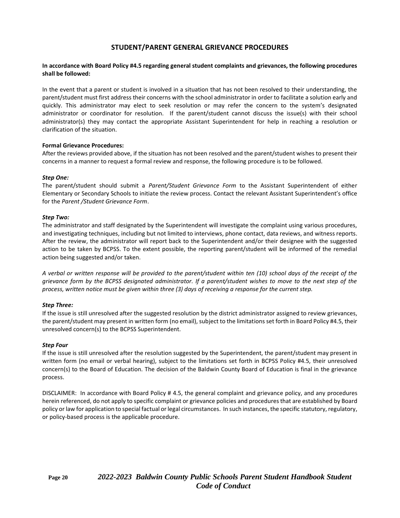### **STUDENT/PARENT GENERAL GRIEVANCE PROCEDURES**

#### **In accordance with Board Policy #4.5 regarding general student complaints and grievances, the following procedures shall be followed:**

In the event that a parent or student is involved in a situation that has not been resolved to their understanding, the parent/student must first address their concerns with the school administrator in order to facilitate a solution early and quickly. This administrator may elect to seek resolution or may refer the concern to the system's designated administrator or coordinator for resolution. If the parent/student cannot discuss the issue(s) with their school administrator(s) they may contact the appropriate Assistant Superintendent for help in reaching a resolution or clarification of the situation.

#### **Formal Grievance Procedures:**

After the reviews provided above, if the situation has not been resolved and the parent/student wishes to present their concerns in a manner to request a formal review and response, the following procedure is to be followed.

#### *Step One:*

The parent/student should submit a *Parent/Student Grievance Form* to the Assistant Superintendent of either Elementary or Secondary Schools to initiate the review process. Contact the relevant Assistant Superintendent's office for the *Parent /Student Grievance Form*.

#### *Step Two:*

The administrator and staff designated by the Superintendent will investigate the complaint using various procedures, and investigating techniques, including but not limited to interviews, phone contact, data reviews, and witness reports. After the review, the administrator will report back to the Superintendent and/or their designee with the suggested action to be taken by BCPSS. To the extent possible, the reporting parent/student will be informed of the remedial action being suggested and/or taken.

*A verbal or written response will be provided to the parent/student within ten (10) school days of the receipt of the grievance form by the BCPSS designated administrator. If a parent/student wishes to move to the next step of the process, written notice must be given within three (3) days of receiving a response for the current step.* 

#### *Step Three:*

If the issue is still unresolved after the suggested resolution by the district administrator assigned to review grievances, the parent/student may present in written form (no email), subject to the limitations set forth in Board Policy #4.5, their unresolved concern(s) to the BCPSS Superintendent.

#### *Step Four*

If the issue is still unresolved after the resolution suggested by the Superintendent, the parent/student may present in written form (no email or verbal hearing), subject to the limitations set forth in BCPSS Policy #4.5, their unresolved concern(s) to the Board of Education. The decision of the Baldwin County Board of Education is final in the grievance process.

DISCLAIMER: In accordance with Board Policy # 4.5, the general complaint and grievance policy, and any procedures herein referenced, do not apply to specific complaint or grievance policies and procedures that are established by Board policy or law for application to special factual or legal circumstances. In such instances, the specific statutory, regulatory, or policy-based process is the applicable procedure.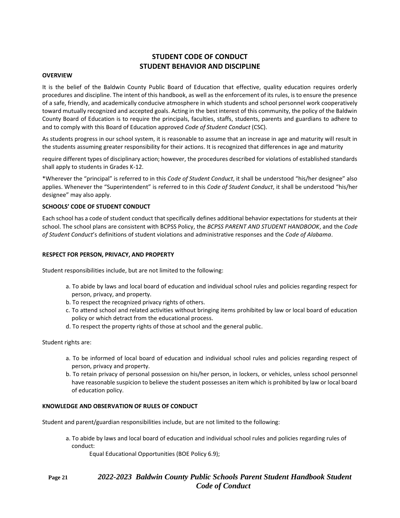### **STUDENT CODE OF CONDUCT STUDENT BEHAVIOR AND DISCIPLINE**

#### **OVERVIEW**

It is the belief of the Baldwin County Public Board of Education that effective, quality education requires orderly procedures and discipline. The intent of this handbook, as well as the enforcement of its rules, is to ensure the presence of a safe, friendly, and academically conducive atmosphere in which students and school personnel work cooperatively toward mutually recognized and accepted goals. Acting in the best interest of this community, the policy of the Baldwin County Board of Education is to require the principals, faculties, staffs, students, parents and guardians to adhere to and to comply with this Board of Education approved *Code of Student Conduct* (CSC).

As students progress in our school system, it is reasonable to assume that an increase in age and maturity will result in the students assuming greater responsibility for their actions. It is recognized that differences in age and maturity

require different types of disciplinary action; however, the procedures described for violations of established standards shall apply to students in Grades K-12.

\*Wherever the "principal" is referred to in this *Code of Student Conduct*, it shall be understood "his/her designee" also applies. Whenever the "Superintendent" is referred to in this *Code of Student Conduct*, it shall be understood "his/her designee" may also apply.

#### **SCHOOLS' CODE OF STUDENT CONDUCT**

Each school has a code of student conduct that specifically defines additional behavior expectations for students at their school. The school plans are consistent with BCPSS Policy, the *BCPSS PARENT AND STUDENT HANDBOOK*, and the *Code of Student Conduct*'s definitions of student violations and administrative responses and the *Code of Alabama*.

#### **RESPECT FOR PERSON, PRIVACY, AND PROPERTY**

Student responsibilities include, but are not limited to the following:

- a. To abide by laws and local board of education and individual school rules and policies regarding respect for person, privacy, and property.
- b. To respect the recognized privacy rights of others.
- c. To attend school and related activities without bringing items prohibited by law or local board of education policy or which detract from the educational process.
- d. To respect the property rights of those at school and the general public.

#### Student rights are:

- a. To be informed of local board of education and individual school rules and policies regarding respect of person, privacy and property.
- b. To retain privacy of personal possession on his/her person, in lockers, or vehicles, unless school personnel have reasonable suspicion to believe the student possesses an item which is prohibited by law or local board of education policy.

#### **KNOWLEDGE AND OBSERVATION OF RULES OF CONDUCT**

Student and parent/guardian responsibilities include, but are not limited to the following:

a. To abide by laws and local board of education and individual school rules and policies regarding rules of conduct:

Equal Educational Opportunities (BOE Policy 6.9);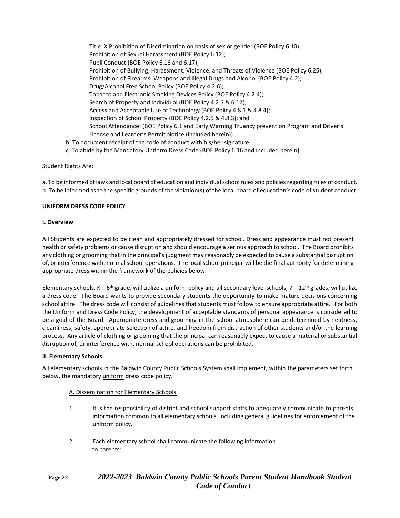Title IX Prohibition of Discrimination on basis of sex or gender (BOE Policy 6.10); Prohibition of Sexual Harassment (BOE Policy 6.12); Pupil Conduct (BOE Policy 6.16 and 6.17); Prohibition of Bullying, Harassment, Violence, and Threats of Violence (BOE Policy 6.25); Prohibition of Firearms, Weapons and Illegal Drugs and Alcohol (BOE Policy 4.2); Drug/Alcohol Free School Policy (BOE Policy 4.2.6); Tobacco and Electronic Smoking Devices Policy (BOE Policy 4.2.4); Search of Property and Individual (BOE Policy 4.2.5 & 6.17); Access and Acceptable Use of Technology (BOE Policy 4.8.1 & 4.8.4); Inspection of School Property (BOE Policy 4.2.5 & 4.8.3); and School Attendance: (BOE Policy 6.1 and Early Warning Truancy prevention Program and Driver's License and Learner's Permit Notice (included herein)). b. To document receipt of the code of conduct with his/her signature.

c. To abide by the Mandatory Uniform Dress Code (BOE Policy 6.16 and included herein).

#### Student Rights Are:

a. To be informed of laws and local board of education and individual school rules and policies regarding rules of conduct. b. To be informed as to the specific grounds of the violation(s) of the local board of education's code of student conduct.

#### **UNIFORM DRESS CODE POLICY**

#### **I. Overview**

All Students are expected to be clean and appropriately dressed for school. Dress and appearance must not present health or safety problems or cause disruption and should encourage a serious approach to school. The Board prohibits any clothing or grooming that in the principal's judgment may reasonably be expected to cause a substantial disruption of, or interference with, normal school operations. The local school principal will be the final authority for determining appropriate dress within the framework of the policies below.

Elementary schools, K – 6<sup>th</sup> grade, will utilize a uniform policy and all secondary level schools, 7 – 12<sup>th</sup> grades, will utilize a dress code. The Board wants to provide secondary students the opportunity to make mature decisions concerning school attire. The dress code will consist of guidelines that students must follow to ensure appropriate attire. For both the Uniform and Dress Code Policy, the development of acceptable standards of personal appearance is considered to be a goal of the Board. Appropriate dress and grooming in the school atmosphere can be determined by neatness, cleanliness, safety, appropriate selection of attire, and freedom from distraction of other students and/or the learning process. Any article of clothing or grooming that the principal can reasonably expect to cause a material or substantial disruption of, or interference with, normal school operations can be prohibited.

#### **II. Elementary Schools:**

All elementary schools in the Baldwin County Public Schools System shall implement, within the parameters set forth below, the mandatory *uniform* dress code policy.

#### A. Dissemination for Elementary Schools

- 1. It is the responsibility of district and school support staffs to adequately communicate to parents, information common to all elementary schools, including general guidelines for enforcement of the uniform policy.
- 2. Each elementary school shall communicate the following information to parents:

### **Page 22** *2022-2023 Baldwin County Public Schools Parent Student Handbook Student Code of Conduct*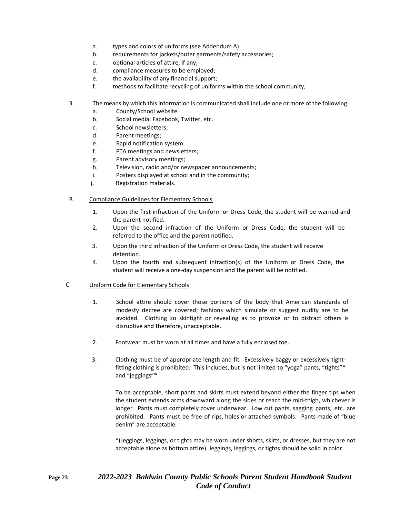- a. types and colors of uniforms (see Addendum A)
- b. requirements for jackets/outer garments/safety accessories;
- c. optional articles of attire, if any;
- d. compliance measures to be employed;
- e. the availability of any financial support;
- f. methods to facilitate recycling of uniforms within the school community;
- 3. The means by which this information is communicated shall include one or more of the following:
	- a. County/School website
	- b. Social media: Facebook, Twitter, etc.
	- c. School newsletters;
	- d. Parent meetings;
	- e. Rapid notification system
	- f. PTA meetings and newsletters;
	- g. Parent advisory meetings;
	- h. Television, radio and/or newspaper announcements;
	- i. Posters displayed at school and in the community;
	- j. Registration materials.
- B. Compliance Guidelines for Elementary Schools
	- 1. Upon the first infraction of the Uniform or Dress Code, the student will be warned and the parent notified.
	- 2. Upon the second infraction of the Uniform or Dress Code, the student will be referred to the office and the parent notified.
	- 3. Upon the third infraction of the Uniform or Dress Code, the student will receive detention.
	- 4. Upon the fourth and subsequent infraction(s) of the Uniform or Dress Code, the student will receive a one-day suspension and the parent will be notified.

#### C. Uniform Code for Elementary Schools

- 1. School attire should cover those portions of the body that American standards of modesty decree are covered; fashions which simulate or suggest nudity are to be avoided. Clothing so skintight or revealing as to provoke or to distract others is disruptive and therefore, unacceptable.
- 2. Footwear must be worn at all times and have a fully enclosed toe.
- 3. Clothing must be of appropriate length and fit. Excessively baggy or excessively tightfitting clothing is prohibited. This includes, but is not limited to "yoga" pants, "tights"\* and "jeggings"\*.

To be acceptable, short pants and skirts must extend beyond either the finger tips when the student extends arms downward along the sides or reach the mid-thigh, whichever is longer. Pants must completely cover underwear. Low cut pants, sagging pants, etc. are prohibited. Pants must be free of rips, holes or attached symbols. Pants made of "blue denim" are acceptable.

\*(Jeggings, leggings, or tights may be worn under shorts, skirts, or dresses, but they are not acceptable alone as bottom attire). Jeggings, leggings, or tights should be solid in color.

### **Page 23** *2022-2023 Baldwin County Public Schools Parent Student Handbook Student Code of Conduct*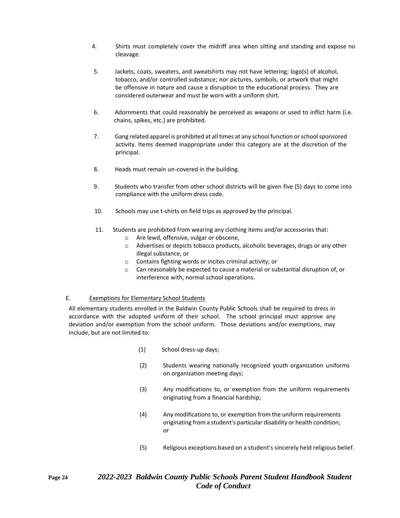- 4. Shirts must completely cover the midriff area when sitting and standing and expose no cleavage.
- 5. Jackets, coats, sweaters, and sweatshirts may not have lettering; logo(s) of alcohol, tobacco, and/or controlled substance; nor pictures, symbols, or artwork that might be offensive in nature and cause a disruption to the educational process. They are considered outerwear and must be worn with a uniform shirt.
- 6. Adornments that could reasonably be perceived as weapons or used to inflict harm (i.e. chains, spikes, etc.) are prohibited.
- 7. Gang related apparel is prohibited at all times at any school function orschool sponsored activity. Items deemed inappropriate under this category are at the discretion of the principal.
- 8. Heads must remain un-covered in the building.
- 9. Students who transfer from other school districts will be given five (5) days to come into compliance with the uniform dress code.
- 10. Schools may use t-shirts on field trips as approved by the principal.
- 11. Students are prohibited from wearing any clothing items and/or accessories that:
	- o Are lewd, offensive, vulgar or obscene,
	- o Advertises or depicts tobacco products, alcoholic beverages, drugs or any other illegal substance, or
	- o Contains fighting words or incites criminal activity; or
	- o Can reasonably be expected to cause a material or substantial disruption of, or interference with, normal school operations.

#### E. Exemptions for Elementary School Students

All elementary students enrolled in the Baldwin County Public Schools shall be required to dress in accordance with the adopted uniform of their school. The school principal must approve any deviation and/or exemption from the school uniform. Those deviations and/or exemptions, may include, but are not limited to:

- (1) School dress-up days;
- (2) Students wearing nationally recognized youth organization uniforms on organization meeting days;
- (3) Any modifications to, or exemption from the uniform requirements originating from a financial hardship;
- (4) Any modifications to, or exemption from the uniform requirements originating from a student's particular disability or health condition; or
- (5) Religious exceptions based on a student's sincerely held religious belief.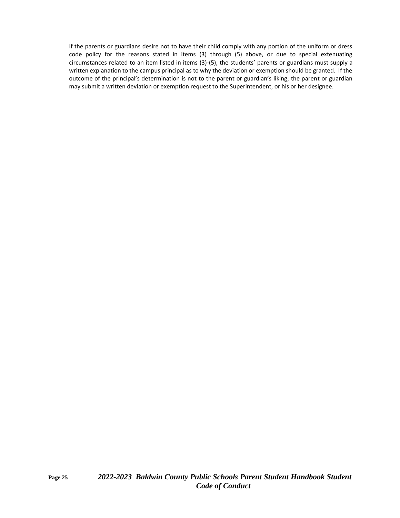If the parents or guardians desire not to have their child comply with any portion of the uniform or dress code policy for the reasons stated in items (3) through (5) above, or due to special extenuating circumstances related to an item listed in items (3)-(5), the students' parents or guardians must supply a written explanation to the campus principal as to why the deviation or exemption should be granted. If the outcome of the principal's determination is not to the parent or guardian's liking, the parent or guardian may submit a written deviation or exemption request to the Superintendent, or his or her designee.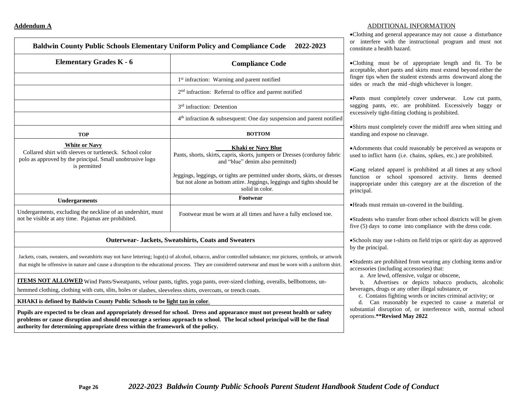| <b>Elementary Grades K - 6</b>                                                                                                                                                                                                                                                                                             | <b>Compliance Code</b>                                                                                                                                                     |  |
|----------------------------------------------------------------------------------------------------------------------------------------------------------------------------------------------------------------------------------------------------------------------------------------------------------------------------|----------------------------------------------------------------------------------------------------------------------------------------------------------------------------|--|
|                                                                                                                                                                                                                                                                                                                            | 1 <sup>st</sup> infraction: Warning and parent notified                                                                                                                    |  |
|                                                                                                                                                                                                                                                                                                                            | 2 <sup>nd</sup> infraction: Referral to office and parent notified                                                                                                         |  |
|                                                                                                                                                                                                                                                                                                                            | 3 <sup>rd</sup> infraction: Detention                                                                                                                                      |  |
|                                                                                                                                                                                                                                                                                                                            | $4th$ infraction & subsesquent: One day suspension and parent notified                                                                                                     |  |
| <b>TOP</b>                                                                                                                                                                                                                                                                                                                 | <b>BOTTOM</b>                                                                                                                                                              |  |
| <b>White or Navy</b><br>Collared shirt with sleeves or turtleneck. School color<br>polo as approved by the principal. Small unobtrusive logo<br>is permitted                                                                                                                                                               | <b>Khaki or Navy Blue</b><br>Pants, shorts, skirts, capris, skorts, jumpers or Dresses (corduroy fabric<br>and "blue" denim also permitted)                                |  |
|                                                                                                                                                                                                                                                                                                                            | Jeggings, leggings, or tights are permitted under shorts, skirts, or dresses<br>but not alone as bottom attire. Jeggings, leggings and tights should be<br>solid in color. |  |
| <b>Undergarments</b>                                                                                                                                                                                                                                                                                                       | Footwear                                                                                                                                                                   |  |
| Undergarments, excluding the neckline of an undershirt, must<br>not be visible at any time. Pajamas are prohibited.                                                                                                                                                                                                        | Footwear must be worn at all times and have a fully enclosed toe.                                                                                                          |  |
| <b>Outerwear- Jackets, Sweatshirts, Coats and Sweaters</b>                                                                                                                                                                                                                                                                 |                                                                                                                                                                            |  |
| Jackets, coats, sweaters, and sweatshirts may not have lettering; logo(s) of alcohol, tobacco, and/or controlled substance; nor pictures, symbols, or artwork<br>that might be offensive in nature and cause a disruption to the educational process. They are considered outerwear and must be worn with a uniform shirt. |                                                                                                                                                                            |  |
|                                                                                                                                                                                                                                                                                                                            | ITEMS NOT ALLOWED Wind Pants/Sweatpants, velour pants, tights, yoga pants, over-sized clothing, overalls, bellbottoms, un-                                                 |  |
| hemmed clothing, clothing with cuts, slits, holes or slashes, sleeveless shirts, overcoats, or trench coats.                                                                                                                                                                                                               |                                                                                                                                                                            |  |

#### **Addendum A** ADDITIONAL INFORMATION

•Clothing and general appearance may not cause a disturbance with the instructional program and must not alth hazard.

ist be of appropriate length and fit. To be rt pants and skirts must extend beyond either the en the student extends arms downward along the the mid -thigh whichever is longer.

completely cover underwear. Low cut pants, etc. are prohibited. Excessively baggy or ht-fitting clothing is prohibited.

ompletely cover the midriff area when sitting and spose no cleavage.

hat could reasonably be perceived as weapons or narm (i.e. chains, spikes, etc.) are prohibited.

apparel is prohibited at all times at any school school sponsored activity. Items deemed inder this category are at the discretion of the

main un-covered in the building.

transfer from other school districts will be given b come into compliance with the dress code.

use t-shirts on field trips or spirit day as approved by the principal.

rohibited from wearing any clothing items and/or cluding accessories) that:

d, offensive, vulgar or obscene,

ertises or depicts tobacco products, alcoholic gs or any other illegal substance, or

fighting words or incites criminal activity; or

easonably be expected to cause a material or ruption of, or interference with, normal school devised May 2022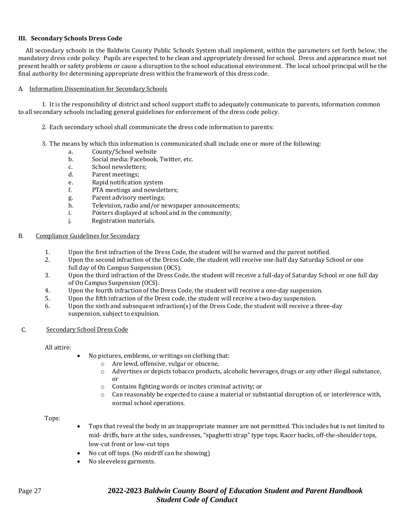#### **III. Secondary Schools Dress Code**

 All secondary schools in the Baldwin County Public Schools System shall implement, within the parameters set forth below, the mandatory dress code policy. Pupils are expected to be clean and appropriately dressed for school. Dress and appearance must not present health or safety problems or cause a disruption to the school educational environment. The local school principal will be the final authority for determining appropriate dress within the framework of this dress code.

#### A. Information Dissemination for Secondary Schools

1. It is the responsibility of district and school support staffs to adequately communicate to parents, information common to all secondary schools including general guidelines for enforcement of the dress code policy.

- 2. Each secondary school shall communicate the dress code information to parents:
- 3. The means by which this information is communicated shall include one or more of the following:
	- a. County/School website
	- b. Social media: Facebook, Twitter, etc.
	- c. School newsletters;
	- d. Parent meetings;
	- e. Rapid notification system
	- f. PTA meetings and newsletters;
	- g. Parent advisory meetings;
	- h. Television, radio and/or newspaper announcements;
	- i. Posters displayed at school and in the community;
	- j. Registration materials.

#### B. Compliance Guidelines for Secondary

- 1. Upon the first infraction of the Dress Code, the student will be warned and the parent notified.
- 2. Upon the second infraction of the Dress Code, the student will receive one-half day Saturday School or one full day of On Campus Suspension (OCS).
- 3. Upon the third infraction of the Dress Code, the student will receive a full-day of Saturday School or one full day of On Campus Suspension (OCS).
- 4. Upon the fourth infraction of the Dress Code, the student will receive a one-day suspension.
- 5. Upon the fifth infraction of the Dress code, the student will receive a two-day suspension.
- 6. Upon the sixth and subsequent infraction(s) of the Dress Code, the student will receive a three-day suspension, subject to expulsion.
- C. Secondary School Dress Code

All attire:

- No pictures, emblems, or writings on clothing that:
	- o Are lewd, offensive, vulgar or obscene,
	- o Advertises or depicts tobacco products, alcoholic beverages, drugs or any other illegal substance, or
	- o Contains fighting words or incites criminal activity; or
	- $\circ$  Can reasonably be expected to cause a material or substantial disruption of, or interference with, normal school operations.

Tops:

- Tops that reveal the body in an inappropriate manner are not permitted. This includes but is not limited to mid- driffs, bare at the sides, sundresses, "spaghetti strap" type tops, Racer backs, off-the-shoulder tops, low-cut front or low-cut tops
- No cut off tops. (No midriff can be showing)
- No sleeveless garments.

### Page 27 **2022-2023** *Baldwin County Board of Education Student and Parent Handbook Student Code of Conduct*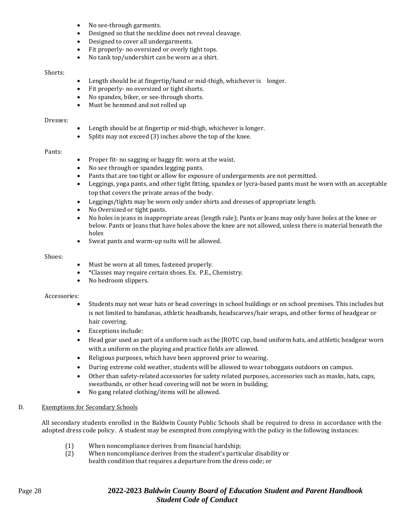- No see-through garments.
- Designed so that the neckline does not reveal cleavage.
- Designed to cover all undergarments.
- Fit properly- no oversized or overly tight tops.
- No tank top/undershirt can be worn as a shirt.

#### Shorts:

- Length should be at fingertip/hand or mid-thigh, whichever is longer.
- Fit properly- no oversized or tight shorts.
- No spandex, biker, or see-through shorts.
- Must be hemmed and not rolled up

#### Dresses:

- Length should be at fingertip or mid-thigh, whichever is longer.
- Splits may not exceed (3) inches above the top of the knee.

#### Pants:

- Proper fit- no sagging or baggy fit: worn at the waist.
- No see through or spandex legging pants.
- Pants that are too tight or allow for exposure of undergarments are not permitted.
- Leggings, yoga pants, and other tight fitting, spandex or lycra-based pants must be worn with an acceptable top that covers the private areas of the body.
- Leggings/tights may be worn only under shirts and dresses of appropriate length.
- No Oversized or tight pants.
- No holes in jeans in inappropriate areas (length rule); Pants or Jeans may only have holes at the knee or below. Pants or Jeans that have holes above the knee are not allowed, unless there is material beneath the holes
- Sweat pants and warm-up suits will be allowed.

#### Shoes:

- Must be worn at all times, fastened properly.
- \*Classes may require certain shoes. Ex. P.E., Chemistry.
- No bedroom slippers.

#### Accessories:

- Students may not wear hats or head coverings in school buildings or on school premises. This includes but is not limited to bandanas, athletic headbands, headscarves/hair wraps, and other forms of headgear or hair covering.
- Exceptions include:
- Head gear used as part of a uniform such as the JROTC cap, band uniform hats, and athletic headgear worn with a uniform on the playing and practice fields are allowed.
- Religious purposes, which have been approved prior to wearing.
- During extreme cold weather, students will be allowed to wear toboggans outdoors on campus.
- Other than safety-related accessories for safety related purposes, accessories such as masks, hats, caps, sweatbands, or other head covering will not be worn in building;
- No gang related clothing/items will be allowed.

#### D. Exemptions for Secondary Schools

All secondary students enrolled in the Baldwin County Public Schools shall be required to dress in accordance with the adopted dress code policy. A student may be exempted from complying with the policy in the following instances:

- (1) When noncompliance derives from financial hardship;
- (2) When noncompliance derives from the student's particular disability or health condition that requires a departure from the dress code; or

### Page 28 **2022-2023** *Baldwin County Board of Education Student and Parent Handbook Student Code of Conduct*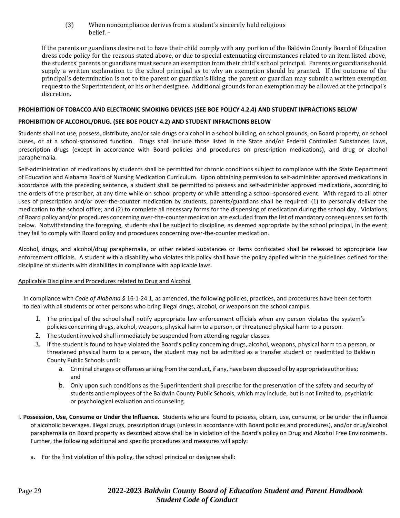(3) When noncompliance derives from a student's sincerely held religious belief. –

If the parents or guardians desire not to have their child comply with any portion of the Baldwin County Board of Education dress code policy for the reasons stated above, or due to special extenuating circumstances related to an item listed above, the students' parents or guardians must secure an exemption from their child's school principal. Parents or guardians should supply a written explanation to the school principal as to why an exemption should be granted. If the outcome of the principal's determination is not to the parent or guardian's liking, the parent or guardian may submit a written exemption request to the Superintendent, or his or her designee. Additional grounds for an exemption may be allowed at the principal's discretion.

#### **PROHIBITION OF TOBACCO AND ELECTRONIC SMOKING DEVICES (SEE BOE POLICY 4.2.4) AND STUDENT INFRACTIONS BELOW**

#### **PROHIBITION OF ALCOHOL/DRUG. (SEE BOE POLICY 4.2) AND STUDENT INFRACTIONS BELOW**

Students shall not use, possess, distribute, and/or sale drugs or alcohol in a school building, on school grounds, on Board property, on school buses, or at a school-sponsored function. Drugs shall include those listed in the State and/or Federal Controlled Substances Laws, prescription drugs (except in accordance with Board policies and procedures on prescription medications), and drug or alcohol paraphernalia.

Self-administration of medications by students shall be permitted for chronic conditions subject to compliance with the State Department of Education and Alabama Board of Nursing Medication Curriculum. Upon obtaining permission to self-administer approved medications in accordance with the preceding sentence, a student shall be permitted to possess and self-administer approved medications, according to the orders of the prescriber, at any time while on school property or while attending a school-sponsored event. With regard to all other uses of prescription and/or over-the-counter medication by students, parents/guardians shall be required: (1) to personally deliver the medication to the school office; and (2) to complete all necessary forms for the dispensing of medication during the school day. Violations of Board policy and/or procedures concerning over-the-counter medication are excluded from the list of mandatory consequences set forth below. Notwithstanding the foregoing, students shall be subject to discipline, as deemed appropriate by the school principal, in the event they fail to comply with Board policy and procedures concerning over-the-counter medication.

Alcohol, drugs, and alcohol/drug paraphernalia, or other related substances or items confiscated shall be released to appropriate law enforcement officials. A student with a disability who violates this policy shall have the policy applied within the guidelines defined for the discipline of students with disabilities in compliance with applicable laws.

#### Applicable Discipline and Procedures related to Drug and Alcohol

In compliance with *Code of Alabama §* 16-1-24.1, as amended, the following policies, practices, and procedures have been set forth to deal with all students or other persons who bring illegal drugs, alcohol, or weapons on the school campus.

- 1. The principal of the school shall notify appropriate law enforcement officials when any person violates the system's policies concerning drugs, alcohol, weapons, physical harm to a person, or threatened physical harm to a person.
- 2. The student involved shall immediately be suspended from attending regular classes.
- 3. If the student is found to have violated the Board's policy concerning drugs, alcohol, weapons, physical harm to a person, or threatened physical harm to a person, the student may not be admitted as a transfer student or readmitted to Baldwin County Public Schools until:
	- a. Criminal charges or offenses arising from the conduct, if any, have been disposed of by appropriateauthorities; and
	- b. Only upon such conditions as the Superintendent shall prescribe for the preservation of the safety and security of students and employees of the Baldwin County Public Schools, which may include, but is not limited to, psychiatric or psychological evaluation and counseling.
- I. **Possession, Use, Consume or Under the Influence.** Students who are found to possess, obtain, use, consume, or be under the influence of alcoholic beverages, illegal drugs, prescription drugs (unless in accordance with Board policies and procedures), and/or drug/alcohol paraphernalia on Board property as described above shall be in violation of the Board's policy on Drug and Alcohol Free Environments. Further, the following additional and specific procedures and measures will apply:
	- a. For the first violation of this policy, the school principal or designee shall: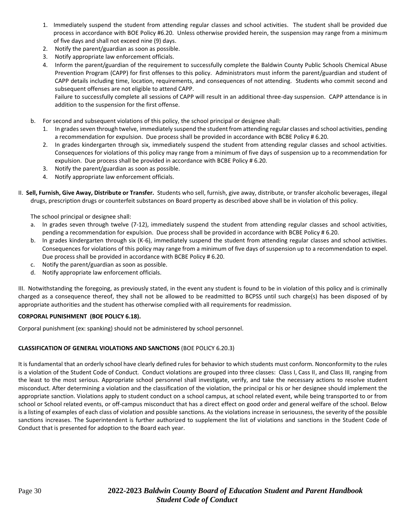- 1. Immediately suspend the student from attending regular classes and school activities. The student shall be provided due process in accordance with BOE Policy #6.20. Unless otherwise provided herein, the suspension may range from a minimum of five days and shall not exceed nine (9) days.
- 2. Notify the parent/guardian as soon as possible.
- 3. Notify appropriate law enforcement officials.
- 4. Inform the parent/guardian of the requirement to successfully complete the Baldwin County Public Schools Chemical Abuse Prevention Program (CAPP) for first offenses to this policy. Administrators must inform the parent/guardian and student of CAPP details including time, location, requirements, and consequences of not attending. Students who commit second and subsequent offenses are not eligible to attend CAPP.

Failure to successfully complete all sessions of CAPP will result in an additional three-day suspension. CAPP attendance is in addition to the suspension for the first offense.

- b. For second and subsequent violations of this policy, the school principal or designee shall:
	- 1. In grades seven through twelve, immediately suspend the student from attending regular classes and school activities, pending a recommendation for expulsion. Due process shall be provided in accordance with BCBE Policy # 6.20.
	- 2. In grades kindergarten through six, immediately suspend the student from attending regular classes and school activities. Consequences for violations of this policy may range from a minimum of five days of suspension up to a recommendation for expulsion. Due process shall be provided in accordance with BCBE Policy # 6.20.
	- 3. Notify the parent/guardian as soon as possible.
	- 4. Notify appropriate law enforcement officials.
- II. **Sell, Furnish, Give Away, Distribute or Transfer.** Students who sell, furnish, give away, distribute, or transfer alcoholic beverages, illegal drugs, prescription drugs or counterfeit substances on Board property as described above shall be in violation of this policy.

The school principal or designee shall:

- a. In grades seven through twelve (7-12), immediately suspend the student from attending regular classes and school activities, pending a recommendation for expulsion. Due process shall be provided in accordance with BCBE Policy # 6.20.
- b. In grades kindergarten through six (K-6), immediately suspend the student from attending regular classes and school activities. Consequences for violations of this policy may range from a minimum of five days of suspension up to a recommendation to expel. Due process shall be provided in accordance with BCBE Policy # 6.20.
- c. Notify the parent/guardian as soon as possible.
- d. Notify appropriate law enforcement officials.

III. Notwithstanding the foregoing, as previously stated, in the event any student is found to be in violation of this policy and is criminally charged as a consequence thereof, they shall not be allowed to be readmitted to BCPSS until such charge(s) has been disposed of by appropriate authorities and the student has otherwise complied with all requirements for readmission.

#### **CORPORAL PUNISHMENT (BOE POLICY 6.18).**

Corporal punishment (ex: spanking) should not be administered by school personnel.

#### **CLASSIFICATION OF GENERAL VIOLATIONS AND SANCTIONS** (BOE POLICY 6.20.3)

It is fundamental that an orderly school have clearly defined rules for behavior to which students must conform. Nonconformity to the rules is a violation of the Student Code of Conduct. Conduct violations are grouped into three classes: Class I, Cass II, and Class III, ranging from the least to the most serious. Appropriate school personnel shall investigate, verify, and take the necessary actions to resolve student misconduct. After determining a violation and the classification of the violation, the principal or his or her designee should implement the appropriate sanction. Violations apply to student conduct on a school campus, at school related event, while being transported to or from school or School related events, or off-campus misconduct that has a direct effect on good order and general welfare of the school. Below is a listing of examples of each class of violation and possible sanctions. As the violations increase in seriousness, the severity of the possible sanctions increases. The Superintendent is further authorized to supplement the list of violations and sanctions in the Student Code of Conduct that is presented for adoption to the Board each year.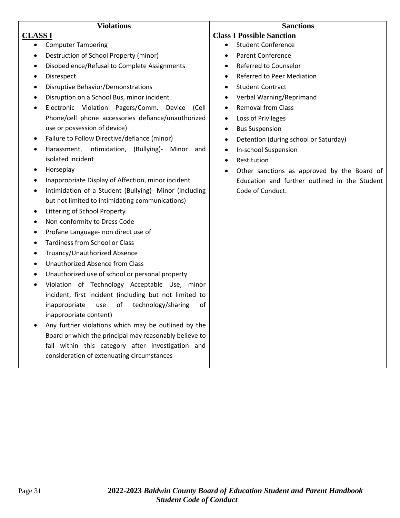| <b>Violations</b>                                           | <b>Sanctions</b>                                         |  |
|-------------------------------------------------------------|----------------------------------------------------------|--|
| <b>CLASS I</b>                                              | <b>Class I Possible Sanction</b>                         |  |
| <b>Computer Tampering</b><br>$\bullet$                      | <b>Student Conference</b><br>$\bullet$                   |  |
| Destruction of School Property (minor)                      | <b>Parent Conference</b>                                 |  |
| Disobedience/Refusal to Complete Assignments<br>٠           | Referred to Counselor<br>$\bullet$                       |  |
| Disrespect<br>٠                                             | <b>Referred to Peer Mediation</b><br>$\bullet$           |  |
| <b>Disruptive Behavior/Demonstrations</b>                   | <b>Student Contract</b>                                  |  |
| Disruption on a School Bus, minor incident<br>٠             | Verbal Warning/Reprimand<br>$\bullet$                    |  |
| Electronic Violation Pagers/Comm. Device<br>(Cell<br>٠      | <b>Removal from Class</b><br>$\bullet$                   |  |
| Phone/cell phone accessories defiance/unauthorized          | Loss of Privileges<br>$\bullet$                          |  |
| use or possession of device)                                | <b>Bus Suspension</b><br>$\bullet$                       |  |
| Failure to Follow Directive/defiance (minor)                | Detention (during school or Saturday)<br>$\bullet$       |  |
| Harassment, intimidation, (Bullying)-<br>Minor<br>and<br>٠  | In-school Suspension<br>٠                                |  |
| isolated incident                                           | Restitution<br>$\bullet$                                 |  |
| Horseplay                                                   | Other sanctions as approved by the Board of<br>$\bullet$ |  |
| Inappropriate Display of Affection, minor incident<br>٠     | Education and further outlined in the Student            |  |
| Intimidation of a Student (Bullying)- Minor (including<br>٠ | Code of Conduct.                                         |  |
| but not limited to intimidating communications)             |                                                          |  |
| Littering of School Property<br>٠                           |                                                          |  |
| Non-conformity to Dress Code<br>٠                           |                                                          |  |
| Profane Language- non direct use of<br>٠                    |                                                          |  |
| <b>Tardiness from School or Class</b><br>٠                  |                                                          |  |
| Truancy/Unauthorized Absence<br>٠                           |                                                          |  |
| Unauthorized Absence from Class<br>٠                        |                                                          |  |
| Unauthorized use of school or personal property<br>٠        |                                                          |  |
| Violation of Technology Acceptable Use, minor<br>٠          |                                                          |  |
| incident, first incident (including but not limited to      |                                                          |  |
| of<br>inappropriate<br>technology/sharing<br>of<br>use      |                                                          |  |
| inappropriate content)                                      |                                                          |  |
| Any further violations which may be outlined by the         |                                                          |  |
| Board or which the principal may reasonably believe to      |                                                          |  |
| fall within this category after investigation and           |                                                          |  |
| consideration of extenuating circumstances                  |                                                          |  |
|                                                             |                                                          |  |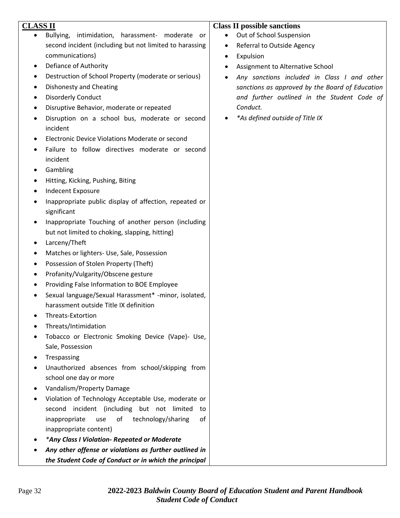| <b>CLASS II</b>                                                       | <b>Class II possible sanctions</b>                       |
|-----------------------------------------------------------------------|----------------------------------------------------------|
| Bullying, intimidation, harassment- moderate or                       | Out of School Suspension                                 |
| second incident (including but not limited to harassing               | Referral to Outside Agency<br>$\bullet$                  |
| communications)                                                       | Expulsion<br>٠                                           |
| Defiance of Authority<br>$\bullet$                                    | Assignment to Alternative School                         |
| Destruction of School Property (moderate or serious)                  | Any sanctions included in Class I and other<br>$\bullet$ |
| Dishonesty and Cheating                                               | sanctions as approved by the Board of Education          |
| <b>Disorderly Conduct</b><br>٠                                        | and further outlined in the Student Code of              |
| Disruptive Behavior, moderate or repeated                             | Conduct.                                                 |
| Disruption on a school bus, moderate or second                        | *As defined outside of Title IX                          |
| incident                                                              |                                                          |
| Electronic Device Violations Moderate or second                       |                                                          |
| Failure to follow directives moderate or second                       |                                                          |
| incident                                                              |                                                          |
| Gambling                                                              |                                                          |
| Hitting, Kicking, Pushing, Biting                                     |                                                          |
| <b>Indecent Exposure</b>                                              |                                                          |
| Inappropriate public display of affection, repeated or<br>significant |                                                          |
| Inappropriate Touching of another person (including<br>٠              |                                                          |
| but not limited to choking, slapping, hitting)                        |                                                          |
| Larceny/Theft<br>$\bullet$                                            |                                                          |
| Matches or lighters- Use, Sale, Possession                            |                                                          |
| Possession of Stolen Property (Theft)                                 |                                                          |
| Profanity/Vulgarity/Obscene gesture<br>٠                              |                                                          |
| Providing False Information to BOE Employee                           |                                                          |
| Sexual language/Sexual Harassment* -minor, isolated,                  |                                                          |
| harassment outside Title IX definition                                |                                                          |
| Threats-Extortion                                                     |                                                          |
| Threats/Intimidation                                                  |                                                          |
| Tobacco or Electronic Smoking Device (Vape)- Use,                     |                                                          |
| Sale, Possession                                                      |                                                          |
| Trespassing                                                           |                                                          |
| Unauthorized absences from school/skipping from                       |                                                          |
| school one day or more                                                |                                                          |
| Vandalism/Property Damage                                             |                                                          |
| Violation of Technology Acceptable Use, moderate or                   |                                                          |
| second incident (including but not limited<br>to                      |                                                          |
| technology/sharing<br>inappropriate<br>use<br>of<br>οf                |                                                          |
| inappropriate content)                                                |                                                          |
| *Any Class I Violation- Repeated or Moderate                          |                                                          |
| Any other offense or violations as further outlined in                |                                                          |
| the Student Code of Conduct or in which the principal                 |                                                          |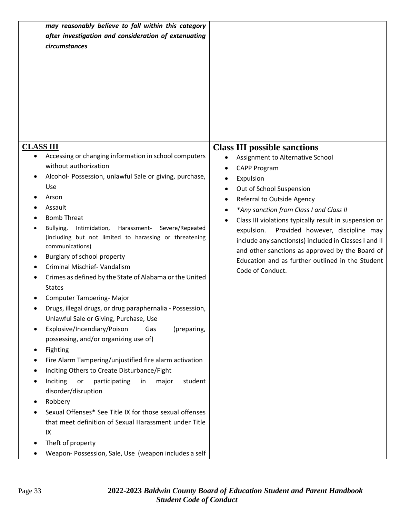| may reasonably believe to fall within this category<br>after investigation and consideration of extenuating<br>circumstances                                                                                                                                                                                                                                                                                                                                                                                                |                                                                                                                                                                                                                                                                                                                                                                                                   |
|-----------------------------------------------------------------------------------------------------------------------------------------------------------------------------------------------------------------------------------------------------------------------------------------------------------------------------------------------------------------------------------------------------------------------------------------------------------------------------------------------------------------------------|---------------------------------------------------------------------------------------------------------------------------------------------------------------------------------------------------------------------------------------------------------------------------------------------------------------------------------------------------------------------------------------------------|
| Accessing or changing information in school computers<br>without authorization<br>Alcohol- Possession, unlawful Sale or giving, purchase,                                                                                                                                                                                                                                                                                                                                                                                   | <b>Class III possible sanctions</b><br>Assignment to Alternative School<br>CAPP Program<br>Expulsion<br>٠                                                                                                                                                                                                                                                                                         |
| Use<br>Arson<br>Assault<br><b>Bomb Threat</b><br>Bullying,<br>Intimidation,<br>Harassment-<br>Severe/Repeated<br>(including but not limited to harassing or threatening<br>communications)<br>Burglary of school property<br>٠<br>Criminal Mischief- Vandalism<br>Crimes as defined by the State of Alabama or the United<br><b>States</b><br><b>Computer Tampering- Major</b><br>Drugs, illegal drugs, or drug paraphernalia - Possession,<br>Unlawful Sale or Giving, Purchase, Use                                       | Out of School Suspension<br>Referral to Outside Agency<br>*Any sanction from Class I and Class II<br>Class III violations typically result in suspension or<br>Provided however, discipline may<br>expulsion.<br>include any sanctions(s) included in Classes I and II<br>and other sanctions as approved by the Board of<br>Education and as further outlined in the Student<br>Code of Conduct. |
| Explosive/Incendiary/Poison<br>(preparing,<br>Gas<br>٠<br>possessing, and/or organizing use of)<br>Fighting<br>Fire Alarm Tampering/unjustified fire alarm activation<br>Inciting Others to Create Disturbance/Fight<br>Inciting<br>participating<br>major<br>student<br>or<br>in<br>disorder/disruption<br>Robbery<br>Sexual Offenses* See Title IX for those sexual offenses<br>that meet definition of Sexual Harassment under Title<br>IX<br>Theft of property<br>Weapon- Possession, Sale, Use (weapon includes a self |                                                                                                                                                                                                                                                                                                                                                                                                   |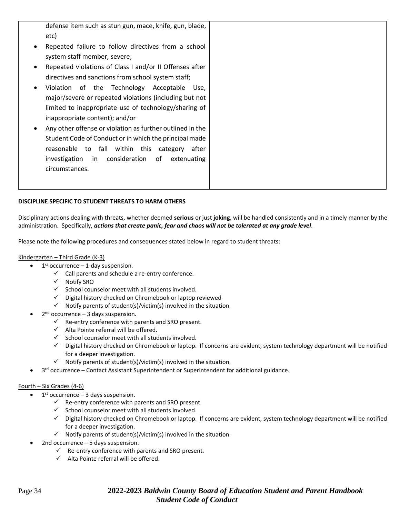defense item such as stun gun, mace, knife, gun, blade, etc)

- Repeated failure to follow directives from a school system staff member, severe;
- Repeated violations of Class I and/or II Offenses after directives and sanctions from school system staff;
- Violation of the Technology Acceptable Use, major/severe or repeated violations (including but not limited to inappropriate use of technology/sharing of inappropriate content); and/or
- Any other offense or violation as further outlined in the Student Code of Conduct or in which the principal made reasonable to fall within this category after investigation in consideration of extenuating circumstances.

### **DISCIPLINE SPECIFIC TO STUDENT THREATS TO HARM OTHERS**

Disciplinary actions dealing with threats, whether deemed **serious** or just **joking**, will be handled consistently and in a timely manner by the administration. Specifically, *actions that create panic, fear and chaos will not be tolerated at any grade level.*

Please note the following procedures and consequences stated below in regard to student threats:

#### Kindergarten – Third Grade (K-3)

- $\bullet$  1<sup>st</sup> occurrence 1-day suspension.
	- $\checkmark$  Call parents and schedule a re-entry conference.
	- ✓ Notify SRO
	- $\checkmark$  School counselor meet with all students involved.
	- ✓ Digital history checked on Chromebook or laptop reviewed
	- $\checkmark$  Notify parents of student(s)/victim(s) involved in the situation.
- $\bullet$  2<sup>nd</sup> occurrence 3 days suspension.
	- $\checkmark$  Re-entry conference with parents and SRO present.
	- $\checkmark$  Alta Pointe referral will be offered.
	- $\checkmark$  School counselor meet with all students involved.
	- ✓ Digital history checked on Chromebook or laptop. If concerns are evident, system technology department will be notified for a deeper investigation.
	- $\checkmark$  Notify parents of student(s)/victim(s) involved in the situation.
- 3<sup>rd</sup> occurrence Contact Assistant Superintendent or Superintendent for additional guidance.

#### Fourth – Six Grades (4-6)

- $\bullet$  1<sup>st</sup> occurrence 3 days suspension.
	- $\checkmark$  Re-entry conference with parents and SRO present.
	- $\checkmark$  School counselor meet with all students involved.
	- ✓ Digital history checked on Chromebook or laptop. If concerns are evident, system technology department will be notified for a deeper investigation.
	- $\checkmark$  Notify parents of student(s)/victim(s) involved in the situation.
- 2nd occurrence  $-5$  days suspension.
	- $\checkmark$  Re-entry conference with parents and SRO present.
	- $\checkmark$  Alta Pointe referral will be offered.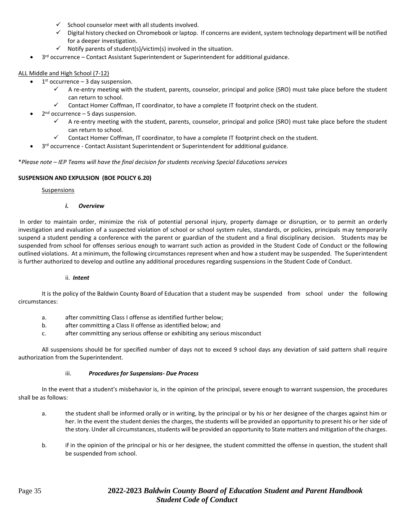- $\checkmark$  School counselor meet with all students involved.
- ✓ Digital history checked on Chromebook or laptop. If concerns are evident, system technology department will be notified for a deeper investigation.
- $\checkmark$  Notify parents of student(s)/victim(s) involved in the situation.
- 3<sup>rd</sup> occurrence Contact Assistant Superintendent or Superintendent for additional guidance.

#### ALL Middle and High School (7-12)

- $\bullet$  1<sup>st</sup> occurrence 3 day suspension.
	- A re-entry meeting with the student, parents, counselor, principal and police (SRO) must take place before the student can return to school.
	- ✓ Contact Homer Coffman, IT coordinator, to have a complete IT footprint check on the student.
- $\bullet$  2<sup>nd</sup> occurrence 5 days suspension.
	- ✓ A re-entry meeting with the student, parents, counselor, principal and police (SRO) must take place before the student can return to school.
	- ✓ Contact Homer Coffman, IT coordinator, to have a complete IT footprint check on the student.
- 3<sup>rd</sup> occurrence Contact Assistant Superintendent or Superintendent for additional guidance.

\**Please note – IEP Teams will have the final decision for students receiving Special Educations services*

#### **SUSPENSION AND EXPULSION (BOE POLICY 6.20)**

#### **Suspensions**

#### *i. Overview*

In order to maintain order, minimize the risk of potential personal injury, property damage or disruption, or to permit an orderly investigation and evaluation of a suspected violation of school or school system rules, standards, or policies, principals may temporarily suspend a student pending a conference with the parent or guardian of the student and a final disciplinary decision. Students may be suspended from school for offenses serious enough to warrant such action as provided in the Student Code of Conduct or the following outlined violations. At a minimum, the following circumstances represent when and how a student may be suspended. The Superintendent is further authorized to develop and outline any additional procedures regarding suspensions in the Student Code of Conduct.

#### ii. *Intent*

It is the policy of the Baldwin County Board of Education that a student may be suspended from school under the following circumstances:

- a. after committing Class I offense as identified further below;
- b. after committing a Class II offense as identified below; and
- c. after committing any serious offense or exhibiting any serious misconduct

All suspensions should be for specified number of days not to exceed 9 school days any deviation of said pattern shall require authorization from the Superintendent.

#### iii. *Procedures for Suspensions- Due Process*

In the event that a student's misbehavior is, in the opinion of the principal, severe enough to warrant suspension, the procedures shall be as follows:

- a. the student shall be informed orally or in writing, by the principal or by his or her designee of the charges against him or her. In the event the student denies the charges, the students will be provided an opportunity to present his or her side of the story. Under all circumstances, students will be provided an opportunity to State matters and mitigation of the charges.
- b. if in the opinion of the principal or his or her designee, the student committed the offense in question, the student shall be suspended from school.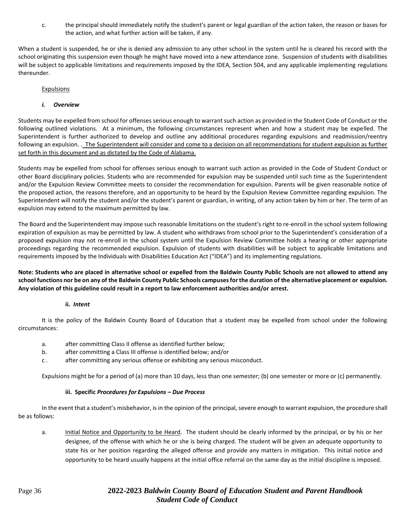c. the principal should immediately notify the student's parent or legal guardian of the action taken, the reason or bases for the action, and what further action will be taken, if any.

When a student is suspended, he or she is denied any admission to any other school in the system until he is cleared his record with the school originating this suspension even though he might have moved into a new attendance zone. Suspension of students with disabilities will be subject to applicable limitations and requirements imposed by the IDEA, Section 504, and any applicable implementing regulations thereunder.

#### Expulsions

#### *i. Overview*

Students may be expelled from school for offenses serious enough to warrant such action as provided in the Student Code of Conduct or the following outlined violations. At a minimum, the following circumstances represent when and how a student may be expelled. The Superintendent is further authorized to develop and outline any additional procedures regarding expulsions and readmission/reentry following an expulsion. . The Superintendent will consider and come to a decision on all recommendations for student expulsion as further set forth in this document and as dictated by the Code of Alabama.

Students may be expelled from school for offenses serious enough to warrant such action as provided in the Code of Student Conduct or other Board disciplinary policies. Students who are recommended for expulsion may be suspended until such time as the Superintendent and/or the Expulsion Review Committee meets to consider the recommendation for expulsion. Parents will be given reasonable notice of the proposed action, the reasons therefore, and an opportunity to be heard by the Expulsion Review Committee regarding expulsion. The Superintendent will notify the student and/or the student's parent or guardian, in writing, of any action taken by him or her. The term of an expulsion may extend to the maximum permitted by law.

The Board and the Superintendent may impose such reasonable limitations on the student's right to re-enroll in the school system following expiration of expulsion as may be permitted by law. A student who withdraws from school prior to the Superintendent's consideration of a proposed expulsion may not re-enroll in the school system until the Expulsion Review Committee holds a hearing or other appropriate proceedings regarding the recommended expulsion. Expulsion of students with disabilities will be subject to applicable limitations and requirements imposed by the Individuals with Disabilities Education Act ("IDEA") and its implementing regulations.

**Note: Students who are placed in alternative school or expelled from the Baldwin County Public Schools are not allowed to attend any school functions nor be on any of the Baldwin County Public Schools campuses for the duration of the alternative placement or expulsion. Any violation of this guideline could result in a report to law enforcement authorities and/or arrest.**

#### **ii.** *Intent*

It is the policy of the Baldwin County Board of Education that a student may be expelled from school under the following circumstances:

- a. after committing Class II offense as identified further below;
- b. after committing a Class III offense is identified below; and/or
- c . after committing any serious offense or exhibiting any serious misconduct.

Expulsions might be for a period of (a) more than 10 days, less than one semester; (b) one semester or more or (c) permanently.

#### **iii. Specific** *Procedures for Expulsions – Due Process*

In the event that a student's misbehavior, is in the opinion of the principal, severe enough to warrant expulsion, the procedure shall be as follows:

a. Initial Notice and Opportunity to be Heard. The student should be clearly informed by the principal, or by his or her designee, of the offense with which he or she is being charged. The student will be given an adequate opportunity to state his or her position regarding the alleged offense and provide any matters in mitigation. This initial notice and opportunity to be heard usually happens at the initial office referral on the same day as the initial discipline is imposed.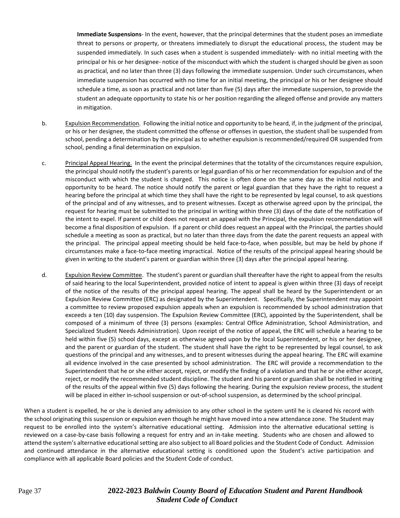**Immediate Suspensions**- In the event, however, that the principal determines that the student poses an immediate threat to persons or property, or threatens immediately to disrupt the educational process, the student may be suspended immediately. In such cases when a student is suspended immediately- with no initial meeting with the principal or his or her designee- notice of the misconduct with which the student is charged should be given as soon as practical, and no later than three (3) days following the immediate suspension. Under such circumstances, when immediate suspension has occurred with no time for an initial meeting, the principal or his or her designee should schedule a time, as soon as practical and not later than five (5) days after the immediate suspension, to provide the student an adequate opportunity to state his or her position regarding the alleged offense and provide any matters in mitigation.

- b. Expulsion Recommendation. Following the initial notice and opportunity to be heard, if, in the judgment of the principal, or his or her designee, the student committed the offense or offenses in question, the student shall be suspended from school, pending a determination by the principal as to whether expulsion is recommended/required OR suspended from school, pending a final determination on expulsion.
- c. Principal Appeal Hearing. In the event the principal determines that the totality of the circumstances require expulsion, the principal should notify the student's parents or legal guardian of his or her recommendation for expulsion and of the misconduct with which the student is charged. This notice is often done on the same day as the initial notice and opportunity to be heard. The notice should notify the parent or legal guardian that they have the right to request a hearing before the principal at which time they shall have the right to be represented by legal counsel, to ask questions of the principal and of any witnesses, and to present witnesses. Except as otherwise agreed upon by the principal, the request for hearing must be submitted to the principal in writing within three (3) days of the date of the notification of the intent to expel. If parent or child does not request an appeal with the Principal, the expulsion recommendation will become a final disposition of expulsion. If a parent or child does request an appeal with the Principal, the parties should schedule a meeting as soon as practical, but no later than three days from the date the parent requests an appeal with the principal. The principal appeal meeting should be held face-to-face, when possible, but may be held by phone if circumstances make a face-to-face meeting impractical. Notice of the results of the principal appeal hearing should be given in writing to the student's parent or guardian within three (3) days after the principal appeal hearing.
- d. Expulsion Review Committee. The student's parent or guardian shall thereafter have the right to appeal from the results of said hearing to the local Superintendent, provided notice of intent to appeal is given within three (3) days of receipt of the notice of the results of the principal appeal hearing. The appeal shall be heard by the Superintendent or an Expulsion Review Committee (ERC) as designated by the Superintendent. Specifically, the Superintendent may appoint a committee to review proposed expulsion appeals when an expulsion is recommended by school administration that exceeds a ten (10) day suspension. The Expulsion Review Committee (ERC), appointed by the Superintendent, shall be composed of a minimum of three (3) persons (examples: Central Office Administration, School Administration, and Specialized Student Needs Administration). Upon receipt of the notice of appeal, the ERC will schedule a hearing to be held within five (5) school days, except as otherwise agreed upon by the local Superintendent, or his or her designee, and the parent or guardian of the student. The student shall have the right to be represented by legal counsel, to ask questions of the principal and any witnesses, and to present witnesses during the appeal hearing. The ERC will examine all evidence involved in the case presented by school administration. The ERC will provide a recommendation to the Superintendent that he or she either accept, reject, or modify the finding of a violation and that he or she either accept, reject, or modify the recommended student discipline. The student and his parent or guardian shall be notified in writing of the results of the appeal within five (5) days following the hearing. During the expulsion review process, the student will be placed in either in-school suspension or out-of-school suspension, as determined by the school principal.

When a student is expelled, he or she is denied any admission to any other school in the system until he is cleared his record with the school originating this suspension or expulsion even though he might have moved into a new attendance zone. The Student may request to be enrolled into the system's alternative educational setting. Admission into the alternative educational setting is reviewed on a case-by-case basis following a request for entry and an in-take meeting. Students who are chosen and allowed to attend the system's alternative educational setting are also subject to all Board policies and the Student Code of Conduct. Admission and continued attendance in the alternative educational setting is conditioned upon the Student's active participation and compliance with all applicable Board policies and the Student Code of conduct.

### Page 37 **2022-2023** *Baldwin County Board of Education Student and Parent Handbook Student Code of Conduct*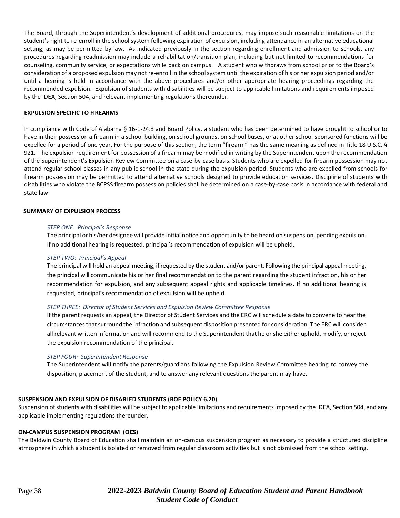The Board, through the Superintendent's development of additional procedures, may impose such reasonable limitations on the student's right to re-enroll in the school system following expiration of expulsion, including attendance in an alternative educational setting, as may be permitted by law. As indicated previously in the section regarding enrollment and admission to schools, any procedures regarding readmission may include a rehabilitation/transition plan, including but not limited to recommendations for counseling, community service, or expectations while back on campus. A student who withdraws from school prior to the Board's consideration of a proposed expulsion may not re-enroll in the school system until the expiration of his or her expulsion period and/or until a hearing is held in accordance with the above procedures and/or other appropriate hearing proceedings regarding the recommended expulsion. Expulsion of students with disabilities will be subject to applicable limitations and requirements imposed by the IDEA, Section 504, and relevant implementing regulations thereunder.

#### **EXPULSION SPECIFIC TO FIREARMS**

In compliance with Code of Alabama § 16-1-24.3 and Board Policy, a student who has been determined to have brought to school or to have in their possession a firearm in a school building, on school grounds, on school buses, or at other school sponsored functions will be expelled for a period of one year. For the purpose of this section, the term "firearm" has the same meaning as defined in Title 18 U.S.C. § 921. The expulsion requirement for possession of a firearm may be modified in writing by the Superintendent upon the recommendation of the Superintendent's Expulsion Review Committee on a case-by-case basis. Students who are expelled for firearm possession may not attend regular school classes in any public school in the state during the expulsion period. Students who are expelled from schools for firearm possession may be permitted to attend alternative schools designed to provide education services. Discipline of students with disabilities who violate the BCPSS firearm possession policies shall be determined on a case-by-case basis in accordance with federal and state law.

#### **SUMMARY OF EXPULSION PROCESS**

#### *STEP ONE: Principal's Response*

The principal or his/her designee will provide initial notice and opportunity to be heard on suspension, pending expulsion. If no additional hearing is requested, principal's recommendation of expulsion will be upheld.

#### *STEP TWO: Principal's Appeal*

The principal will hold an appeal meeting, if requested by the student and/or parent. Following the principal appeal meeting, the principal will communicate his or her final recommendation to the parent regarding the student infraction, his or her recommendation for expulsion, and any subsequent appeal rights and applicable timelines. If no additional hearing is requested, principal's recommendation of expulsion will be upheld.

#### *STEP THREE: Director of Student Services and Expulsion Review Committee Response*

If the parent requests an appeal, the Director of Student Services and the ERC will schedule a date to convene to hear the circumstances that surround the infraction and subsequent disposition presented for consideration. The ERC will consider all relevant written information and will recommend to the Superintendent that he or she either uphold, modify, or reject the expulsion recommendation of the principal.

#### *STEP FOUR: Superintendent Response*

The Superintendent will notify the parents/guardians following the Expulsion Review Committee hearing to convey the disposition, placement of the student, and to answer any relevant questions the parent may have.

#### **SUSPENSION AND EXPULSION OF DISABLED STUDENTS (BOE POLICY 6.20)**

Suspension of students with disabilities will be subject to applicable limitations and requirements imposed by the IDEA, Section 504, and any applicable implementing regulations thereunder.

#### **ON-CAMPUS SUSPENSION PROGRAM (OCS)**

The Baldwin County Board of Education shall maintain an on-campus suspension program as necessary to provide a structured discipline atmosphere in which a student is isolated or removed from regular classroom activities but is not dismissed from the school setting.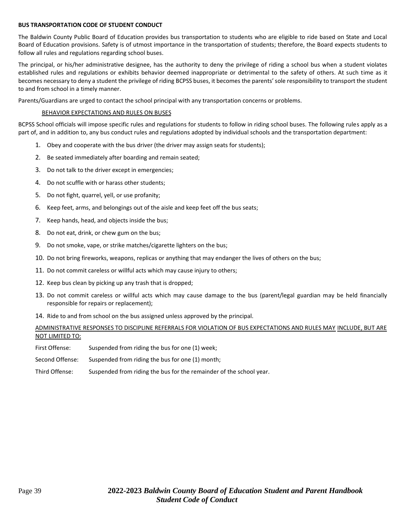#### **BUS TRANSPORTATION CODE OF STUDENT CONDUCT**

The Baldwin County Public Board of Education provides bus transportation to students who are eligible to ride based on State and Local Board of Education provisions. Safety is of utmost importance in the transportation of students; therefore, the Board expects students to follow all rules and regulations regarding school buses.

The principal, or his/her administrative designee, has the authority to deny the privilege of riding a school bus when a student violates established rules and regulations or exhibits behavior deemed inappropriate or detrimental to the safety of others. At such time as it becomes necessary to deny a student the privilege of riding BCPSS buses, it becomes the parents'sole responsibility to transport the student to and from school in a timely manner.

Parents/Guardians are urged to contact the school principal with any transportation concerns or problems.

#### BEHAVIOR EXPECTATIONS AND RULES ON BUSES

BCPSS School officials will impose specific rules and regulations for students to follow in riding school buses. The following rules apply as a part of, and in addition to, any bus conduct rules and regulations adopted by individual schools and the transportation department:

- 1. Obey and cooperate with the bus driver (the driver may assign seats for students);
- 2. Be seated immediately after boarding and remain seated;
- 3. Do not talk to the driver except in emergencies;
- 4. Do not scuffle with or harass other students;
- 5. Do not fight, quarrel, yell, or use profanity;
- 6. Keep feet, arms, and belongings out of the aisle and keep feet off the bus seats;
- 7. Keep hands, head, and objects inside the bus;
- 8. Do not eat, drink, or chew gum on the bus;
- 9. Do not smoke, vape, or strike matches/cigarette lighters on the bus;
- 10. Do not bring fireworks, weapons, replicas or anything that may endanger the lives of others on the bus;
- 11. Do not commit careless or willful acts which may cause injury to others;
- 12. Keep bus clean by picking up any trash that is dropped;
- 13. Do not commit careless or willful acts which may cause damage to the bus (parent/legal guardian may be held financially responsible for repairs or replacement);
- 14. Ride to and from school on the bus assigned unless approved by the principal.

#### ADMINISTRATIVE RESPONSES TO DISCIPLINE REFERRALS FOR VIOLATION OF BUS EXPECTATIONS AND RULES MAY INCLUDE, BUT ARE NOT LIMITED TO:

- First Offense: Suspended from riding the bus for one (1) week;
- Second Offense: Suspended from riding the bus for one (1) month;
- Third Offense: Suspended from riding the bus for the remainder of the school year.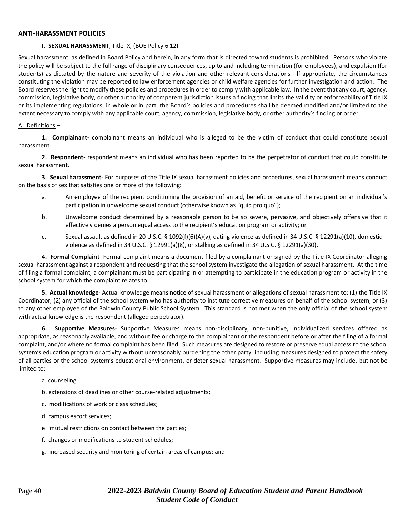#### **ANTI-HARASSMENT POLICIES**

#### **I. SEXUAL HARASSMENT**, Title IX, (BOE Policy 6.12)

Sexual harassment, as defined in Board Policy and herein, in any form that is directed toward students is prohibited. Persons who violate the policy will be subject to the full range of disciplinary consequences, up to and including termination (for employees), and expulsion (for students) as dictated by the nature and severity of the violation and other relevant considerations. If appropriate, the circumstances constituting the violation may be reported to law enforcement agencies or child welfare agencies for further investigation and action. The Board reserves the right to modify these policies and procedures in order to comply with applicable law. In the event that any court, agency, commission, legislative body, or other authority of competent jurisdiction issues a finding that limits the validity or enforceability of Title IX or its implementing regulations, in whole or in part, the Board's policies and procedures shall be deemed modified and/or limited to the extent necessary to comply with any applicable court, agency, commission, legislative body, or other authority's finding or order.

#### A. Definitions –

**1. Complainant-** complainant means an individual who is alleged to be the victim of conduct that could constitute sexual harassment.

**2. Respondent**- respondent means an individual who has been reported to be the perpetrator of conduct that could constitute sexual harassment.

**3. Sexual harassment**- For purposes of the Title IX sexual harassment policies and procedures, sexual harassment means conduct on the basis of sex that satisfies one or more of the following:

- a. An employee of the recipient conditioning the provision of an aid, benefit or service of the recipient on an individual's participation in unwelcome sexual conduct (otherwise known as "quid pro quo");
- b. Unwelcome conduct determined by a reasonable person to be so severe, pervasive, and objectively offensive that it effectively denies a person equal access to the recipient's education program or activity; or
- c. Sexual assault as defined in 20 U.S.C. § 1092(f)(6)(A)(v), dating violence as defined in 34 U.S.C. § 12291(a)(10), domestic violence as defined in 34 U.S.C. § 12991(a)(8), or stalking as defined in 34 U.S.C. § 12291(a)(30).

**4. Formal Complaint**- Formal complaint means a document filed by a complainant or signed by the Title IX Coordinator alleging sexual harassment against a respondent and requesting that the school system investigate the allegation of sexual harassment. At the time of filing a formal complaint, a complainant must be participating in or attempting to participate in the education program or activity in the school system for which the complaint relates to.

**5. Actual knowledge**- Actual knowledge means notice of sexual harassment or allegations of sexual harassment to: (1) the Title IX Coordinator, (2) any official of the school system who has authority to institute corrective measures on behalf of the school system, or (3) to any other employee of the Baldwin County Public School System. This standard is not met when the only official of the school system with actual knowledge is the respondent (alleged perpetrator).

**6. Supportive Measures**- Supportive Measures means non-disciplinary, non-punitive, individualized services offered as appropriate, as reasonably available, and without fee or charge to the complainant or the respondent before or after the filing of a formal complaint, and/or where no formal complaint has been filed. Such measures are designed to restore or preserve equal access to the school system's education program or activity without unreasonably burdening the other party, including measures designed to protect the safety of all parties or the school system's educational environment, or deter sexual harassment. Supportive measures may include, but not be limited to:

#### a. counseling

- b. extensions of deadlines or other course-related adjustments;
- c. modifications of work or class schedules;
- d. campus escort services;
- e. mutual restrictions on contact between the parties;
- f. changes or modifications to student schedules;
- g. increased security and monitoring of certain areas of campus; and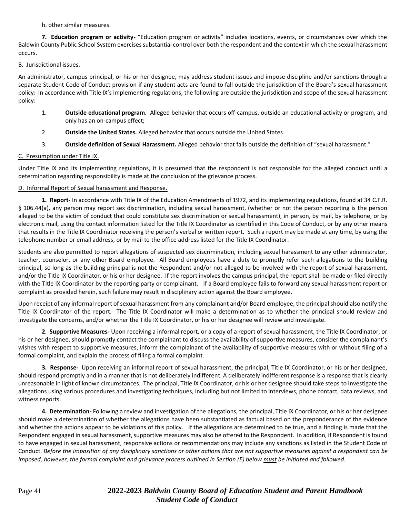h. other similar measures.

**7. Education program or activity**- "Education program or activity" includes locations, events, or circumstances over which the Baldwin County Public School System exercises substantial control over both the respondent and the context in which the sexual harassment occurs.

#### B. Jurisdictional issues.

An administrator, campus principal, or his or her designee, may address student issues and impose discipline and/or sanctions through a separate Student Code of Conduct provision if any student acts are found to fall outside the jurisdiction of the Board's sexual harassment policy: In accordance with Title IX's implementing regulations, the following are outside the jurisdiction and scope of the sexual harassment policy:

- 1. **Outside educational program.** Alleged behavior that occurs off-campus, outside an educational activity or program, and only has an on-campus effect;
- 2. **Outside the United States.** Alleged behavior that occurs outside the United States.
- 3. **Outside definition of Sexual Harassment.** Alleged behavior that falls outside the definition of "sexual harassment."

### C. Presumption under Title IX.

Under Title IX and its implementing regulations, it is presumed that the respondent is not responsible for the alleged conduct until a determination regarding responsibility is made at the conclusion of the grievance process.

#### D. Informal Report of Sexual harassment and Response.

**1. Report-** In accordance with Title IX of the Education Amendments of 1972, and its implementing regulations, found at 34 C.F.R. § 106.44(a), any person may report sex discrimination, including sexual harassment, (whether or not the person reporting is the person alleged to be the victim of conduct that could constitute sex discrimination or sexual harassment), in person, by mail, by telephone, or by electronic mail, using the contact information listed for the Title IX Coordinator as identified in this Code of Conduct, or by any other means that results in the Title IX Coordinator receiving the person's verbal or written report. Such a report may be made at any time, by using the telephone number or email address, or by mail to the office address listed for the Title IX Coordinator.

Students are also permitted to report allegations of suspected sex discrimination, including sexual harassment to any other administrator, teacher, counselor, or any other Board employee. All Board employees have a duty to promptly refer such allegations to the building principal, so long as the building principal is not the Respondent and/or not alleged to be involved with the report of sexual harassment, and/or the Title IX Coordinator, or his or her designee. If the report involves the campus principal, the report shall be made or filed directly with the Title IX Coordinator by the reporting party or complainant. If a Board employee fails to forward any sexual harassment report or complaint as provided herein, such failure may result in disciplinary action against the Board employee.

Upon receipt of any informal report of sexual harassment from any complainant and/or Board employee, the principal should also notify the Title IX Coordinator of the report. The Title IX Coordinator will make a determination as to whether the principal should review and investigate the concerns, and/or whether the Title IX Coordinator, or his or her designee will review and investigate.

**2**. **Supportive Measures-** Upon receiving a informal report, or a copy of a report of sexual harassment, the Title IX Coordinator, or his or her designee, should promptly contact the complainant to discuss the availability of supportive measures, consider the complainant's wishes with respect to supportive measures, inform the complainant of the availability of supportive measures with or without filing of a formal complaint, and explain the process of filing a formal complaint.

**3. Response-** Upon receiving an informal report of sexual harassment, the principal, Title IX Coordinator, or his or her designee, should respond promptly and in a manner that is not deliberately indifferent. A deliberately indifferent response is a response that is clearly unreasonable in light of known circumstances. The principal, Title IX Coordinator, or his or her designee should take steps to investigate the allegations using various procedures and investigating techniques, including but not limited to interviews, phone contact, data reviews, and witness reports.

**4. Determination-** Following a review and investigation of the allegations, the principal, Title IX Coordinator, or his or her designee should make a determination of whether the allegations have been substantiated as factual based on the preponderance of the evidence and whether the actions appear to be violations of this policy. If the allegations are determined to be true, and a finding is made that the Respondent engaged in sexual harassment, supportive measures may also be offered to the Respondent. In addition, if Respondent is found to have engaged in sexual harassment, responsive actions or recommendations may include any sanctions as listed in the Student Code of Conduct. *Before the imposition of any disciplinary sanctions or other actions that are not supportive measures against a respondent can be imposed, however, the formal complaint and grievance process outlined in Section (E) below must be initiated and followed.*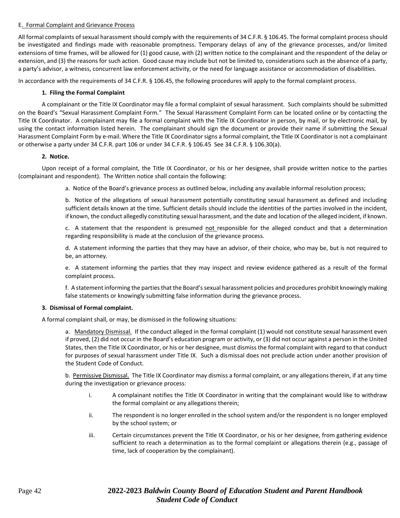#### E. Formal Complaint and Grievance Process

All formal complaints of sexual harassment should comply with the requirements of 34 C.F.R. § 106.45. The formal complaint process should be investigated and findings made with reasonable promptness. Temporary delays of any of the grievance processes, and/or limited extensions of time frames, will be allowed for (1) good cause, with (2) written notice to the complainant and the respondent of the delay or extension, and (3) the reasons for such action. Good cause may include but not be limited to, considerations such as the absence of a party, a party's advisor, a witness, concurrent law enforcement activity, or the need for language assistance or accommodation of disabilities.

In accordance with the requirements of 34 C.F.R. § 106.45, the following procedures will apply to the formal complaint process.

#### **1. Filing the Formal Complaint**

A complainant or the Title IX Coordinator may file a formal complaint of sexual harassment. Such complaints should be submitted on the Board's "Sexual Harassment Complaint Form." The Sexual Harassment Complaint Form can be located online or by contacting the Title IX Coordinator. A complainant may file a formal complaint with the Title IX Coordinator in person, by mail, or by electronic mail, by using the contact information listed herein. The complainant should sign the document or provide their name if submitting the Sexual Harassment Complaint Form by e-mail. Where the Title IX Coordinator signs a formal complaint, the Title IX Coordinator is not a complainant or otherwise a party under 34 C.F.R. part 106 or under 34 C.F.R. § 106.45 See 34 C.F.R. § 106.30(a).

#### **2. Notice.**

Upon receipt of a formal complaint, the Title IX Coordinator, or his or her designee, shall provide written notice to the parties (complainant and respondent). The Written notice shall contain the following:

a. Notice of the Board's grievance process as outlined below, including any available informal resolution process;

b. Notice of the allegations of sexual harassment potentially constituting sexual harassment as defined and including sufficient details known at the time. Sufficient details should include the identities of the parties involved in the incident, if known, the conduct allegedly constituting sexual harassment, and the date and location of the alleged incident, if known.

c. A statement that the respondent is presumed not responsible for the alleged conduct and that a determination regarding responsibility is made at the conclusion of the grievance process.

d. A statement informing the parties that they may have an advisor, of their choice, who may be, but is not required to be, an attorney.

e. A statement informing the parties that they may inspect and review evidence gathered as a result of the formal complaint process.

f. A statement informing the parties that the Board's sexual harassment policies and procedures prohibit knowingly making false statements or knowingly submitting false information during the grievance process.

#### **3. Dismissal of Formal complaint.**

A formal complaint shall, or may, be dismissed in the following situations:

a. Mandatory Dismissal. If the conduct alleged in the formal complaint (1) would not constitute sexual harassment even if proved, (2) did not occur in the Board's education program or activity, or (3) did not occur against a person in the United States, then the Title IX Coordinator, or his or her designee, must dismiss the formal complaint with regard to that conduct for purposes of sexual harassment under Title IX. Such a dismissal does not preclude action under another provision of the Student Code of Conduct.

b. Permissive Dismissal. The Title IX Coordinator may dismiss a formal complaint, or any allegations therein, if at any time during the investigation or grievance process:

- i. A complainant notifies the Title IX Coordinator in writing that the complainant would like to withdraw the formal complaint or any allegations therein;
- ii. The respondent is no longer enrolled in the school system and/or the respondent is no longer employed by the school system; or
- iii. Certain circumstances prevent the Title IX Coordinator, or his or her designee, from gathering evidence sufficient to reach a determination as to the formal complaint or allegations therein (e.g., passage of time, lack of cooperation by the complainant).

### Page 42 **2022-2023** *Baldwin County Board of Education Student and Parent Handbook Student Code of Conduct*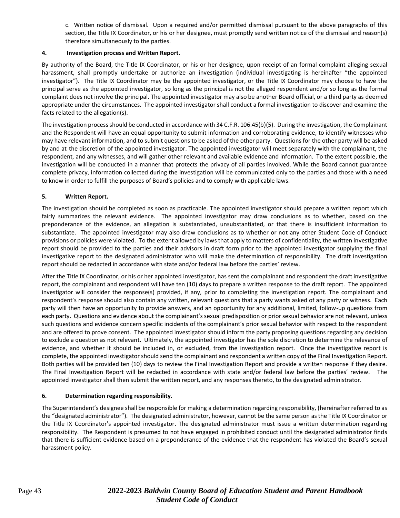c. Written notice of dismissal. Upon a required and/or permitted dismissal pursuant to the above paragraphs of this section, the Title IX Coordinator, or his or her designee, must promptly send written notice of the dismissal and reason(s) therefore simultaneously to the parties.

#### **4. Investigation process and Written Report.**

By authority of the Board, the Title IX Coordinator, or his or her designee, upon receipt of an formal complaint alleging sexual harassment, shall promptly undertake or authorize an investigation (individual investigating is hereinafter "the appointed investigator"). The Title IX Coordinator may be the appointed investigator, or the Title IX Coordinator may choose to have the principal serve as the appointed investigator, so long as the principal is not the alleged respondent and/or so long as the formal complaint does not involve the principal. The appointed investigator may also be another Board official, or a third party as deemed appropriate under the circumstances. The appointed investigator shall conduct a formal investigation to discover and examine the facts related to the allegation(s).

The investigation process should be conducted in accordance with 34 C.F.R. 106.45(b)(5). During the investigation, the Complainant and the Respondent will have an equal opportunity to submit information and corroborating evidence, to identify witnesses who may have relevant information, and to submit questions to be asked of the other party. Questions for the other party will be asked by and at the discretion of the appointed investigator. The appointed investigator will meet separately with the complainant, the respondent, and any witnesses, and will gather other relevant and available evidence and information. To the extent possible, the investigation will be conducted in a manner that protects the privacy of all parties involved. While the Board cannot guarantee complete privacy, information collected during the investigation will be communicated only to the parties and those with a need to know in order to fulfill the purposes of Board's policies and to comply with applicable laws.

#### **5. Written Report.**

The investigation should be completed as soon as practicable. The appointed investigator should prepare a written report which fairly summarizes the relevant evidence. The appointed investigator may draw conclusions as to whether, based on the preponderance of the evidence, an allegation is substantiated, unsubstantiated, or that there is insufficient information to substantiate. The appointed investigator may also draw conclusions as to whether or not any other Student Code of Conduct provisions or policies were violated. To the extent allowed by laws that apply to matters of confidentiality, the written investigative report should be provided to the parties and their advisors in draft form prior to the appointed investigator supplying the final investigative report to the designated administrator who will make the determination of responsibility. The draft investigation report should be redacted in accordance with state and/or federal law before the parties' review.

After the Title IX Coordinator, or his or her appointed investigator, has sent the complainant and respondent the draft investigative report, the complainant and respondent will have ten (10) days to prepare a written response to the draft report. The appointed investigator will consider the response(s) provided, if any, prior to completing the investigation report. The complainant and respondent's response should also contain any written, relevant questions that a party wants asked of any party or witness. Each party will then have an opportunity to provide answers, and an opportunity for any additional, limited, follow-up questions from each party. Questions and evidence about the complainant's sexual predisposition or prior sexual behavior are not relevant, unless such questions and evidence concern specific incidents of the complainant's prior sexual behavior with respect to the respondent and are offered to prove consent. The appointed investigator should inform the party proposing questions regarding any decision to exclude a question as not relevant. Ultimately, the appointed investigator has the sole discretion to determine the relevance of evidence, and whether it should be included in, or excluded, from the investigation report. Once the investigative report is complete, the appointed investigator should send the complainant and respondent a written copy of the Final Investigation Report. Both parties will be provided ten (10) days to review the Final Investigation Report and provide a written response if they desire. The Final Investigation Report will be redacted in accordance with state and/or federal law before the parties' review. The appointed investigator shall then submit the written report, and any responses thereto, to the designated administrator.

#### **6. Determination regarding responsibility.**

The Superintendent's designee shall be responsible for making a determination regarding responsibility, (hereinafter referred to as the "designated administrator"). The designated administrator, however, cannot be the same person as the Title IX Coordinator or the Title IX Coordinator's appointed investigator. The designated administrator must issue a written determination regarding responsibility. The Respondent is presumed to not have engaged in prohibited conduct until the designated administrator finds that there is sufficient evidence based on a preponderance of the evidence that the respondent has violated the Board's sexual harassment policy.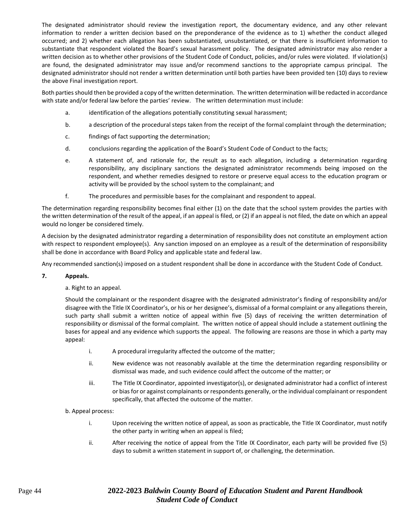The designated administrator should review the investigation report, the documentary evidence, and any other relevant information to render a written decision based on the preponderance of the evidence as to 1) whether the conduct alleged occurred; and 2) whether each allegation has been substantiated, unsubstantiated, or that there is insufficient information to substantiate that respondent violated the Board's sexual harassment policy. The designated administrator may also render a written decision as to whether other provisions of the Student Code of Conduct, policies, and/or rules were violated. If violation(s) are found, the designated administrator may issue and/or recommend sanctions to the appropriate campus principal. The designated administrator should not render a written determination until both parties have been provided ten (10) days to review the above Final investigation report.

Both parties should then be provided a copy of the written determination. The written determination will be redacted in accordance with state and/or federal law before the parties' review. The written determination must include:

- a. identification of the allegations potentially constituting sexual harassment;
- b. a description of the procedural steps taken from the receipt of the formal complaint through the determination;
- c. findings of fact supporting the determination;
- d. conclusions regarding the application of the Board's Student Code of Conduct to the facts;
- e. A statement of, and rationale for, the result as to each allegation, including a determination regarding responsibility, any disciplinary sanctions the designated administrator recommends being imposed on the respondent, and whether remedies designed to restore or preserve equal access to the education program or activity will be provided by the school system to the complainant; and
- f. The procedures and permissible bases for the complainant and respondent to appeal.

The determination regarding responsibility becomes final either (1) on the date that the school system provides the parties with the written determination of the result of the appeal, if an appeal is filed, or (2) if an appeal is not filed, the date on which an appeal would no longer be considered timely.

A decision by the designated administrator regarding a determination of responsibility does not constitute an employment action with respect to respondent employee(s). Any sanction imposed on an employee as a result of the determination of responsibility shall be done in accordance with Board Policy and applicable state and federal law.

Any recommended sanction(s) imposed on a student respondent shall be done in accordance with the Student Code of Conduct.

#### **7. Appeals.**

a. Right to an appeal.

Should the complainant or the respondent disagree with the designated administrator's finding of responsibility and/or disagree with the Title IX Coordinator's, or his or her designee's, dismissal of a formal complaint or any allegations therein, such party shall submit a written notice of appeal within five (5) days of receiving the written determination of responsibility or dismissal of the formal complaint. The written notice of appeal should include a statement outlining the bases for appeal and any evidence which supports the appeal. The following are reasons are those in which a party may appeal:

- i. A procedural irregularity affected the outcome of the matter;
- ii. New evidence was not reasonably available at the time the determination regarding responsibility or dismissal was made, and such evidence could affect the outcome of the matter; or
- iii. The Title IX Coordinator, appointed investigator(s), or designated administrator had a conflict of interest or bias for or against complainants or respondents generally, or the individual complainant or respondent specifically, that affected the outcome of the matter.

#### b. Appeal process:

- i. Upon receiving the written notice of appeal, as soon as practicable, the Title IX Coordinator, must notify the other party in writing when an appeal is filed;
- ii. After receiving the notice of appeal from the Title IX Coordinator, each party will be provided five (5) days to submit a written statement in support of, or challenging, the determination.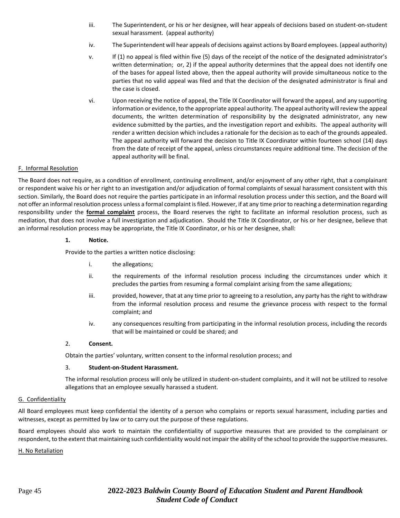- iii. The Superintendent, or his or her designee, will hear appeals of decisions based on student-on-student sexual harassment. (appeal authority)
- iv. The Superintendent will hear appeals of decisions against actions by Board employees. (appeal authority)
- v. If (1) no appeal is filed within five (5) days of the receipt of the notice of the designated administrator's written determination; or, 2) if the appeal authority determines that the appeal does not identify one of the bases for appeal listed above, then the appeal authority will provide simultaneous notice to the parties that no valid appeal was filed and that the decision of the designated administrator is final and the case is closed.
- vi. Upon receiving the notice of appeal, the Title IX Coordinator will forward the appeal, and any supporting information or evidence, to the appropriate appeal authority. The appeal authority will review the appeal documents, the written determination of responsibility by the designated administrator, any new evidence submitted by the parties, and the investigation report and exhibits. The appeal authority will render a written decision which includes a rationale for the decision as to each of the grounds appealed. The appeal authority will forward the decision to Title IX Coordinator within fourteen school (14) days from the date of receipt of the appeal, unless circumstances require additional time. The decision of the appeal authority will be final.

#### F. Informal Resolution

The Board does not require, as a condition of enrollment, continuing enrollment, and/or enjoyment of any other right, that a complainant or respondent waive his or her right to an investigation and/or adjudication of formal complaints of sexual harassment consistent with this section. Similarly, the Board does not require the parties participate in an informal resolution process under this section, and the Board will not offer an informal resolution process unless a formal complaint is filed. However, if at any time prior to reaching a determination regarding responsibility under the **formal complaint** process, the Board reserves the right to facilitate an informal resolution process, such as mediation, that does not involve a full investigation and adjudication. Should the Title IX Coordinator, or his or her designee, believe that an informal resolution process may be appropriate, the Title IX Coordinator, or his or her designee, shall:

#### **1. Notice.**

Provide to the parties a written notice disclosing:

- i. the allegations;
- ii. the requirements of the informal resolution process including the circumstances under which it precludes the parties from resuming a formal complaint arising from the same allegations;
- iii. provided, however, that at any time prior to agreeing to a resolution, any party has the right to withdraw from the informal resolution process and resume the grievance process with respect to the formal complaint; and
- iv. any consequences resulting from participating in the informal resolution process, including the records that will be maintained or could be shared; and

#### 2. **Consent.**

Obtain the parties' voluntary, written consent to the informal resolution process; and

#### 3. **Student-on-Student Harassment.**

The informal resolution process will only be utilized in student-on-student complaints, and it will not be utilized to resolve allegations that an employee sexually harassed a student.

#### G. Confidentiality

All Board employees must keep confidential the identity of a person who complains or reports sexual harassment, including parties and witnesses, except as permitted by law or to carry out the purpose of these regulations.

Board employees should also work to maintain the confidentiality of supportive measures that are provided to the complainant or respondent, to the extent that maintaining such confidentiality would not impair the ability of the school to provide the supportive measures.

#### H. No Retaliation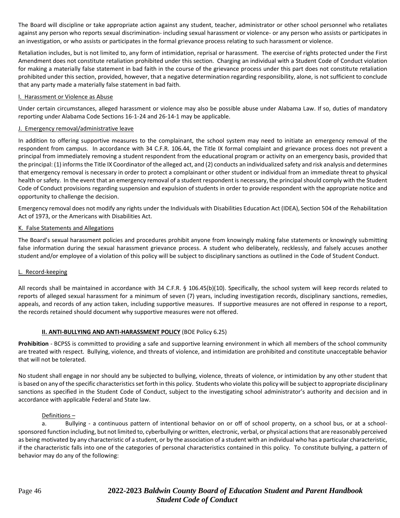The Board will discipline or take appropriate action against any student, teacher, administrator or other school personnel who retaliates against any person who reports sexual discrimination- including sexual harassment or violence- or any person who assists or participates in an investigation, or who assists or participates in the formal grievance process relating to such harassment or violence.

Retaliation includes, but is not limited to, any form of intimidation, reprisal or harassment. The exercise of rights protected under the First Amendment does not constitute retaliation prohibited under this section. Charging an individual with a Student Code of Conduct violation for making a materially false statement in bad faith in the course of the grievance process under this part does not constitute retaliation prohibited under this section, provided, however, that a negative determination regarding responsibility, alone, is not sufficient to conclude that any party made a materially false statement in bad faith.

#### I. Harassment or Violence as Abuse

Under certain circumstances, alleged harassment or violence may also be possible abuse under Alabama Law. If so, duties of mandatory reporting under Alabama Code Sections 16-1-24 and 26-14-1 may be applicable.

#### J. Emergency removal/administrative leave

In addition to offering supportive measures to the complainant, the school system may need to initiate an emergency removal of the respondent from campus. In accordance with 34 C.F.R. 106.44, the Title IX formal complaint and grievance process does not prevent a principal from immediately removing a student respondent from the educational program or activity on an emergency basis, provided that the principal: (1) informs the Title IX Coordinator of the alleged act, and (2) conducts an individualized safety and risk analysis and determines that emergency removal is necessary in order to protect a complainant or other student or individual from an immediate threat to physical health or safety. In the event that an emergency removal of a student respondent is necessary, the principal should comply with the Student Code of Conduct provisions regarding suspension and expulsion of students in order to provide respondent with the appropriate notice and opportunity to challenge the decision.

Emergency removal does not modify any rights under the Individuals with Disabilities Education Act (IDEA), Section 504 of the Rehabilitation Act of 1973, or the Americans with Disabilities Act.

#### K. False Statements and Allegations

The Board's sexual harassment policies and procedures prohibit anyone from knowingly making false statements or knowingly submitting false information during the sexual harassment grievance process. A student who deliberately, recklessly, and falsely accuses another student and/or employee of a violation of this policy will be subject to disciplinary sanctions as outlined in the Code of Student Conduct.

#### L. Record-keeping

All records shall be maintained in accordance with 34 C.F.R. § 106.45(b)(10). Specifically, the school system will keep records related to reports of alleged sexual harassment for a minimum of seven (7) years, including investigation records, disciplinary sanctions, remedies, appeals, and records of any action taken, including supportive measures. If supportive measures are not offered in response to a report, the records retained should document why supportive measures were not offered.

#### **II. ANTI-BULLYING AND ANTI-HARASSMENT POLICY** (BOE Policy 6.25)

**Prohibition** - BCPSS is committed to providing a safe and supportive learning environment in which all members of the school community are treated with respect. Bullying, violence, and threats of violence, and intimidation are prohibited and constitute unacceptable behavior that will not be tolerated.

No student shall engage in nor should any be subjected to bullying, violence, threats of violence, or intimidation by any other student that is based on any of the specific characteristics set forth in this policy. Students who violate this policy will be subject to appropriate disciplinary sanctions as specified in the Student Code of Conduct, subject to the investigating school administrator's authority and decision and in accordance with applicable Federal and State law.

#### Definitions –

a. Bullying - a continuous pattern of intentional behavior on or off of school property, on a school bus, or at a schoolsponsored function including, but not limited to, cyberbullying or written, electronic, verbal, or physical actions that are reasonably perceived as being motivated by any characteristic of a student, or by the association of a student with an individual who has a particular characteristic, if the characteristic falls into one of the categories of personal characteristics contained in this policy. To constitute bullying, a pattern of behavior may do any of the following: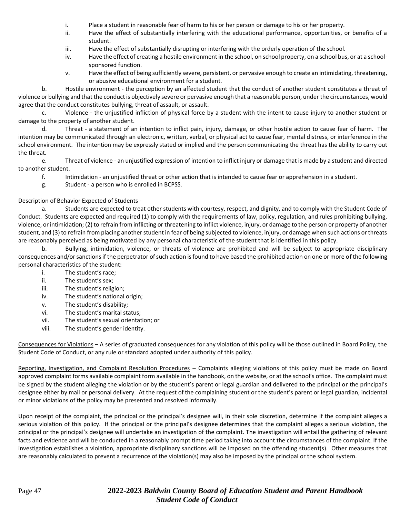- i. Place a student in reasonable fear of harm to his or her person or damage to his or her property.
- ii. Have the effect of substantially interfering with the educational performance, opportunities, or benefits of a student.
- iii. Have the effect of substantially disrupting or interfering with the orderly operation of the school.
- iv. Have the effect of creating a hostile environment in the school, on school property, on a school bus, or at a schoolsponsored function.
- v. Have the effect of being sufficiently severe, persistent, or pervasive enough to create an intimidating, threatening, or abusive educational environment for a student.

b. Hostile environment - the perception by an affected student that the conduct of another student constitutes a threat of violence or bullying and that the conduct is objectively severe or pervasive enough that a reasonable person, under the circumstances, would agree that the conduct constitutes bullying, threat of assault, or assault.

c. Violence - the unjustified infliction of physical force by a student with the intent to cause injury to another student or damage to the property of another student.

d. Threat - a statement of an intention to inflict pain, injury, damage, or other hostile action to cause fear of harm. The intention may be communicated through an electronic, written, verbal, or physical act to cause fear, mental distress, or interference in the school environment. The intention may be expressly stated or implied and the person communicating the threat has the ability to carry out the threat.

e. Threat of violence - an unjustified expression of intention to inflict injury or damage that is made by a student and directed to another student.

f. Intimidation - an unjustified threat or other action that is intended to cause fear or apprehension in a student.

g. Student - a person who is enrolled in BCPSS.

#### Description of Behavior Expected of Students -

a. Students are expected to treat other students with courtesy, respect, and dignity, and to comply with the Student Code of Conduct. Students are expected and required (1) to comply with the requirements of law, policy, regulation, and rules prohibiting bullying, violence, or intimidation; (2) to refrain from inflicting or threatening to inflict violence, injury, or damage to the person or property of another student, and (3) to refrain from placing another student in fear of being subjected to violence, injury, or damage when such actions or threats are reasonably perceived as being motivated by any personal characteristic of the student that is identified in this policy.

b. Bullying, intimidation, violence, or threats of violence are prohibited and will be subject to appropriate disciplinary consequences and/or sanctions if the perpetrator of such action is found to have based the prohibited action on one or more of the following personal characteristics of the student:

- i. The student's race;
- ii. The student's sex;
- iii. The student's religion;
- iv. The student's national origin;
- v. The student's disability;
- vi. The student's marital status;
- vii. The student's sexual orientation; or
- viii. The student's gender identity.

Consequences for Violations – A series of graduated consequences for any violation of this policy will be those outlined in Board Policy, the Student Code of Conduct, or any rule or standard adopted under authority of this policy.

Reporting, Investigation, and Complaint Resolution Procedures – Complaints alleging violations of this policy must be made on Board approved complaint forms available complaint form available in the handbook, on the website, or at the school's office. The complaint must be signed by the student alleging the violation or by the student's parent or legal guardian and delivered to the principal or the principal's designee either by mail or personal delivery. At the request of the complaining student or the student's parent or legal guardian, incidental or minor violations of the policy may be presented and resolved informally.

Upon receipt of the complaint, the principal or the principal's designee will, in their sole discretion, determine if the complaint alleges a serious violation of this policy. If the principal or the principal's designee determines that the complaint alleges a serious violation, the principal or the principal's designee will undertake an investigation of the complaint. The investigation will entail the gathering of relevant facts and evidence and will be conducted in a reasonably prompt time period taking into account the circumstances of the complaint. If the investigation establishes a violation, appropriate disciplinary sanctions will be imposed on the offending student(s). Other measures that are reasonably calculated to prevent a recurrence of the violation(s) may also be imposed by the principal or the school system.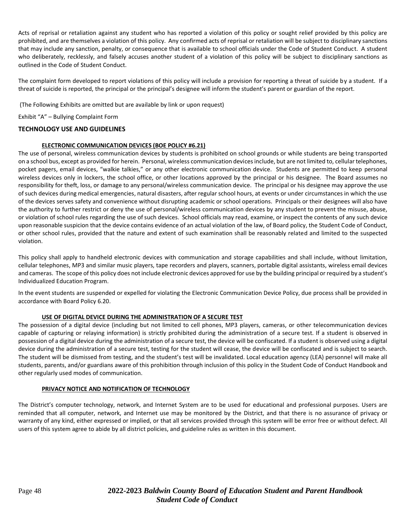Acts of reprisal or retaliation against any student who has reported a violation of this policy or sought relief provided by this policy are prohibited, and are themselves a violation of this policy. Any confirmed acts of reprisal or retaliation will be subject to disciplinary sanctions that may include any sanction, penalty, or consequence that is available to school officials under the Code of Student Conduct. A student who deliberately, recklessly, and falsely accuses another student of a violation of this policy will be subject to disciplinary sanctions as outlined in the Code of Student Conduct.

The complaint form developed to report violations of this policy will include a provision for reporting a threat of suicide by a student. If a threat of suicide is reported, the principal or the principal's designee will inform the student's parent or guardian of the report.

(The Following Exhibits are omitted but are available by link or upon request)

Exhibit "A" – Bullying Complaint Form

#### **TECHNOLOGY USE AND GUIDELINES**

#### **ELECTRONIC COMMUNICATION DEVICES (BOE POLICY #6.21)**

The use of personal, wireless communication devices by students is prohibited on school grounds or while students are being transported on a school bus, except as provided for herein. Personal, wireless communication devices include, but are not limited to, cellular telephones, pocket pagers, email devices, "walkie talkies," or any other electronic communication device. Students are permitted to keep personal wireless devices only in lockers, the school office, or other locations approved by the principal or his designee. The Board assumes no responsibility for theft, loss, or damage to any personal/wireless communication device. The principal or his designee may approve the use of such devices during medical emergencies, natural disasters, after regular school hours, at events or under circumstances in which the use of the devices serves safety and convenience without disrupting academic or school operations. Principals or their designees will also have the authority to further restrict or deny the use of personal/wireless communication devices by any student to prevent the misuse, abuse, or violation of school rules regarding the use of such devices. School officials may read, examine, or inspect the contents of any such device upon reasonable suspicion that the device contains evidence of an actual violation of the law, of Board policy, the Student Code of Conduct, or other school rules, provided that the nature and extent of such examination shall be reasonably related and limited to the suspected violation.

This policy shall apply to handheld electronic devices with communication and storage capabilities and shall include, without limitation, cellular telephones, MP3 and similar music players, tape recorders and players, scanners, portable digital assistants, wireless email devices and cameras. The scope of this policy does not include electronic devices approved for use by the building principal or required by a student's Individualized Education Program.

In the event students are suspended or expelled for violating the Electronic Communication Device Policy, due process shall be provided in accordance with Board Policy 6.20.

#### **USE OF DIGITAL DEVICE DURING THE ADMINISTRATION OF A SECURE TEST**

The possession of a digital device (including but not limited to cell phones, MP3 players, cameras, or other telecommunication devices capable of capturing or relaying information) is strictly prohibited during the administration of a secure test. If a student is observed in possession of a digital device during the administration of a secure test, the device will be confiscated. If a student is observed using a digital device during the administration of a secure test, testing for the student will cease, the device will be confiscated and is subject to search. The student will be dismissed from testing, and the student's test will be invalidated. Local education agency (LEA) personnel will make all students, parents, and/or guardians aware of this prohibition through inclusion of this policy in the Student Code of Conduct Handbook and other regularly used modes of communication.

#### **PRIVACY NOTICE AND NOTIFICATION OF TECHNOLOGY**

The District's computer technology, network, and Internet System are to be used for educational and professional purposes. Users are reminded that all computer, network, and Internet use may be monitored by the District, and that there is no assurance of privacy or warranty of any kind, either expressed or implied, or that all services provided through this system will be error free or without defect. All users of this system agree to abide by all district policies, and guideline rules as written in this document.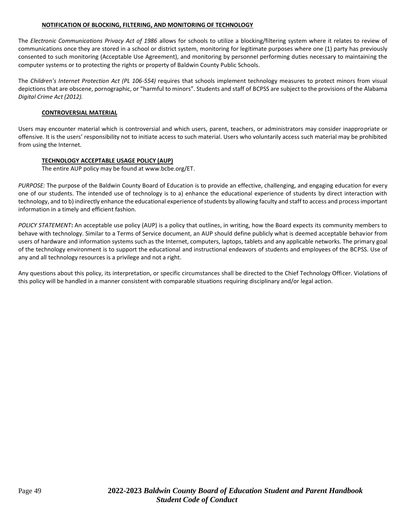#### **NOTIFICATION OF BLOCKING, FILTERING, AND MONITORING OF TECHNOLOGY**

The *Electronic Communications Privacy Act of 1986* allows for schools to utilize a blocking/filtering system where it relates to review of communications once they are stored in a school or district system, monitoring for legitimate purposes where one (1) party has previously consented to such monitoring (Acceptable Use Agreement), and monitoring by personnel performing duties necessary to maintaining the computer systems or to protecting the rights or property of Baldwin County Public Schools.

The *Children's Internet Protection Act (PL 106-554)* requires that schools implement technology measures to protect minors from visual depictions that are obscene, pornographic, or "harmful to minors". Students and staff of BCPSS are subject to the provisions of the Alabama *Digital Crime Act (2012).*

#### **CONTROVERSIAL MATERIAL**

Users may encounter material which is controversial and which users, parent, teachers, or administrators may consider inappropriate or offensive. It is the users' responsibility not to initiate access to such material. Users who voluntarily access such material may be prohibited from using the Internet.

### **TECHNOLOGY ACCEPTABLE USAGE POLICY (AUP)**

The entire AUP policy may be found a[t www.bcbe.org/ET.](http://www.bcbe.org/ET)

*PURPOSE:* The purpose of the Baldwin County Board of Education is to provide an effective, challenging, and engaging education for every one of our students. The intended use of technology is to a) enhance the educational experience of students by direct interaction with technology, and to b) indirectly enhance the educational experience of students by allowing faculty and staff to access and process important information in a timely and efficient fashion.

*POLICY STATEMENT***:** An acceptable use policy (AUP) is a policy that outlines, in writing, how the Board expects its community members to behave with technology. Similar to a Terms of Service document, an AUP should define publicly what is deemed acceptable behavior from users of hardware and information systems such as the Internet, computers, laptops, tablets and any applicable networks. The primary goal of the technology environment is to support the educational and instructional endeavors of students and employees of the BCPSS. Use of any and all technology resources is a privilege and not a right.

Any questions about this policy, its interpretation, or specific circumstances shall be directed to the Chief Technology Officer. Violations of this policy will be handled in a manner consistent with comparable situations requiring disciplinary and/or legal action.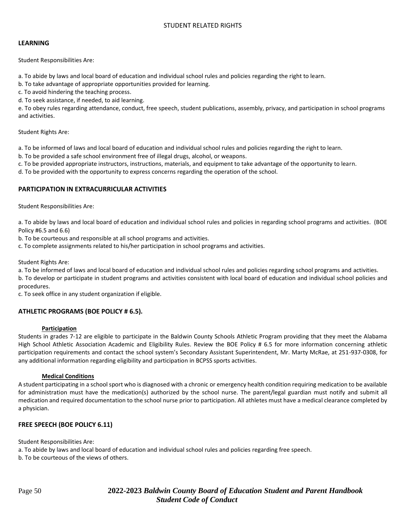#### STUDENT RELATED RIGHTS

#### **LEARNING**

Student Responsibilities Are:

a. To abide by laws and local board of education and individual school rules and policies regarding the right to learn.

b. To take advantage of appropriate opportunities provided for learning.

c. To avoid hindering the teaching process.

d. To seek assistance, if needed, to aid learning.

e. To obey rules regarding attendance, conduct, free speech, student publications, assembly, privacy, and participation in school programs and activities.

Student Rights Are:

a. To be informed of laws and local board of education and individual school rules and policies regarding the right to learn.

b. To be provided a safe school environment free of illegal drugs, alcohol, or weapons.

c. To be provided appropriate instructors, instructions, materials, and equipment to take advantage of the opportunity to learn.

d. To be provided with the opportunity to express concerns regarding the operation of the school.

### **PARTICIPATION IN EXTRACURRICULAR ACTIVITIES**

Student Responsibilities Are:

a. To abide by laws and local board of education and individual school rules and policies in regarding school programs and activities. (BOE Policy #6.5 and 6.6)

b. To be courteous and responsible at all school programs and activities.

c. To complete assignments related to his/her participation in school programs and activities.

Student Rights Are:

a. To be informed of laws and local board of education and individual school rules and policies regarding school programs and activities.

b. To develop or participate in student programs and activities consistent with local board of education and individual school policies and procedures.

c. To seek office in any student organization if eligible.

#### **ATHLETIC PROGRAMS (BOE POLICY # 6.5).**

#### **Participation**

Students in grades 7-12 are eligible to participate in the Baldwin County Schools Athletic Program providing that they meet the Alabama High School Athletic Association Academic and Eligibility Rules. Review the BOE Policy # 6.5 for more information concerning athletic participation requirements and contact the school system's Secondary Assistant Superintendent, Mr. Marty McRae, at 251-937-0308, for any additional information regarding eligibility and participation in BCPSS sports activities.

#### **Medical Conditions**

A student participating in a school sport who is diagnosed with a chronic or emergency health condition requiring medication to be available for administration must have the medication(s) authorized by the school nurse. The parent/legal guardian must notify and submit all medication and required documentation to the school nurse prior to participation. All athletes must have a medical clearance completed by a physician.

#### **FREE SPEECH (BOE POLICY 6.11)**

Student Responsibilities Are:

a. To abide by laws and local board of education and individual school rules and policies regarding free speech.

b. To be courteous of the views of others.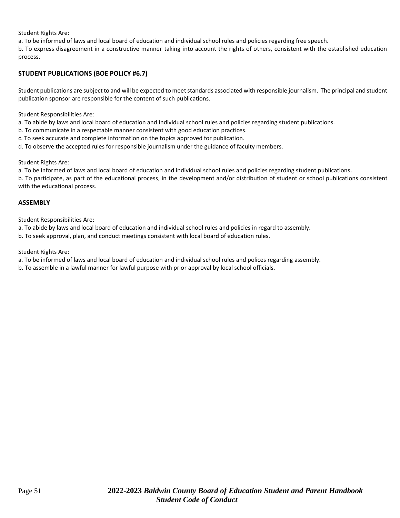Student Rights Are:

a. To be informed of laws and local board of education and individual school rules and policies regarding free speech.

b. To express disagreement in a constructive manner taking into account the rights of others, consistent with the established education process.

### **STUDENT PUBLICATIONS (BOE POLICY #6.7)**

Student publications are subject to and will be expected to meet standards associated with responsible journalism. The principal and student publication sponsor are responsible for the content of such publications.

Student Responsibilities Are:

a. To abide by laws and local board of education and individual school rules and policies regarding student publications.

b. To communicate in a respectable manner consistent with good education practices.

c. To seek accurate and complete information on the topics approved for publication.

d. To observe the accepted rules for responsible journalism under the guidance of faculty members.

Student Rights Are:

a. To be informed of laws and local board of education and individual school rules and policies regarding student publications.

b. To participate, as part of the educational process, in the development and/or distribution of student or school publications consistent with the educational process.

#### **ASSEMBLY**

Student Responsibilities Are:

a. To abide by laws and local board of education and individual school rules and policies in regard to assembly.

b. To seek approval, plan, and conduct meetings consistent with local board of education rules.

Student Rights Are:

a. To be informed of laws and local board of education and individual school rules and polices regarding assembly.

b. To assemble in a lawful manner for lawful purpose with prior approval by local school officials.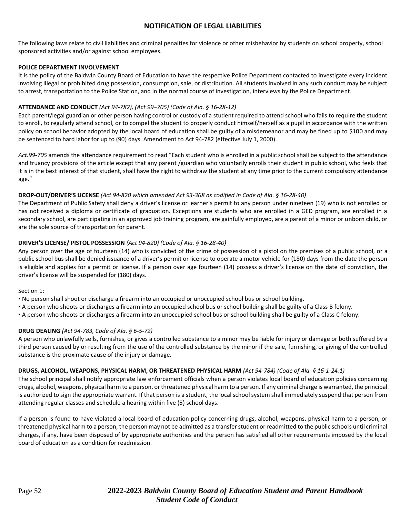### **NOTIFICATION OF LEGAL LIABILITIES**

The following laws relate to civil liabilities and criminal penalties for violence or other misbehavior by students on school property, school sponsored activities and/or against school employees.

#### **POLICE DEPARTMENT INVOLVEMENT**

It is the policy of the Baldwin County Board of Education to have the respective Police Department contacted to investigate every incident involving illegal or prohibited drug possession, consumption, sale, or distribution. All students involved in any such conduct may be subject to arrest, transportation to the Police Station, and in the normal course of investigation, interviews by the Police Department.

#### **ATTENDANCE AND CONDUCT** *(Act 94-782), (Act 99–705) (Code of Ala. § 16-28-12)*

Each parent/legal guardian or other person having control or custody of a student required to attend school who fails to require the student to enroll, to regularly attend school, or to compel the student to properly conduct himself/herself as a pupil in accordance with the written policy on school behavior adopted by the local board of education shall be guilty of a misdemeanor and may be fined up to \$100 and may be sentenced to hard labor for up to (90) days. Amendment to Act 94-782 (effective July 1, 2000).

*Act.99-705* amends the attendance requirement to read "Each student who is enrolled in a public school shall be subject to the attendance and truancy provisions of the article except that any parent /guardian who voluntarily enrolls their student in public school, who feels that it is in the best interest of that student, shall have the right to withdraw the student at any time prior to the current compulsory attendance age."

#### **DROP-OUT/DRIVER'S LICENSE** *(Act 94-820 which amended Act 93-368 as codified in Code of Ala. § 16-28-40)*

The Department of Public Safety shall deny a driver's license or learner's permit to any person under nineteen (19) who is not enrolled or has not received a diploma or certificate of graduation. Exceptions are students who are enrolled in a GED program, are enrolled in a secondary school, are participating in an approved job training program, are gainfully employed, are a parent of a minor or unborn child, or are the sole source of transportation for parent.

#### **DRIVER'S LICENSE/ PISTOL POSSESSION** *(Act 94-820) (Code of Ala. § 16-28-40)*

Any person over the age of fourteen (14) who is convicted of the crime of possession of a pistol on the premises of a public school, or a public school bus shall be denied issuance of a driver's permit or license to operate a motor vehicle for (180) days from the date the person is eligible and applies for a permit or license. If a person over age fourteen (14) possess a driver's license on the date of conviction, the driver's license will be suspended for (180) days.

#### Section 1:

- No person shall shoot or discharge a firearm into an occupied or unoccupied school bus or school building.
- A person who shoots or discharges a firearm into an occupied school bus or school building shall be guilty of a Class B felony.
- A person who shoots or discharges a firearm into an unoccupied school bus or school building shall be guilty of a Class C felony.

#### **DRUG DEALING** *(Act 94-783, Code of Ala. § 6-5-72)*

A person who unlawfully sells, furnishes, or gives a controlled substance to a minor may be liable for injury or damage or both suffered by a third person caused by or resulting from the use of the controlled substance by the minor if the sale, furnishing, or giving of the controlled substance is the proximate cause of the injury or damage.

#### **DRUGS, ALCOHOL, WEAPONS, PHYSICAL HARM, OR THREATENED PHYSICAL HARM** *(Act 94-784) (Code of Ala. § 16-1-24.1)*

The school principal shall notify appropriate law enforcement officials when a person violates local board of education policies concerning drugs, alcohol, weapons, physical harm to a person, or threatened physical harm to a person. If any criminal charge is warranted, the principal is authorized to sign the appropriate warrant. If that person is a student, the local school system shall immediately suspend that person from attending regular classes and schedule a hearing within five (5) school days.

If a person is found to have violated a local board of education policy concerning drugs, alcohol, weapons, physical harm to a person, or threatened physical harm to a person, the person may not be admitted as a transfer student or readmitted to the public schools until criminal charges, if any, have been disposed of by appropriate authorities and the person has satisfied all other requirements imposed by the local board of education as a condition for readmission.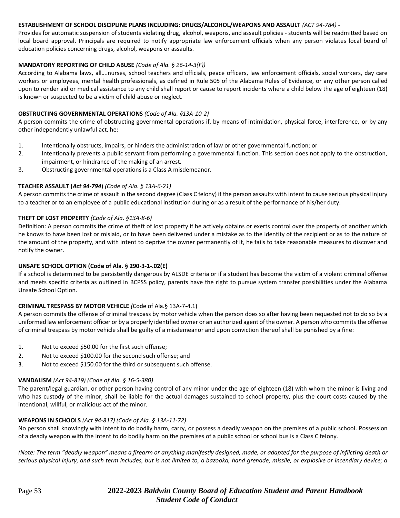#### **ESTABLISHMENT OF SCHOOL DISCIPLINE PLANS INCLUDING: DRUGS/ALCOHOL/WEAPONS AND ASSAULT** *(ACT 94-784) -*

Provides for automatic suspension of students violating drug, alcohol, weapons, and assault policies - students will be readmitted based on local board approval. Principals are required to notify appropriate law enforcement officials when any person violates local board of education policies concerning drugs, alcohol, weapons or assaults.

### **MANDATORY REPORTING OF CHILD ABUSE** *(Code of Ala. § 26-14-3(F))*

According to Alabama laws, all….nurses, school teachers and officials, peace officers, law enforcement officials, social workers, day care workers or employees, mental health professionals, as defined in Rule 505 of the Alabama Rules of Evidence, or any other person called upon to render aid or medical assistance to any child shall report or cause to report incidents where a child below the age of eighteen (18) is known or suspected to be a victim of child abuse or neglect.

#### **OBSTRUCTING GOVERNMENTAL OPERATIONS** *(Code of Ala. §13A-10-2)*

A person commits the crime of obstructing governmental operations if, by means of intimidation, physical force, interference, or by any other independently unlawful act, he:

- 1. Intentionally obstructs, impairs, or hinders the administration of law or other governmental function; or
- 2. Intentionally prevents a public servant from performing a governmental function. This section does not apply to the obstruction, impairment, or hindrance of the making of an arrest.
- 3. Obstructing governmental operations is a Class A misdemeanor.

#### **TEACHER ASSAULT (***Act 94-794***)** *(Code of Ala. § 13A-6-21)*

A person commits the crime of assault in the second degree (Class C felony) if the person assaults with intent to cause serious physical injury to a teacher or to an employee of a public educational institution during or as a result of the performance of his/her duty.

#### **THEFT OF LOST PROPERTY** *(Code of Ala. §13A-8-6)*

Definition: A person commits the crime of theft of lost property if he actively obtains or exerts control over the property of another which he knows to have been lost or mislaid, or to have been delivered under a mistake as to the identity of the recipient or as to the nature of the amount of the property, and with intent to deprive the owner permanently of it, he fails to take reasonable measures to discover and notify the owner.

#### **UNSAFE SCHOOL OPTION (Code of Ala. § 290-3-1-.02(E)**

If a school is determined to be persistently dangerous by ALSDE criteria or if a student has become the victim of a violent criminal offense and meets specific criteria as outlined in BCPSS policy, parents have the right to pursue system transfer possibilities under the Alabama Unsafe School Option.

#### **CRIMINAL TRESPASS BY MOTOR VEHICLE** *(*Code of Ala.§ 13A-7-4.1)

A person commits the offense of criminal trespass by motor vehicle when the person does so after having been requested not to do so by a uniformed law enforcement officer or by a properly identified owner or an authorized agent of the owner. A person who commits the offense of criminal trespass by motor vehicle shall be guilty of a misdemeanor and upon conviction thereof shall be punished by a fine:

- 1. Not to exceed \$50.00 for the first such offense;
- 2. Not to exceed \$100.00 for the second such offense; and
- 3. Not to exceed \$150.00 for the third or subsequent such offense.

#### **VANDALISM** *(Act 94-819) (Code of Ala. § 16-5-380)*

The parent/legal guardian, or other person having control of any minor under the age of eighteen (18) with whom the minor is living and who has custody of the minor, shall be liable for the actual damages sustained to school property, plus the court costs caused by the intentional, willful, or malicious act of the minor.

#### **WEAPONS IN SCHOOLS** *(Act 94-817) (Code of Ala. § 13A-11-72)*

No person shall knowingly with intent to do bodily harm, carry, or possess a deadly weapon on the premises of a public school. Possession of a deadly weapon with the intent to do bodily harm on the premises of a public school or school bus is a Class C felony.

*(Note: The term "deadly weapon" means a firearm or anything manifestly designed, made, or adapted for the purpose of inflicting death or serious physical injury, and such term includes, but is not limited to, a bazooka, hand grenade, missile, or explosive or incendiary device; a*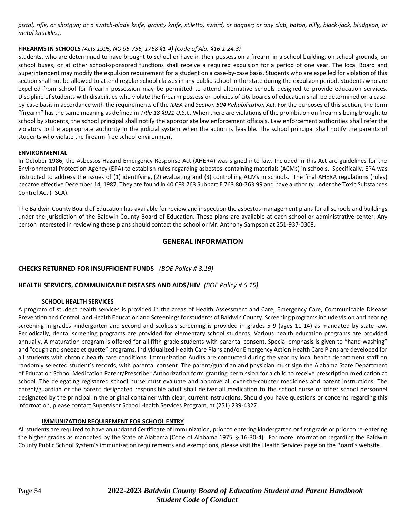*pistol, rifle, or shotgun; or a switch-blade knife, gravity knife, stiletto, sword, or dagger; or any club, baton, billy, black-jack, bludgeon, or metal knuckles).* 

#### **FIREARMS IN SCHOOLS** *(Acts 1995, NO 95-756, 1768 §1-4) (Code of Ala. §16-1-24.3)*

Students, who are determined to have brought to school or have in their possession a firearm in a school building, on school grounds, on school buses, or at other school-sponsored functions shall receive a required expulsion for a period of one year. The local Board and Superintendent may modify the expulsion requirement for a student on a case-by-case basis. Students who are expelled for violation of this section shall not be allowed to attend regular school classes in any public school in the state during the expulsion period. Students who are expelled from school for firearm possession may be permitted to attend alternative schools designed to provide education services. Discipline of students with disabilities who violate the firearm possession policies of city boards of education shall be determined on a caseby-case basis in accordance with the requirements of the *IDEA* and *Section 504 Rehabilitation Act*. For the purposes of this section, the term "firearm" has the same meaning as defined in *Title 18 §921 U.S.C.* When there are violations of the prohibition on firearms being brought to school by students, the school principal shall notify the appropriate law enforcement officials. Law enforcement authorities shall refer the violators to the appropriate authority in the judicial system when the action is feasible. The school principal shall notify the parents of students who violate the firearm-free school environment.

#### **ENVIRONMENTAL**

In October 1986, the Asbestos Hazard Emergency Response Act (AHERA) was signed into law. Included in this Act are guidelines for the Environmental Protection Agency (EPA) to establish rules regarding asbestos-containing materials (ACMs) in schools. Specifically, EPA was instructed to address the issues of (1) identifying, (2) evaluating and (3) controlling ACMs in schools. The final AHERA regulations (rules) became effective December 14, 1987. They are found in 40 CFR 763 Subpart E 763.80-763.99 and have authority under the Toxic Substances Control Act (TSCA).

The Baldwin County Board of Education has available for review and inspection the asbestos management plans for all schools and buildings under the jurisdiction of the Baldwin County Board of Education. These plans are available at each school or administrative center. Any person interested in reviewing these plans should contact the school or Mr. Anthony Sampson at 251-937-0308.

### **GENERAL INFORMATION**

### **CHECKS RETURNED FOR INSUFFICIENT FUNDS** *(BOE Policy # 3.19)*

### **HEALTH SERVICES, COMMUNICABLE DISEASES AND AIDS/HIV** *(BOE Policy # 6.15)*

#### **SCHOOL HEALTH SERVICES**

A program of student health services is provided in the areas of Health Assessment and Care, Emergency Care, Communicable Disease Prevention and Control, and Health Education and Screenings for students of Baldwin County. Screening programs include vision and hearing screening in grades kindergarten and second and scoliosis screening is provided in grades 5-9 (ages 11-14) as mandated by state law. Periodically, dental screening programs are provided for elementary school students. Various health education programs are provided annually. A maturation program is offered for all fifth-grade students with parental consent. Special emphasis is given to "hand washing" and "cough and sneeze etiquette" programs. Individualized Health Care Plans and/or Emergency Action Health Care Plans are developed for all students with chronic health care conditions. Immunization Audits are conducted during the year by local health department staff on randomly selected student's records, with parental consent. The parent/guardian and physician must sign the Alabama State Department of Education School Medication Parent/Prescriber Authorization form granting permission for a child to receive prescription medication at school. The delegating registered school nurse must evaluate and approve all over-the-counter medicines and parent instructions. The parent/guardian or the parent designated responsible adult shall deliver all medication to the school nurse or other school personnel designated by the principal in the original container with clear, current instructions. Should you have questions or concerns regarding this information, please contact Supervisor School Health Services Program, at (251) 239-4327.

#### **IMMUNIZATION REQUIREMENT FOR SCHOOL ENTRY**

All students are required to have an updated Certificate of Immunization, prior to entering kindergarten or first grade or prior to re-entering the higher grades as mandated by the State of Alabama (Code of Alabama 1975, § 16-30-4). For more information regarding the Baldwin County Public School System's immunization requirements and exemptions, please visit the Health Services page on the Board's website.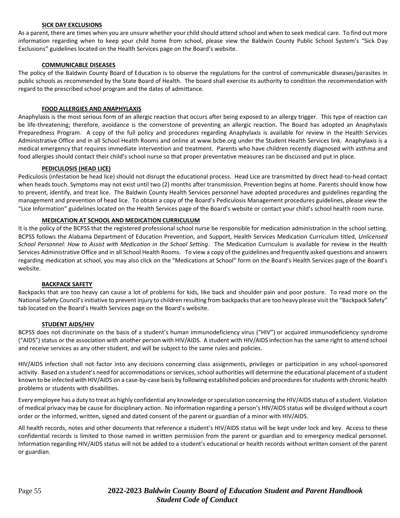#### **SICK DAY EXCLUSIONS**

As a parent, there are times when you are unsure whether your child should attend school and when to seek medical care. To find out more information regarding when to keep your child home from school, please view the Baldwin County Public School System's "Sick Day Exclusions" guidelines located on the Health Services page on the Board's website.

#### **COMMUNICABLE DISEASES**

The policy of the Baldwin County Board of Education is to observe the regulations for the control of communicable diseases/parasites in public schools as recommended by the State Board of Health. The board shall exercise its authority to condition the recommendation with regard to the prescribed school program and the dates of admittance.

#### **FOOD ALLERGIES AND ANAPHYLAXIS**

Anaphylaxis is the most serious form of an allergic reaction that occurs after being exposed to an allergy trigger. This type of reaction can be life-threatening; therefore, avoidance is the cornerstone of preventing an allergic reaction. The Board has adopted an Anaphylaxis Preparedness Program. A copy of the full policy and procedures regarding Anaphylaxis is available for review in the Health Services Administrative Office and in all School Health Rooms and online at www.bcbe.org under the Student Health Services link. Anaphylaxis is a medical emergency that requires immediate intervention and treatment. Parents who have children recently diagnosed with asthma and food allergies should contact their child's school nurse so that proper preventative measures can be discussed and put in place.

#### **PEDICULOSIS (HEAD LICE)**

Pediculosis (infestation be head lice) should not disrupt the educational process. Head Lice are transmitted by direct head-to-head contact when heads touch. Symptoms may not exist until two (2) months after transmission. Prevention begins at home. Parents should know how to prevent, identify, and treat lice. The Baldwin County Health Services personnel have adopted procedures and guidelines regarding the management and prevention of head lice. To obtain a copy of the Board's Pediculosis Management procedures guidelines, please view the "Lice Information" guidelines located on the Health Services page of the Board's website or contact your child's school health room nurse.

#### **MEDICATION AT SCHOOL AND MEDICATION CURRICULUM**

It is the policy of the BCPSS that the registered professional school nurse be responsible for medication administration in the school setting. BCPSS follows the Alabama Department of Education Prevention, and Support, Health Services Medication Curriculum titled, *Unlicensed School Personnel: How to Assist with Medication in the School Setting*. The Medication Curriculum is available for review in the Health Services Administrative Office and in all School Health Rooms. To view a copy of the guidelines and frequently asked questions and answers regarding medication at school, you may also click on the "Medications at School" form on the Board's Health Services page of the Board's website.

#### **BACKPACK SAFETY**

Backpacks that are too heavy can cause a lot of problems for kids, like back and shoulder pain and poor posture. To read more on the National Safety Council's initiative to prevent injury to children resulting from backpacks that are too heavy please visit the "Backpack Safety" tab located on the Board's Health Services page on the Board's website.

#### **STUDENT AIDS/HIV**

BCPSS does not discriminate on the basis of a student's human immunodeficiency virus ("HIV") or acquired immunodeficiency syndrome ("AIDS") status or the association with another person with HIV/AIDS. A student with HIV/AIDS infection has the same right to attend school and receive services as any other student, and will be subject to the same rules and policies.

HIV/AIDS infection shall not factor into any decisions concerning class assignments, privileges or participation in any school-sponsored activity. Based on a student's need for accommodations or services, school authorities will determine the educational placement of a student known to be infected with HIV/AIDS on a case-by-case basis by following established policies and procedures for students with chronic health problems or students with disabilities.

Every employee has a duty to treat as highly confidential any knowledge or speculation concerning the HIV/AIDS status of a student. Violation of medical privacy may be cause for disciplinary action. No information regarding a person's HIV/AIDS status will be divulged without a court order or the informed, written, signed and dated consent of the parent or guardian of a minor with HIV/AIDS.

All health records, notes and other documents that reference a student's HIV/AIDS status will be kept under lock and key. Access to these confidential records is limited to those named in written permission from the parent or guardian and to emergency medical personnel. Information regarding HIV/AIDS status will not be added to a student's educational or health records without written consent of the parent or guardian.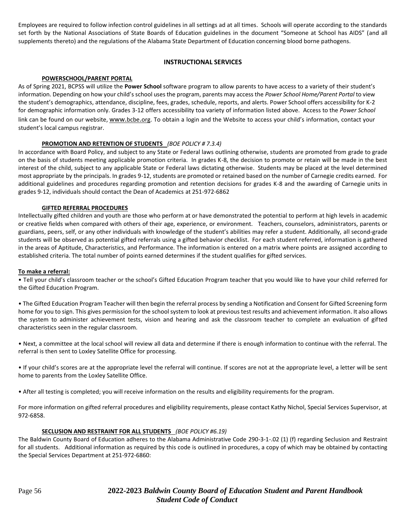Employees are required to follow infection control guidelines in all settings ad at all times. Schools will operate according to the standards set forth by the National Associations of State Boards of Education guidelines in the document "Someone at School has AIDS" (and all supplements thereto) and the regulations of the Alabama State Department of Education concerning blood borne pathogens.

#### **INSTRUCTIONAL SERVICES**

#### **POWERSCHOOL/PARENT PORTAL**

As of Spring 2021, BCPSS will utilize the **Power School** software program to allow parents to have access to a variety of their student's information. Depending on how your child's school uses the program, parents may access the *Power School Home/Parent Portal* to view the student's demographics, attendance, discipline, fees, grades, schedule, reports, and alerts. Power School offers accessibility for K-2 for demographic information only. Grades 3-12 offers accessibility toa variety of information listed above. Access to the *Power School* link can be found on our website, www.bcbe.org. To obtain a login and the Website to access your child's information, contact your student's local campus registrar.

#### **PROMOTION AND RETENTION OF STUDENTS** *(BOE POLICY # 7.3.4)*

In accordance with Board Policy, and subject to any State or Federal laws outlining otherwise, students are promoted from grade to grade on the basis of students meeting applicable promotion criteria. In grades K-8, the decision to promote or retain will be made in the best interest of the child, subject to any applicable State or Federal laws dictating otherwise. Students may be placed at the level determined most appropriate by the principals. In grades 9-12, students are promoted or retained based on the number of Carnegie credits earned. For additional guidelines and procedures regarding promotion and retention decisions for grades K-8 and the awarding of Carnegie units in grades 9-12, individuals should contact the Dean of Academics at 251-972-6862

#### **GIFTED REFERRAL PROCEDURES**

Intellectually gifted children and youth are those who perform at or have demonstrated the potential to perform at high levels in academic or creative fields when compared with others of their age, experience, or environment. Teachers, counselors, administrators, parents or guardians, peers, self, or any other individuals with knowledge of the student's abilities may refer a student. Additionally, all second-grade students will be observed as potential gifted referrals using a gifted behavior checklist. For each student referred, information is gathered in the areas of Aptitude, Characteristics, and Performance. The information is entered on a matrix where points are assigned according to established criteria. The total number of points earned determines if the student qualifies for gifted services.

#### **To make a referral:**

• Tell your child's classroom teacher or the school's Gifted Education Program teacher that you would like to have your child referred for the Gifted Education Program.

• The Gifted Education Program Teacher will then begin the referral process by sending a Notification and Consent for Gifted Screening form home for you to sign. This gives permission for the school system to look at previous test results and achievement information. It also allows the system to administer achievement tests, vision and hearing and ask the classroom teacher to complete an evaluation of gifted characteristics seen in the regular classroom.

• Next, a committee at the local school will review all data and determine if there is enough information to continue with the referral. The referral is then sent to Loxley Satellite Office for processing.

• If your child's scores are at the appropriate level the referral will continue. If scores are not at the appropriate level, a letter will be sent home to parents from the Loxley Satellite Office.

• After all testing is completed; you will receive information on the results and eligibility requirements for the program.

For more information on gifted referral procedures and eligibility requirements, please contact Kathy Nichol, Special Services Supervisor, at 972-6858.

#### **SECLUSION AND RESTRAINT FOR ALL STUDENTS** *(BOE POLICY #6.19)*

The Baldwin County Board of Education adheres to the Alabama Administrative Code 290-3-1-.02 (1) (f) regarding Seclusion and Restraint for all students. Additional information as required by this code is outlined in procedures, a copy of which may be obtained by contacting the Special Services Department at 251-972-6860: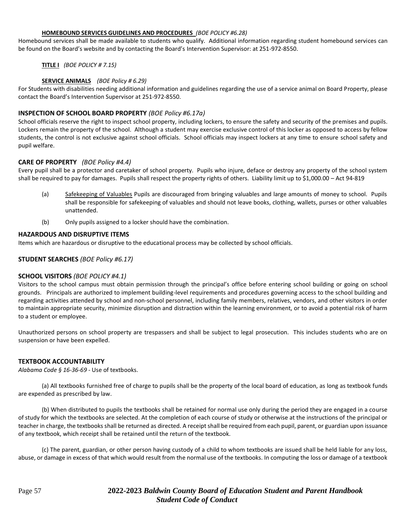#### **HOMEBOUND SERVICES GUIDELINES AND PROCEDURES** *(BOE POLICY #6.28)*

Homebound services shall be made available to students who qualify. Additional information regarding student homebound services can be found on the Board's website and by contacting the Board's Intervention Supervisor: at 251-972-8550.

**TITLE I** *(BOE POLICY # 7.15)*

#### **SERVICE ANIMALS** *(BOE Policy # 6.29)*

For Students with disabilities needing additional information and guidelines regarding the use of a service animal on Board Property, please contact the Board's Intervention Supervisor at 251-972-8550.

#### **INSPECTION OF SCHOOL BOARD PROPERTY** *(BOE Policy #6.17a)*

School officials reserve the right to inspect school property, including lockers, to ensure the safety and security of the premises and pupils. Lockers remain the property of the school. Although a student may exercise exclusive control of this locker as opposed to access by fellow students, the control is not exclusive against school officials. School officials may inspect lockers at any time to ensure school safety and pupil welfare.

#### **CARE OF PROPERTY** *(BOE Policy #4.4)*

Every pupil shall be a protector and caretaker of school property. Pupils who injure, deface or destroy any property of the school system shall be required to pay for damages. Pupils shall respect the property rights of others. Liability limit up to \$1,000.00 – Act 94-819

- (a) Safekeeping of Valuables Pupils are discouraged from bringing valuables and large amounts of money to school. Pupils shall be responsible for safekeeping of valuables and should not leave books, clothing, wallets, purses or other valuables unattended.
- (b) Only pupils assigned to a locker should have the combination.

#### **HAZARDOUS AND DISRUPTIVE ITEMS**

Items which are hazardous or disruptive to the educational process may be collected by school officials.

#### **STUDENT SEARCHES** *(BOE Policy #6.17)*

#### **SCHOOL VISITORS** *(BOE POLICY #4.1)*

Visitors to the school campus must obtain permission through the principal's office before entering school building or going on school grounds. Principals are authorized to implement building-level requirements and procedures governing access to the school building and regarding activities attended by school and non-school personnel, including family members, relatives, vendors, and other visitors in order to maintain appropriate security, minimize disruption and distraction within the learning environment, or to avoid a potential risk of harm to a student or employee.

Unauthorized persons on school property are trespassers and shall be subject to legal prosecution. This includes students who are on suspension or have been expelled.

#### **TEXTBOOK ACCOUNTABILITY**

*Alabama Code § 16-36-69* - Use of textbooks.

(a) All textbooks furnished free of charge to pupils shall be the property of the local board of education, as long as textbook funds are expended as prescribed by law.

(b) When distributed to pupils the textbooks shall be retained for normal use only during the period they are engaged in a course of study for which the textbooks are selected. At the completion of each course of study or otherwise at the instructions of the principal or teacher in charge, the textbooks shall be returned as directed. A receipt shall be required from each pupil, parent, or guardian upon issuance of any textbook, which receipt shall be retained until the return of the textbook.

(c) The parent, guardian, or other person having custody of a child to whom textbooks are issued shall be held liable for any loss, abuse, or damage in excess of that which would result from the normal use of the textbooks. In computing the loss or damage of a textbook

### Page 57 **2022-2023** *Baldwin County Board of Education Student and Parent Handbook Student Code of Conduct*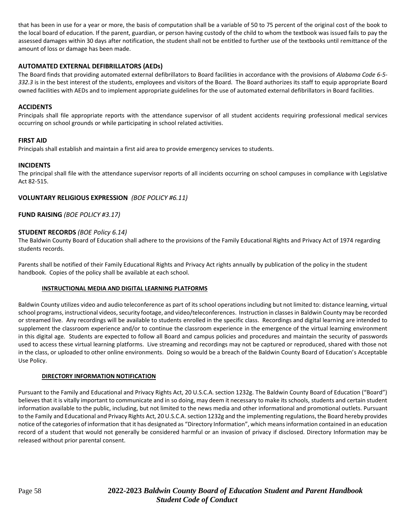that has been in use for a year or more, the basis of computation shall be a variable of 50 to 75 percent of the original cost of the book to the local board of education. If the parent, guardian, or person having custody of the child to whom the textbook was issued fails to pay the assessed damages within 30 days after notification, the student shall not be entitled to further use of the textbooks until remittance of the amount of loss or damage has been made.

#### **AUTOMATED EXTERNAL DEFIBRILLATORS (AEDs)**

The Board finds that providing automated external defibrillators to Board facilities in accordance with the provisions of *Alabama Code 6-5- 332.3* is in the best interest of the students, employees and visitors of the Board. The Board authorizes its staff to equip appropriate Board owned facilities with AEDs and to implement appropriate guidelines for the use of automated external defibrillators in Board facilities.

#### **ACCIDENTS**

Principals shall file appropriate reports with the attendance supervisor of all student accidents requiring professional medical services occurring on school grounds or while participating in school related activities.

#### **FIRST AID**

Principals shall establish and maintain a first aid area to provide emergency services to students.

#### **INCIDENTS**

The principal shall file with the attendance supervisor reports of all incidents occurring on school campuses in compliance with Legislative Act 82-515.

#### **VOLUNTARY RELIGIOUS EXPRESSION** *(BOE POLICY #6.11)*

**FUND RAISING** *(BOE POLICY #3.17)*

#### **STUDENT RECORDS** *(BOE Policy 6.14)*

The Baldwin County Board of Education shall adhere to the provisions of the Family Educational Rights and Privacy Act of 1974 regarding students records.

Parents shall be notified of their Family Educational Rights and Privacy Act rights annually by publication of the policy in the student handbook. Copies of the policy shall be available at each school.

#### **INSTRUCTIONAL MEDIA AND DIGITAL LEARNING PLATFORMS**

Baldwin County utilizes video and audio teleconference as part of its school operations including but not limited to: distance learning, virtual school programs, instructional videos, security footage, and video/teleconferences. Instruction in classes in Baldwin County may be recorded or streamed live. Any recordings will be available to students enrolled in the specific class. Recordings and digital learning are intended to supplement the classroom experience and/or to continue the classroom experience in the emergence of the virtual learning environment in this digital age. Students are expected to follow all Board and campus policies and procedures and maintain the security of passwords used to access these virtual learning platforms. Live streaming and recordings may not be captured or reproduced, shared with those not in the class, or uploaded to other online environments. Doing so would be a breach of the Baldwin County Board of Education's Acceptable Use Policy.

#### **DIRECTORY INFORMATION NOTIFICATION**

Pursuant to the Family and Educational and Privacy Rights Act, 20 U.S.C.A. section 1232g. The Baldwin County Board of Education ("Board") believes that it is vitally important to communicate and in so doing, may deem it necessary to make its schools, students and certain student information available to the public, including, but not limited to the news media and other informational and promotional outlets. Pursuant to the Family and Educational and Privacy Rights Act, 20 U.S.C.A. section 1232g and the implementing regulations, the Board hereby provides notice of the categories of information that it has designated as "Directory Information", which means information contained in an education record of a student that would not generally be considered harmful or an invasion of privacy if disclosed. Directory Information may be released without prior parental consent.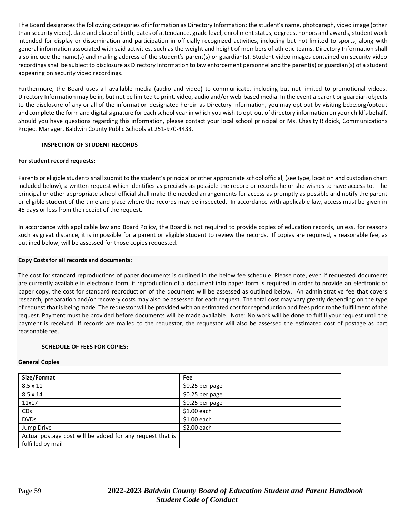The Board designates the following categories of information as Directory Information: the student's name, photograph, video image (other than security video), date and place of birth, dates of attendance, grade level, enrollment status, degrees, honors and awards, student work intended for display or dissemination and participation in officially recognized activities, including but not limited to sports, along with general information associated with said activities, such as the weight and height of members of athletic teams. Directory Information shall also include the name(s) and mailing address of the student's parent(s) or guardian(s). Student video images contained on security video recordings shall be subject to disclosure as Directory Information to law enforcement personnel and the parent(s) or guardian(s) of a student appearing on security video recordings.

Furthermore, the Board uses all available media (audio and video) to communicate, including but not limited to promotional videos. Directory Information may be in, but not be limited to print, video, audio and/or web-based media. In the event a parent or guardian objects to the disclosure of any or all of the information designated herein as Directory Information, you may opt out by visiting bcbe.org/optout and complete the form and digital signature for each school year in which you wish to opt-out of directory information on your child's behalf. Should you have questions regarding this information, please contact your local school principal or Ms. Chasity Riddick, Communications Project Manager, Baldwin County Public Schools at 251-970-4433.

#### **INSPECTION OF STUDENT RECORDS**

#### **For student record requests:**

Parents or eligible students shall submit to the student's principal or other appropriate school official, (see type, location and custodian chart included below), a written request which identifies as precisely as possible the record or records he or she wishes to have access to. The principal or other appropriate school official shall make the needed arrangements for access as promptly as possible and notify the parent or eligible student of the time and place where the records may be inspected. In accordance with applicable law, access must be given in 45 days or less from the receipt of the request.

In accordance with applicable law and Board Policy, the Board is not required to provide copies of education records, unless, for reasons such as great distance, it is impossible for a parent or eligible student to review the records. If copies are required, a reasonable fee, as outlined below, will be assessed for those copies requested.

#### **Copy Costs for all records and documents:**

The cost for standard reproductions of paper documents is outlined in the below fee schedule. Please note, even if requested documents are currently available in electronic form, if reproduction of a document into paper form is required in order to provide an electronic or paper copy, the cost for standard reproduction of the document will be assessed as outlined below. An administrative fee that covers research, preparation and/or recovery costs may also be assessed for each request. The total cost may vary greatly depending on the type of request that is being made. The requestor will be provided with an estimated cost for reproduction and fees prior to the fulfillment of the request. Payment must be provided before documents will be made available. Note: No work will be done to fulfill your request until the payment is received. If records are mailed to the requestor, the requestor will also be assessed the estimated cost of postage as part reasonable fee.

#### **SCHEDULE OF FEES FOR COPIES:**

#### **General Copies**

| Size/Format                                               | <b>Fee</b>      |
|-----------------------------------------------------------|-----------------|
| $8.5 \times 11$                                           | \$0.25 per page |
| $8.5 \times 14$                                           | \$0.25 per page |
| 11x17                                                     | \$0.25 per page |
| CDs                                                       | \$1.00 each     |
| <b>DVDs</b>                                               | $$1.00$ each    |
| Jump Drive                                                | $$2.00$ each    |
| Actual postage cost will be added for any request that is |                 |
| fulfilled by mail                                         |                 |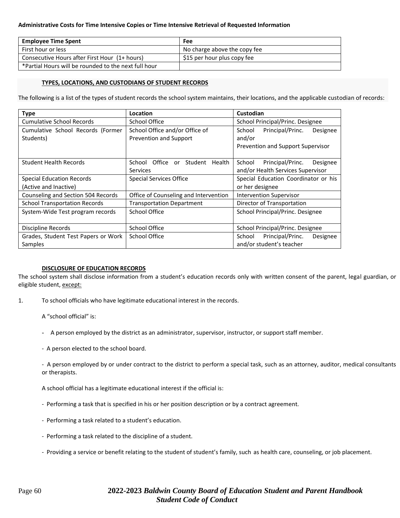#### **Administrative Costs for Time Intensive Copies or Time Intensive Retrieval of Requested Information**

| <b>Employee Time Spent</b>                           | Fee                          |
|------------------------------------------------------|------------------------------|
| First hour or less                                   | No charge above the copy fee |
| Consecutive Hours after First Hour (1+ hours)        | \$15 per hour plus copy fee  |
| *Partial Hours will be rounded to the next full hour |                              |

#### **TYPES, LOCATIONS, AND CUSTODIANS OF STUDENT RECORDS**

The following is a list of the types of student records the school system maintains, their locations, and the applicable custodian of records:

| <b>Type</b>                                    | Location                                                       | Custodian                                                                             |
|------------------------------------------------|----------------------------------------------------------------|---------------------------------------------------------------------------------------|
| <b>Cumulative School Records</b>               | School Office                                                  | School Principal/Princ. Designee                                                      |
| Cumulative School Records (Former<br>Students) | School Office and/or Office of<br>Prevention and Support       | Principal/Princ.<br>School<br>Designee<br>and/or<br>Prevention and Support Supervisor |
| <b>Student Health Records</b>                  | Office<br>Student<br>Health<br>School<br>or<br><b>Services</b> | School<br>Principal/Princ.<br>Designee<br>and/or Health Services Supervisor           |
| <b>Special Education Records</b>               | <b>Special Services Office</b>                                 | Special Education Coordinator or his                                                  |
| (Active and Inactive)                          |                                                                | or her designee                                                                       |
| Counseling and Section 504 Records             | Office of Counseling and Intervention                          | <b>Intervention Supervisor</b>                                                        |
| <b>School Transportation Records</b>           | <b>Transportation Department</b>                               | Director of Transportation                                                            |
| System-Wide Test program records               | School Office                                                  | School Principal/Princ. Designee                                                      |
| <b>Discipline Records</b>                      | School Office                                                  | School Principal/Princ. Designee                                                      |
| Grades, Student Test Papers or Work            | School Office                                                  | Principal/Princ.<br>School<br>Designee                                                |
| Samples                                        |                                                                | and/or student's teacher                                                              |

#### **DISCLOSURE OF EDUCATION RECORDS**

The school system shall disclose information from a student's education records only with written consent of the parent, legal guardian, or eligible student, except:

1. To school officials who have legitimate educational interest in the records.

A "school official" is:

- A person employed by the district as an administrator, supervisor, instructor, or support staff member.
- A person elected to the school board.

- A person employed by or under contract to the district to perform a special task, such as an attorney, auditor, medical consultants or therapists.

A school official has a legitimate educational interest if the official is:

- Performing a task that is specified in his or her position description or by a contract agreement.
- Performing a task related to a student's education.
- Performing a task related to the discipline of a student.
- Providing a service or benefit relating to the student of student's family, such as health care, counseling, or job placement.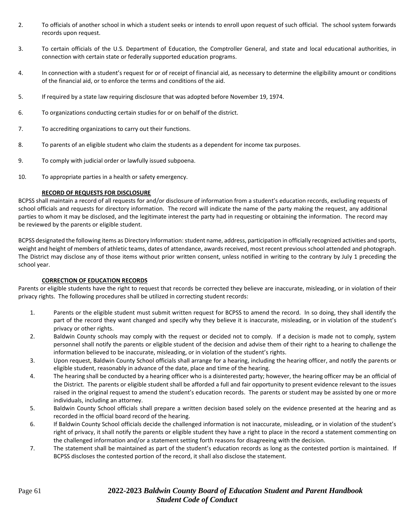- 2. To officials of another school in which a student seeks or intends to enroll upon request of such official. The school system forwards records upon request.
- 3. To certain officials of the U.S. Department of Education, the Comptroller General, and state and local educational authorities, in connection with certain state or federally supported education programs.
- 4. In connection with a student's request for or of receipt of financial aid, as necessary to determine the eligibility amount or conditions of the financial aid, or to enforce the terms and conditions of the aid.
- 5. If required by a state law requiring disclosure that was adopted before November 19, 1974.
- 6. To organizations conducting certain studies for or on behalf of the district.
- 7. To accrediting organizations to carry out their functions.
- 8. To parents of an eligible student who claim the students as a dependent for income tax purposes.
- 9. To comply with judicial order or lawfully issued subpoena.
- 10. To appropriate parties in a health or safety emergency.

#### **RECORD OF REQUESTS FOR DISCLOSURE**

BCPSS shall maintain a record of all requests for and/or disclosure of information from a student's education records, excluding requests of school officials and requests for directory information. The record will indicate the name of the party making the request, any additional parties to whom it may be disclosed, and the legitimate interest the party had in requesting or obtaining the information. The record may be reviewed by the parents or eligible student.

BCPSS designated the following items as Directory Information: student name, address, participation in officially recognized activities and sports, weight and height of members of athletic teams, dates of attendance, awards received, most recent previous school attended and photograph. The District may disclose any of those items without prior written consent, unless notified in writing to the contrary by July 1 preceding the school year.

### **CORRECTION OF EDUCATION RECORDS**

Parents or eligible students have the right to request that records be corrected they believe are inaccurate, misleading, or in violation of their privacy rights. The following procedures shall be utilized in correcting student records:

- 1. Parents or the eligible student must submit written request for BCPSS to amend the record. In so doing, they shall identify the part of the record they want changed and specify why they believe it is inaccurate, misleading, or in violation of the student's privacy or other rights.
- 2. Baldwin County schools may comply with the request or decided not to comply. If a decision is made not to comply, system personnel shall notify the parents or eligible student of the decision and advise them of their right to a hearing to challenge the information believed to be inaccurate, misleading, or in violation of the student's rights.
- 3. Upon request, Baldwin County School officials shall arrange for a hearing, including the hearing officer, and notify the parents or eligible student, reasonably in advance of the date, place and time of the hearing.
- 4. The hearing shall be conducted by a hearing officer who is a disinterested party; however, the hearing officer may be an official of the District. The parents or eligible student shall be afforded a full and fair opportunity to present evidence relevant to the issues raised in the original request to amend the student's education records. The parents or student may be assisted by one or more individuals, including an attorney.
- 5. Baldwin County School officials shall prepare a written decision based solely on the evidence presented at the hearing and as recorded in the official board record of the hearing.
- 6. If Baldwin County School officials decide the challenged information is not inaccurate, misleading, or in violation of the student's right of privacy, it shall notify the parents or eligible student they have a right to place in the record a statement commenting on the challenged information and/or a statement setting forth reasons for disagreeing with the decision.
- 7. The statement shall be maintained as part of the student's education records as long as the contested portion is maintained. If BCPSS discloses the contested portion of the record, it shall also disclose the statement.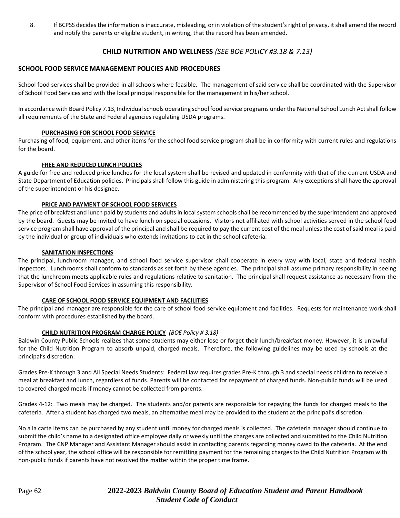8. If BCPSS decides the information is inaccurate, misleading, or in violation of the student's right of privacy, it shall amend the record and notify the parents or eligible student, in writing, that the record has been amended.

### **CHILD NUTRITION AND WELLNESS** *(SEE BOE POLICY #3.18 & 7.13)*

#### **SCHOOL FOOD SERVICE MANAGEMENT POLICIES AND PROCEDURES**

School food services shall be provided in all schools where feasible. The management of said service shall be coordinated with the Supervisor of School Food Services and with the local principal responsible for the management in his/her school.

In accordance with Board Policy 7.13, Individual schools operating school food service programs under the National School Lunch Act shall follow all requirements of the State and Federal agencies regulating USDA programs.

#### **PURCHASING FOR SCHOOL FOOD SERVICE**

Purchasing of food, equipment, and other items for the school food service program shall be in conformity with current rules and regulations for the board.

#### **FREE AND REDUCED LUNCH POLICIES**

A guide for free and reduced price lunches for the local system shall be revised and updated in conformity with that of the current USDA and State Department of Education policies. Principals shall follow this guide in administering this program. Any exceptions shall have the approval of the superintendent or his designee.

#### **PRICE AND PAYMENT OF SCHOOL FOOD SERVICES**

The price of breakfast and lunch paid by students and adults in local system schools shall be recommended by the superintendent and approved by the board. Guests may be invited to have lunch on special occasions. Visitors not affiliated with school activities served in the school food service program shall have approval of the principal and shall be required to pay the current cost of the meal unless the cost of said meal is paid by the individual or group of individuals who extends invitations to eat in the school cafeteria.

#### **SANITATION INSPECTIONS**

The principal, lunchroom manager, and school food service supervisor shall cooperate in every way with local, state and federal health inspectors. Lunchrooms shall conform to standards as set forth by these agencies. The principal shall assume primary responsibility in seeing that the lunchroom meets applicable rules and regulations relative to sanitation. The principal shall request assistance as necessary from the Supervisor of School Food Services in assuming this responsibility.

#### **CARE OF SCHOOL FOOD SERVICE EQUIPMENT AND FACILITIES**

The principal and manager are responsible for the care of school food service equipment and facilities. Requests for maintenance work shall conform with procedures established by the board.

#### **CHILD NUTRITION PROGRAM CHARGE POLICY** *(BOE Policy # 3.18)*

Baldwin County Public Schools realizes that some students may either lose or forget their lunch/breakfast money. However, it is unlawful for the Child Nutrition Program to absorb unpaid, charged meals. Therefore, the following guidelines may be used by schools at the principal's discretion:

Grades Pre-K through 3 and All Special Needs Students: Federal law requires grades Pre-K through 3 and special needs children to receive a meal at breakfast and lunch, regardless of funds. Parents will be contacted for repayment of charged funds. Non-public funds will be used to covered charged meals if money cannot be collected from parents.

Grades 4-12: Two meals may be charged. The students and/or parents are responsible for repaying the funds for charged meals to the cafeteria. After a student has charged two meals, an alternative meal may be provided to the student at the principal's discretion.

No a la carte items can be purchased by any student until money for charged meals is collected. The cafeteria manager should continue to submit the child's name to a designated office employee daily or weekly until the charges are collected and submitted to the Child Nutrition Program. The CNP Manager and Assistant Manager should assist in contacting parents regarding money owed to the cafeteria. At the end of the school year, the school office will be responsible for remitting payment for the remaining charges to the Child Nutrition Program with non-public funds if parents have not resolved the matter within the proper time frame.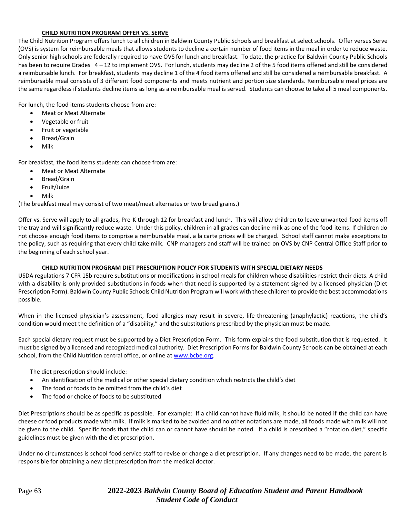#### **CHILD NUTRITION PROGRAM OFFER VS. SERVE**

The Child Nutrition Program offers lunch to all children in Baldwin County Public Schools and breakfast at select schools. Offer versus Serve (OVS) is system for reimbursable meals that allows students to decline a certain number of food items in the meal in order to reduce waste. Only senior high schools are federally required to have OVS for lunch and breakfast. To date, the practice for Baldwin County Public Schools has been to require Grades 4 – 12 to implement OVS. For lunch, students may decline 2 of the 5 food items offered and still be considered a reimbursable lunch. For breakfast, students may decline 1 of the 4 food items offered and still be considered a reimbursable breakfast. A reimbursable meal consists of 3 different food components and meets nutrient and portion size standards. Reimbursable meal prices are the same regardless if students decline items as long as a reimbursable meal is served. Students can choose to take all 5 meal components.

For lunch, the food items students choose from are:

- Meat or Meat Alternate
- Vegetable or fruit
- Fruit or vegetable
- Bread/Grain
- Milk

For breakfast, the food items students can choose from are:

- Meat or Meat Alternate
- Bread/Grain
- Fruit/Juice
- Milk

(The breakfast meal may consist of two meat/meat alternates or two bread grains.)

Offer vs. Serve will apply to all grades, Pre-K through 12 for breakfast and lunch. This will allow children to leave unwanted food items off the tray and will significantly reduce waste. Under this policy, children in all grades can decline milk as one of the food items. If children do not choose enough food items to comprise a reimbursable meal, a la carte prices will be charged. School staff cannot make exceptions to the policy, such as requiring that every child take milk. CNP managers and staff will be trained on OVS by CNP Central Office Staff prior to the beginning of each school year.

#### **CHILD NUTRITION PROGRAM DIET PRESCRIPTION POLICY FOR STUDENTS WITH SPECIAL DIETARY NEEDS**

USDA regulations 7 CFR 15b require substitutions or modifications in school meals for children whose disabilities restrict their diets. A child with a disability is only provided substitutions in foods when that need is supported by a statement signed by a licensed physician (Diet Prescription Form). Baldwin County Public Schools Child Nutrition Program will work with these children to provide the best accommodations possible.

When in the licensed physician's assessment, food allergies may result in severe, life-threatening (anaphylactic) reactions, the child's condition would meet the definition of a "disability," and the substitutions prescribed by the physician must be made.

Each special dietary request must be supported by a Diet Prescription Form. This form explains the food substitution that is requested. It must be signed by a licensed and recognized medical authority. Diet Prescription Forms for Baldwin County Schools can be obtained at each school, from the Child Nutrition central office, or online at [www.bcbe.org.](http://www.bcbe.org/)

The diet prescription should include:

- An identification of the medical or other special dietary condition which restricts the child's diet
- The food or foods to be omitted from the child's diet
- The food or choice of foods to be substituted

Diet Prescriptions should be as specific as possible. For example: If a child cannot have fluid milk, it should be noted if the child can have cheese or food products made with milk. If milk is marked to be avoided and no other notations are made, all foods made with milk will not be given to the child. Specific foods that the child can or cannot have should be noted. If a child is prescribed a "rotation diet," specific guidelines must be given with the diet prescription.

Under no circumstances is school food service staff to revise or change a diet prescription. If any changes need to be made, the parent is responsible for obtaining a new diet prescription from the medical doctor.

### Page 63 **2022-2023** *Baldwin County Board of Education Student and Parent Handbook Student Code of Conduct*